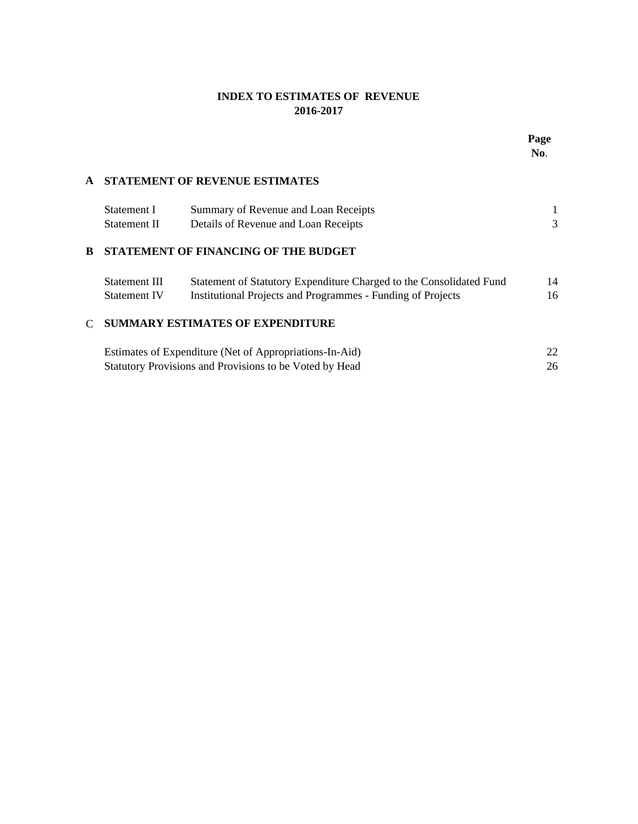### **INDEX TO ESTIMATES OF REVENUE 2016-2017**

|              |                     |                                                                     | Page<br>No. |  |
|--------------|---------------------|---------------------------------------------------------------------|-------------|--|
| A            |                     | <b>STATEMENT OF REVENUE ESTIMATES</b>                               |             |  |
|              | Statement I         | Summary of Revenue and Loan Receipts                                | 1           |  |
|              | Statement II        | Details of Revenue and Loan Receipts                                | 3           |  |
| В            |                     | STATEMENT OF FINANCING OF THE BUDGET                                |             |  |
|              | Statement III       | Statement of Statutory Expenditure Charged to the Consolidated Fund | 14          |  |
|              | <b>Statement IV</b> | <b>Institutional Projects and Programmes - Funding of Projects</b>  | 16          |  |
| $\mathsf{C}$ |                     | <b>SUMMARY ESTIMATES OF EXPENDITURE</b>                             |             |  |
|              |                     | Estimates of Expenditure (Net of Appropriations-In-Aid)             | 22          |  |
|              |                     | Statutory Provisions and Provisions to be Voted by Head             | 26          |  |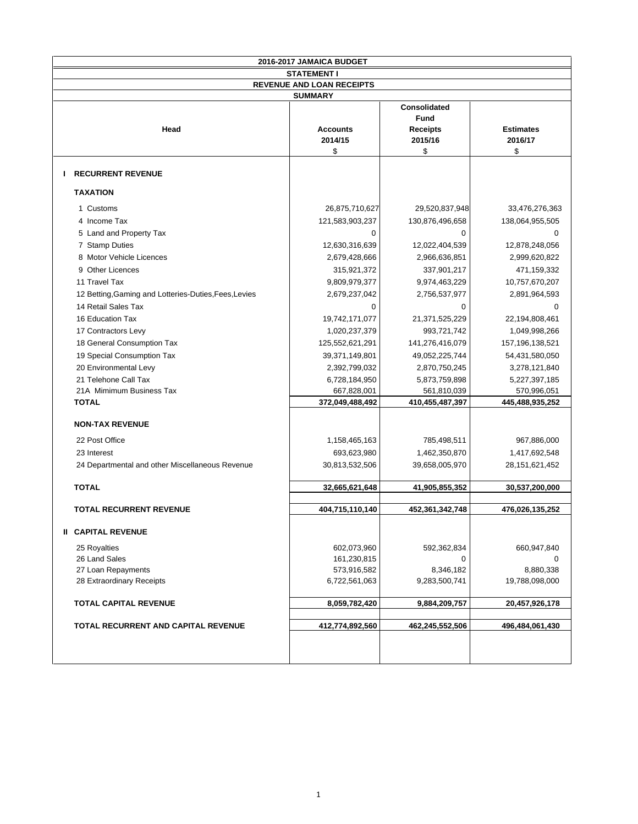|                                                       | 2016-2017 JAMAICA BUDGET         |                                                          |                                   |
|-------------------------------------------------------|----------------------------------|----------------------------------------------------------|-----------------------------------|
|                                                       | <b>STATEMENT I</b>               |                                                          |                                   |
|                                                       | <b>REVENUE AND LOAN RECEIPTS</b> |                                                          |                                   |
|                                                       | <b>SUMMARY</b>                   |                                                          |                                   |
| Head                                                  | <b>Accounts</b><br>2014/15<br>\$ | Consolidated<br>Fund<br><b>Receipts</b><br>2015/16<br>\$ | <b>Estimates</b><br>2016/17<br>\$ |
| <b>RECURRENT REVENUE</b><br>Ι.                        |                                  |                                                          |                                   |
| <b>TAXATION</b>                                       |                                  |                                                          |                                   |
| 1 Customs                                             | 26,875,710,627                   | 29,520,837,948                                           | 33,476,276,363                    |
| 4 Income Tax                                          | 121,583,903,237                  | 130,876,496,658                                          | 138,064,955,505                   |
| 5 Land and Property Tax                               | 0                                | 0                                                        | $\Omega$                          |
| 7 Stamp Duties                                        | 12,630,316,639                   | 12,022,404,539                                           | 12,878,248,056                    |
| 8 Motor Vehicle Licences                              | 2,679,428,666                    | 2,966,636,851                                            | 2,999,620,822                     |
| 9 Other Licences                                      | 315,921,372                      | 337,901,217                                              | 471,159,332                       |
| 11 Travel Tax                                         | 9,809,979,377                    | 9,974,463,229                                            | 10,757,670,207                    |
| 12 Betting, Gaming and Lotteries-Duties, Fees, Levies | 2,679,237,042                    | 2,756,537,977                                            | 2,891,964,593                     |
| 14 Retail Sales Tax                                   | 0                                | $\mathbf 0$                                              | $\Omega$                          |
| 16 Education Tax                                      | 19,742,171,077                   | 21,371,525,229                                           | 22,194,808,461                    |
| 17 Contractors Levy                                   | 1,020,237,379                    | 993,721,742                                              | 1,049,998,266                     |
| 18 General Consumption Tax                            | 125,552,621,291                  | 141,276,416,079                                          | 157, 196, 138, 521                |
| 19 Special Consumption Tax                            | 39,371,149,801                   | 49,052,225,744                                           | 54,431,580,050                    |
| 20 Environmental Levy                                 | 2,392,799,032                    | 2,870,750,245                                            | 3,278,121,840                     |
| 21 Telehone Call Tax                                  | 6,728,184,950                    | 5,873,759,898                                            | 5,227,397,185                     |
| 21A Mimimum Business Tax                              | 667,828,001                      | 561,810,039                                              | 570,996,051                       |
| <b>TOTAL</b>                                          | 372,049,488,492                  | 410,455,487,397                                          | 445,488,935,252                   |
| <b>NON-TAX REVENUE</b>                                |                                  |                                                          |                                   |
| 22 Post Office                                        | 1,158,465,163                    | 785,498,511                                              | 967,886,000                       |
| 23 Interest                                           | 693,623,980                      | 1,462,350,870                                            | 1,417,692,548                     |
| 24 Departmental and other Miscellaneous Revenue       | 30,813,532,506                   | 39,658,005,970                                           | 28, 151, 621, 452                 |
| <b>TOTAL</b>                                          | 32,665,621,648                   | 41,905,855,352                                           | 30,537,200,000                    |
| <b>TOTAL RECURRENT REVENUE</b>                        | 404,715,110,140                  | 452,361,342,748                                          | 476,026,135,252                   |
|                                                       |                                  |                                                          |                                   |
| <b>II CAPITAL REVENUE</b>                             |                                  |                                                          |                                   |
| 25 Royalties                                          | 602,073,960                      | 592,362,834                                              | 660,947,840                       |
| 26 Land Sales                                         | 161,230,815                      | 0                                                        | 0                                 |
| 27 Loan Repayments                                    | 573,916,582                      | 8,346,182                                                | 8,880,338                         |
| 28 Extraordinary Receipts                             | 6,722,561,063                    | 9,283,500,741                                            | 19,788,098,000                    |
| <b>TOTAL CAPITAL REVENUE</b>                          | 8,059,782,420                    | 9,884,209,757                                            | 20,457,926,178                    |
| <b>TOTAL RECURRENT AND CAPITAL REVENUE</b>            | 412,774,892,560                  | 462,245,552,506                                          | 496,484,061,430                   |
|                                                       |                                  |                                                          |                                   |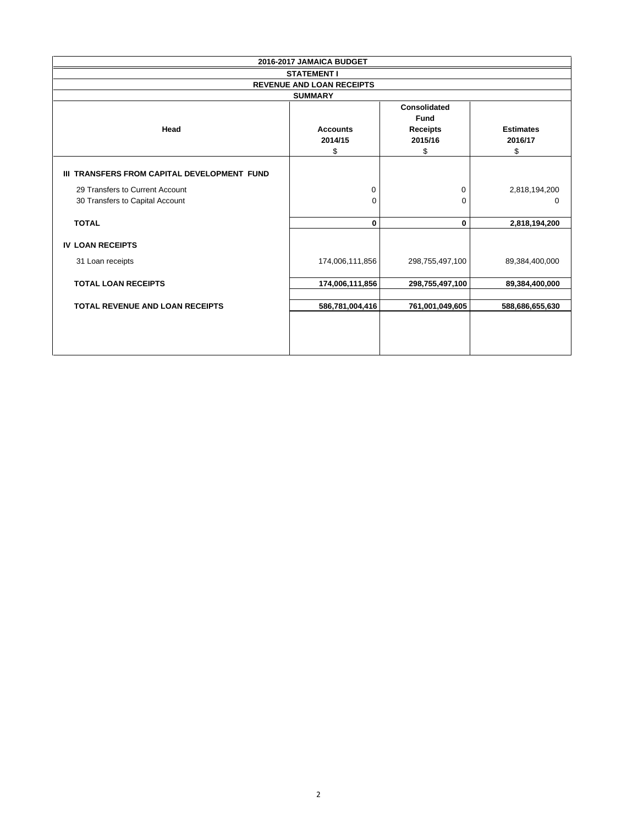|                                             | 2016-2017 JAMAICA BUDGET                           |                                                                 |                                   |
|---------------------------------------------|----------------------------------------------------|-----------------------------------------------------------------|-----------------------------------|
|                                             | <b>STATEMENT I</b>                                 |                                                                 |                                   |
|                                             | <b>REVENUE AND LOAN RECEIPTS</b>                   |                                                                 |                                   |
| Head                                        | <b>SUMMARY</b><br><b>Accounts</b><br>2014/15<br>\$ | <b>Consolidated</b><br>Fund<br><b>Receipts</b><br>2015/16<br>\$ | <b>Estimates</b><br>2016/17<br>\$ |
| III TRANSFERS FROM CAPITAL DEVELOPMENT FUND |                                                    |                                                                 |                                   |
| 29 Transfers to Current Account             | 0                                                  | 0                                                               | 2,818,194,200                     |
| 30 Transfers to Capital Account             | 0                                                  | $\Omega$                                                        | 0                                 |
| <b>TOTAL</b>                                | 0                                                  | 0                                                               | 2,818,194,200                     |
| <b>IV LOAN RECEIPTS</b>                     |                                                    |                                                                 |                                   |
| 31 Loan receipts                            | 174,006,111,856                                    | 298,755,497,100                                                 | 89,384,400,000                    |
| <b>TOTAL LOAN RECEIPTS</b>                  | 174,006,111,856                                    | 298,755,497,100                                                 | 89,384,400,000                    |
| <b>TOTAL REVENUE AND LOAN RECEIPTS</b>      | 586,781,004,416                                    | 761,001,049,605                                                 | 588,686,655,630                   |
|                                             |                                                    |                                                                 |                                   |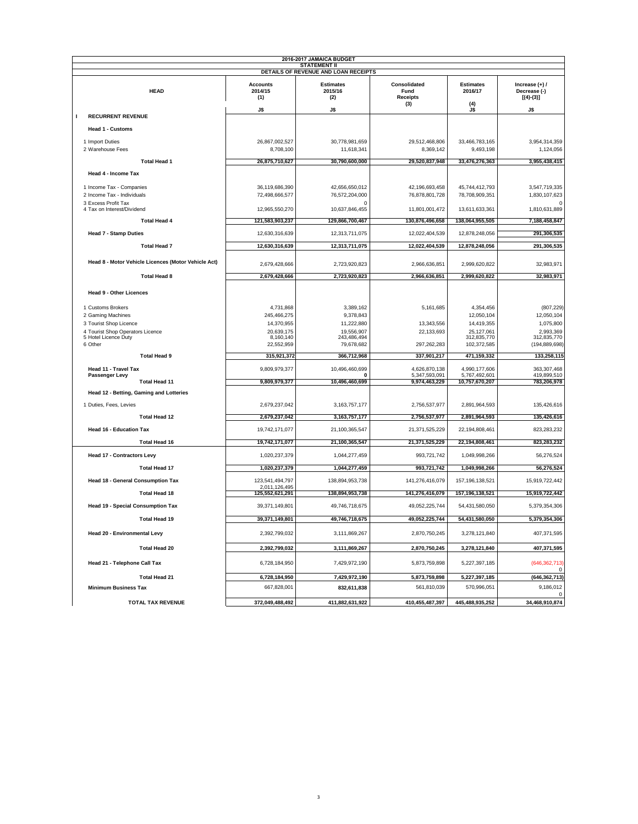|                                                     |                                   | 2016-2017 JAMAICA BUDGET<br><b>STATEMENT II</b> |                                                |                                    |                                                 |
|-----------------------------------------------------|-----------------------------------|-------------------------------------------------|------------------------------------------------|------------------------------------|-------------------------------------------------|
|                                                     |                                   | DETAILS OF REVENUE AND LOAN RECEIPTS            |                                                |                                    |                                                 |
| <b>HEAD</b>                                         | <b>Accounts</b><br>2014/15<br>(1) | <b>Estimates</b><br>2015/16<br>(2)              | Consolidated<br>Fund<br><b>Receipts</b><br>(3) | <b>Estimates</b><br>2016/17<br>(4) | Increase $(+)$ /<br>Decrease (-)<br>$[(4)-(3)]$ |
| <b>RECURRENT REVENUE</b><br>1                       | J\$                               | J\$                                             |                                                | J\$                                | J\$                                             |
|                                                     |                                   |                                                 |                                                |                                    |                                                 |
| <b>Head 1 - Customs</b>                             |                                   |                                                 |                                                |                                    |                                                 |
| 1 Import Duties<br>2 Warehouse Fees                 | 26,867,002,527<br>8,708,100       | 30,778,981,659<br>11,618,341                    | 29,512,468,806<br>8,369,142                    | 33,466,783,165<br>9,493,198        | 3,954,314,359<br>1,124,056                      |
| <b>Total Head 1</b>                                 | 26,875,710,627                    | 30,790,600,000                                  | 29,520,837,948                                 | 33,476,276,363                     | 3,955,438,415                                   |
| Head 4 - Income Tax                                 |                                   |                                                 |                                                |                                    |                                                 |
| 1 Income Tax - Companies                            | 36.119.686.390                    | 42.656.650.012                                  | 42,196,693,458                                 | 45,744,412,793                     | 3,547,719,335                                   |
| 2 Income Tax - Individuals                          | 72,498,666,577                    | 76,572,204,000                                  | 76,878,801,728                                 | 78,708,909,351                     | 1,830,107,623                                   |
| 3 Excess Profit Tax                                 |                                   | O                                               |                                                |                                    |                                                 |
| 4 Tax on Interest/Dividend                          | 12,965,550,270                    | 10,637,846,455                                  | 11,801,001,472                                 | 13,611,633,361                     | 1,810,631,889                                   |
| <b>Total Head 4</b>                                 | 121,583,903,237                   | 129,866,700,467                                 | 130,876,496,658                                | 138,064,955,505                    | 7,188,458,847                                   |
| <b>Head 7 - Stamp Duties</b>                        | 12,630,316,639                    | 12,313,711,075                                  | 12,022,404,539                                 | 12,878,248,056                     | 291,306,535                                     |
| <b>Total Head 7</b>                                 | 12,630,316,639                    | 12,313,711,075                                  | 12,022,404,539                                 | 12,878,248,056                     | 291,306,535                                     |
| Head 8 - Motor Vehicle Licences (Motor Vehicle Act) | 2,679,428,666                     | 2,723,920,823                                   | 2,966,636,851                                  | 2,999,620,822                      | 32,983,971                                      |
| <b>Total Head 8</b>                                 | 2,679,428,666                     | 2,723,920,823                                   | 2,966,636,851                                  | 2,999,620,822                      | 32,983,971                                      |
| <b>Head 9 - Other Licences</b>                      |                                   |                                                 |                                                |                                    |                                                 |
| 1 Customs Brokers                                   | 4,731,868                         | 3,389,162                                       | 5,161,685                                      | 4,354,456                          | (807, 229)                                      |
| 2 Gaming Machines                                   | 245,466,275                       | 9,378,843                                       |                                                | 12,050,104                         | 12,050,104                                      |
| 3 Tourist Shop Licence                              | 14,370,955                        | 11,222,880                                      | 13,343,556                                     | 14,419,355                         | 1,075,800                                       |
| 4 Tourist Shop Operators Licence                    | 20,639,175                        | 19,556,907                                      | 22,133,693                                     | 25,127,061                         | 2,993,369                                       |
| 5 Hotel Licence Duty<br>6 Other                     | 8,160,140<br>22,552,959           | 243,486,494<br>79,678,682                       | 297,262,283                                    | 312,835,770<br>102,372,585         | 312,835,770<br>(194, 889, 698)                  |
| <b>Total Head 9</b>                                 | 315,921,372                       | 366,712,968                                     | 337,901,217                                    | 471,159,332                        | 133,258,115                                     |
| Head 11 - Travel Tax                                | 9,809,979,377                     | 10,496,460,699                                  | 4,626,870,138                                  | 4,990,177,606                      | 363,307,468                                     |
| Passenger Levy<br><b>Total Head 11</b>              | 9,809,979,377                     | 0<br>10,496,460,699                             | 5,347,593,091<br>9,974,463,229                 | 5,767,492,601<br>10,757,670,207    | 419,899,510<br>783,206,978                      |
| Head 12 - Betting, Gaming and Lotteries             |                                   |                                                 |                                                |                                    |                                                 |
| 1 Duties, Fees, Levies                              | 2,679,237,042                     | 3, 163, 757, 177                                | 2,756,537,977                                  | 2,891,964,593                      | 135,426,616                                     |
| <b>Total Head 12</b>                                | 2,679,237,042                     | 3, 163, 757, 177                                | 2,756,537,977                                  | 2,891,964,593                      | 135,426,616                                     |
| <b>Head 16 - Education Tax</b>                      | 19,742,171,077                    | 21,100,365,547                                  | 21,371,525,229                                 | 22,194,808,461                     | 823,283,232                                     |
| Total Head 16                                       | 19,742,171,077                    | 21,100,365,547                                  | 21,371,525,229                                 | 22,194,808,461                     | 823,283,232                                     |
| <b>Head 17 - Contractors Levy</b>                   | 1,020,237,379                     | 1,044,277,459                                   | 993,721,742                                    | 1,049,998,266                      | 56,276,524                                      |
| <b>Total Head 17</b>                                | 1,020,237,379                     | 1,044,277,459                                   | 993,721,742                                    | 1,049,998,266                      | 56,276,524                                      |
| Head 18 - General Consumption Tax                   | 123,541,494,797<br>2,011,126,495  | 138,894,953,738                                 | 141,276,416,079                                | 157, 196, 138, 521                 | 15,919,722,442                                  |
| <b>Total Head 18</b>                                | 125,552,621,291                   | 138,894,953,738                                 | 141,276,416,079                                | 157,196,138,521                    | 15,919,722,442                                  |
| <b>Head 19 - Special Consumption Tax</b>            | 39,371,149,801                    | 49,746,718,675                                  | 49,052,225,744                                 | 54,431,580,050                     | 5,379,354,306                                   |
| <b>Total Head 19</b>                                | 39,371,149,801                    | 49,746,718,675                                  | 49,052,225,744                                 | 54,431,580,050                     | 5,379,354,306                                   |
| <b>Head 20 - Environmental Levy</b>                 | 2,392,799,032                     | 3,111,869,267                                   | 2,870,750,245                                  | 3,278,121,840                      | 407,371,595                                     |
| <b>Total Head 20</b>                                | 2,392,799,032                     | 3,111,869,267                                   | 2,870,750,245                                  | 3,278,121,840                      | 407,371,595                                     |
| Head 21 - Telephone Call Tax                        | 6,728,184,950                     | 7,429,972,190                                   | 5,873,759,898                                  | 5,227,397,185                      | (646, 362, 713)<br>0                            |
| <b>Total Head 21</b>                                | 6,728,184,950                     | 7,429,972,190                                   | 5,873,759,898                                  | 5,227,397,185                      | (646, 362, 713)                                 |
| <b>Minimum Business Tax</b>                         | 667,828,001                       | 832,611,838                                     | 561,810,039                                    | 570,996,051                        | 9,186,012                                       |
| <b>TOTAL TAX REVENUE</b>                            | 372,049,488,492                   | 411,882,631,922                                 | 410,455,487,397                                | 445,488,935,252                    | $\,0\,$<br>34,468,910,874                       |
|                                                     |                                   |                                                 |                                                |                                    |                                                 |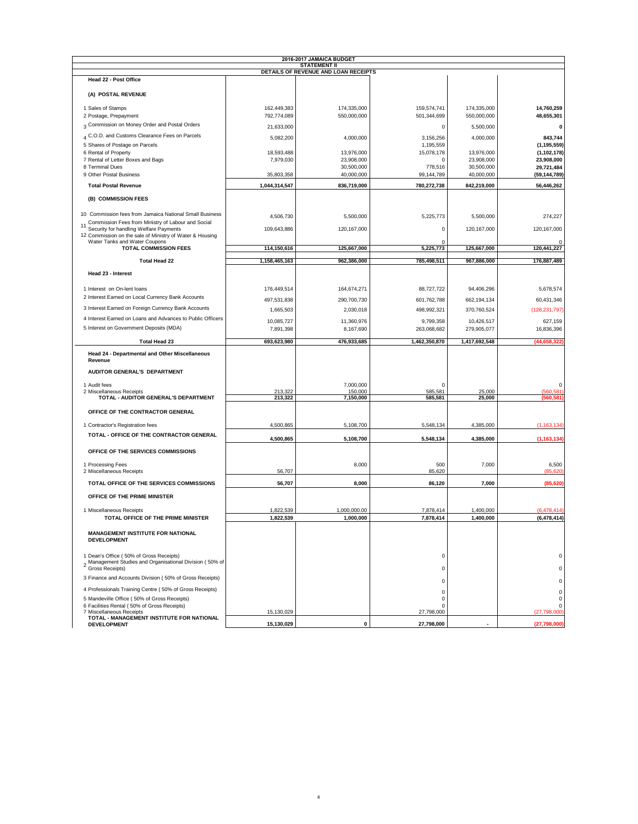|                                                                                                                          |                    | <b>STATEMENT II</b>                  |                         |                  |                                |
|--------------------------------------------------------------------------------------------------------------------------|--------------------|--------------------------------------|-------------------------|------------------|--------------------------------|
| Head 22 - Post Office                                                                                                    |                    | DETAILS OF REVENUE AND LOAN RECEIPTS |                         |                  |                                |
| (A) POSTAL REVENUE                                                                                                       |                    |                                      |                         |                  |                                |
| 1 Sales of Stamps                                                                                                        | 162,449,383        | 174,335,000                          | 159,574,741             | 174,335,000      | 14,760,259                     |
| 2 Postage, Prepayment                                                                                                    | 792,774,089        | 550,000,000                          | 501,344,699             | 550,000,000      | 48,655,301                     |
| 3 Commission on Money Order and Postal Orders                                                                            | 21,633,000         |                                      | 0                       | 5,500,000        | $\mathbf 0$                    |
| 4 C.O.D. and Customs Clearance Fees on Parcels                                                                           |                    |                                      |                         |                  |                                |
|                                                                                                                          | 5,082,200          | 4,000,000                            | 3,156,256               | 4,000,000        | 843,744                        |
| 5 Shares of Postage on Parcels<br>6 Rental of Property                                                                   | 18,593,488         | 13,976,000                           | 1,195,559<br>15,078,178 | 13,976,000       | (1, 195, 559)<br>(1, 102, 178) |
| 7 Rental of Letter Boxes and Bags                                                                                        | 7,979,030          | 23,908,000                           | 0                       | 23,908,000       | 23,908,000                     |
| 8 Terminal Dues                                                                                                          |                    | 30,500,000                           | 778,516                 | 30,500,000       | 29,721,484                     |
| 9 Other Postal Business                                                                                                  | 35,803,358         | 40,000,000                           | 99,144,789              | 40,000,000       | (59, 144, 789)                 |
| <b>Total Postal Revenue</b>                                                                                              | 1,044,314,547      | 836,719,000                          | 780,272,738             | 842,219,000      | 56,446,262                     |
| (B) COMMISSION FEES                                                                                                      |                    |                                      |                         |                  |                                |
| 10 Commission fees from Jamaica National Small Business                                                                  | 4,506,730          | 5,500,000                            | 5,225,773               | 5,500,000        | 274,227                        |
| Commission Fees from Ministry of Labour and Social<br>11<br>Security for handling Welfare Payments                       | 109,643,886        | 120,167,000                          | 0                       | 120,167,000      | 120, 167, 000                  |
| 12 Commission on the sale of Ministry of Water & Housing                                                                 |                    |                                      |                         |                  |                                |
| Water Tanks and Water Coupons                                                                                            |                    |                                      |                         |                  |                                |
| <b>TOTAL COMMISSION FEES</b>                                                                                             | 114,150,616        | 125,667,000                          | 5,225,773               | 125,667,000      | 120,441,227                    |
| <b>Total Head 22</b>                                                                                                     | 1,158,465,163      | 962,386,000                          | 785,498,511             | 967,886,000      | 176,887,489                    |
| Head 23 - Interest                                                                                                       |                    |                                      |                         |                  |                                |
| 1 Interest on On-lent loans                                                                                              | 176,449,514        | 164,674,271                          | 88,727,722              | 94,406,296       | 5,678,574                      |
| 2 Interest Earned on Local Currency Bank Accounts                                                                        | 497,531,838        | 290,700,730                          | 601,762,788             | 662,194,134      | 60,431,346                     |
| 3 Interest Earned on Foreign Currency Bank Accounts                                                                      |                    |                                      |                         | 370,760,524      |                                |
| 4 Interest Earned on Loans and Advances to Public Officers                                                               | 1,665,503          | 2,030,018                            | 498,992,321             |                  | (128, 231, 797)                |
|                                                                                                                          | 10,085,727         | 11,360,976                           | 9,799,358               | 10,426,517       | 627,159                        |
| 5 Interest on Government Deposits (MDA)                                                                                  | 7,891,398          | 8,167,690                            | 263,068,682             | 279,905,077      | 16,836,396                     |
| <b>Total Head 23</b>                                                                                                     | 693,623,980        | 476,933,685                          | 1,462,350,870           | 1,417,692,548    | (44, 658, 322)                 |
| Head 24 - Departmental and Other Miscellaneous<br>Revenue                                                                |                    |                                      |                         |                  |                                |
| AUDITOR GENERAL'S DEPARTMENT                                                                                             |                    |                                      |                         |                  |                                |
| 1 Audit fees                                                                                                             |                    | 7,000,000                            | 0                       |                  | $\Omega$                       |
| 2 Miscellaneous Receipts<br>TOTAL - AUDITOR GENERAL'S DEPARTMENT                                                         | 213,322<br>213,322 | 150,000<br>7,150,000                 | 585,581<br>585,581      | 25,000<br>25,000 | (560, 581)<br>(560, 581)       |
|                                                                                                                          |                    |                                      |                         |                  |                                |
| OFFICE OF THE CONTRACTOR GENERAL                                                                                         |                    |                                      |                         |                  |                                |
|                                                                                                                          |                    |                                      |                         |                  |                                |
| 1 Contractor's Registration fees                                                                                         | 4,500,865          | 5,108,700                            | 5,548,134               | 4,385,000        | (1, 163, 134)                  |
| TOTAL - OFFICE OF THE CONTRACTOR GENERAL                                                                                 | 4,500,865          | 5,108,700                            | 5,548,134               | 4,385,000        | (1, 163, 134)                  |
| OFFICE OF THE SERVICES COMMISSIONS                                                                                       |                    |                                      |                         |                  |                                |
| 1 Processing Fees<br>2 Miscellaneous Receipts                                                                            | 56,707             | 8,000                                | 500<br>85,620           | 7,000            | 6,500<br>(85, 620)             |
| TOTAL OFFICE OF THE SERVICES COMMISSIONS                                                                                 | 56,707             | 8,000                                | 86,120                  | 7,000            | (85, 620)                      |
| OFFICE OF THE PRIME MINISTER                                                                                             |                    |                                      |                         |                  |                                |
| 1 Miscellaneous Receipts                                                                                                 | 1,822,539          | 1,000,000.00                         | 7,878,414               | 1,400,000        | (6, 478, 414)                  |
| TOTAL OFFICE OF THE PRIME MINISTER                                                                                       | 1,822,539          | 1,000,000                            | 7,878,414               | 1,400,000        | (6, 478, 414)                  |
| <b>MANAGEMENT INSTITUTE FOR NATIONAL</b><br><b>DEVELOPMENT</b>                                                           |                    |                                      |                         |                  |                                |
| 1 Dean's Office (50% of Gross Receipts)<br>2 Management Studies and Organisational Division (50% of<br>2 Gross Receipts) |                    |                                      | 0                       |                  | 0<br>$\Omega$                  |
| 3 Finance and Accounts Division (50% of Gross Receipts)                                                                  |                    |                                      | 0                       |                  | $\Omega$                       |
| 4 Professionals Training Centre (50% of Gross Receipts)                                                                  |                    |                                      | 0                       |                  |                                |
|                                                                                                                          |                    |                                      | 0                       |                  | 0                              |
| 5 Mandeville Office (50% of Gross Receipts)<br>6 Facilities Rental (50% of Gross Receipts)                               |                    |                                      | 0<br>0                  |                  | $\mathbf 0$<br>0               |
|                                                                                                                          |                    |                                      |                         |                  |                                |
| 7 Miscellaneous Receipts<br>TOTAL - MANAGEMENT INSTITUTE FOR NATIONAL                                                    | 15,130,029         |                                      | 27,798,000              |                  | (27,798,000)                   |

4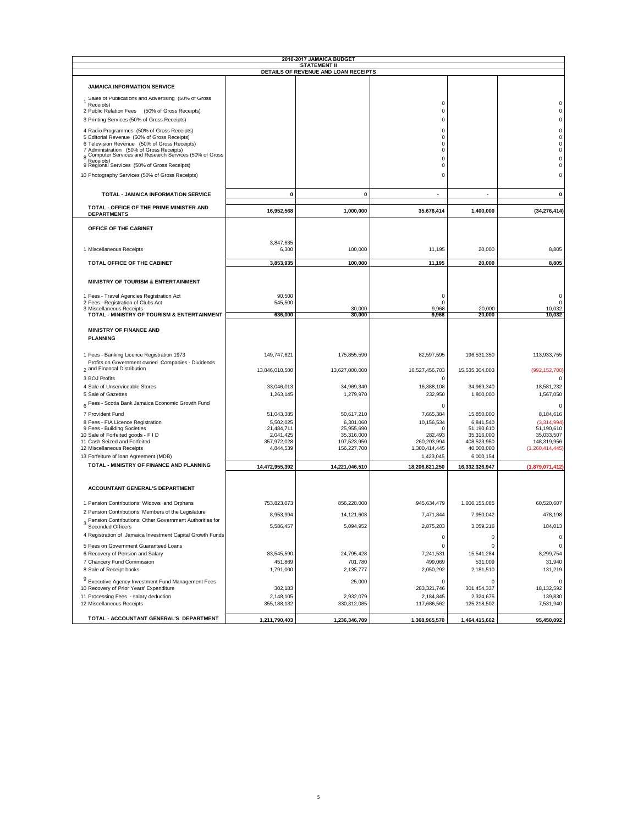| <b>STATEMENT II</b><br>DETAILS OF REVENUE AND LOAN RECEIPTS<br><b>JAMAICA INFORMATION SERVICE</b><br>Sales of Publications and Advertising (50% of Gross<br>$\mathbf 0$<br>Receipts)<br>$\mathbf 0$<br>2 Public Relation Fees (50% of Gross Receipts)<br>3 Printing Services (50% of Gross Receipts)<br>$\mathbf 0$<br>4 Radio Programmes (50% of Gross Receipts)<br>$\bf 0$ | 0                              |
|------------------------------------------------------------------------------------------------------------------------------------------------------------------------------------------------------------------------------------------------------------------------------------------------------------------------------------------------------------------------------|--------------------------------|
|                                                                                                                                                                                                                                                                                                                                                                              |                                |
|                                                                                                                                                                                                                                                                                                                                                                              |                                |
|                                                                                                                                                                                                                                                                                                                                                                              |                                |
|                                                                                                                                                                                                                                                                                                                                                                              |                                |
|                                                                                                                                                                                                                                                                                                                                                                              | 0                              |
|                                                                                                                                                                                                                                                                                                                                                                              | 0                              |
|                                                                                                                                                                                                                                                                                                                                                                              |                                |
|                                                                                                                                                                                                                                                                                                                                                                              | 0                              |
| 5 Editorial Revenue (50% of Gross Receipts)<br>$\mathbf 0$<br>6 Television Revenue (50% of Gross Receipts)<br>$\mathbf 0$                                                                                                                                                                                                                                                    | $\mathbf 0$<br>$\mathbf 0$     |
| 7 Administration (50% of Gross Receipts)<br>$\Omega$                                                                                                                                                                                                                                                                                                                         | 0                              |
| Computer Services and Research Services (50% of Gross<br>$\mathsf{C}$<br>Receipts)                                                                                                                                                                                                                                                                                           | 0                              |
| 9 Regional Services (50% of Gross Receipts)<br>$\mathbf 0$                                                                                                                                                                                                                                                                                                                   | 0                              |
| 10 Photography Services (50% of Gross Receipts)<br>$\mathsf{C}$                                                                                                                                                                                                                                                                                                              | 0                              |
|                                                                                                                                                                                                                                                                                                                                                                              |                                |
| TOTAL - JAMAICA INFORMATION SERVICE<br>0<br>0                                                                                                                                                                                                                                                                                                                                | 0                              |
| TOTAL - OFFICE OF THE PRIME MINISTER AND                                                                                                                                                                                                                                                                                                                                     |                                |
| 16,952,568<br>1,000,000<br>35,676,414<br>1,400,000<br><b>DEPARTMENTS</b>                                                                                                                                                                                                                                                                                                     | (34, 276, 414)                 |
| OFFICE OF THE CABINET                                                                                                                                                                                                                                                                                                                                                        |                                |
| 3,847,635                                                                                                                                                                                                                                                                                                                                                                    |                                |
| 100,000<br>11,195<br>20,000<br>1 Miscellaneous Receipts<br>6,300                                                                                                                                                                                                                                                                                                             | 8,805                          |
| TOTAL OFFICE OF THE CABINET<br>3,853,935<br>100,000<br>11,195<br>20,000                                                                                                                                                                                                                                                                                                      | 8,805                          |
|                                                                                                                                                                                                                                                                                                                                                                              |                                |
| MINISTRY OF TOURISM & ENTERTAINMENT                                                                                                                                                                                                                                                                                                                                          |                                |
| 1 Fees - Travel Agencies Registration Act<br>90,500<br>C                                                                                                                                                                                                                                                                                                                     | 0                              |
| 2 Fees - Registration of Clubs Act<br>545.500<br>0                                                                                                                                                                                                                                                                                                                           | 0                              |
| 3 Miscellaneous Receipts<br>30,000<br>9,968<br>20,000<br>636.000                                                                                                                                                                                                                                                                                                             | 10.032                         |
| TOTAL - MINISTRY OF TOURISM & ENTERTAINMENT<br>30,000<br>9,968<br>20,000                                                                                                                                                                                                                                                                                                     | 10,032                         |
| MINISTRY OF FINANCE AND                                                                                                                                                                                                                                                                                                                                                      |                                |
| <b>PLANNING</b>                                                                                                                                                                                                                                                                                                                                                              |                                |
|                                                                                                                                                                                                                                                                                                                                                                              |                                |
| 1 Fees - Banking Licence Registration 1973<br>149,747,621<br>175,855,590<br>82,597,595<br>196,531,350                                                                                                                                                                                                                                                                        | 113,933,755                    |
| Profits on Government owned Companies - Dividends<br>2 and Financal Distribution                                                                                                                                                                                                                                                                                             |                                |
| 13,846,010,500<br>13,627,000,000<br>16,527,456,703<br>15,535,304,003                                                                                                                                                                                                                                                                                                         | (992, 152, 700)                |
| 3 BOJ Profits<br>C                                                                                                                                                                                                                                                                                                                                                           | 0                              |
| 4 Sale of Unserviceable Stores<br>33,046,013<br>34,969,340<br>16,388,108<br>34,969,340                                                                                                                                                                                                                                                                                       | 18,581,232                     |
| 5 Sale of Gazettes<br>1,279,970<br>232,950<br>1,800,000<br>1,263,145                                                                                                                                                                                                                                                                                                         | 1,567,050                      |
| 6 Fees - Scotia Bank Jamaica Economic Growth Fund<br>$\Omega$                                                                                                                                                                                                                                                                                                                | 0                              |
| 7 Provident Fund<br>51,043,385<br>50,617,210<br>7,665,384<br>15,850,000                                                                                                                                                                                                                                                                                                      | 8,184,616                      |
| 8 Fees - FIA Licence Registration<br>5,502,025<br>6,841,540<br>6,301,060<br>10,156,534                                                                                                                                                                                                                                                                                       | (3,314,994)                    |
| 9 Fees - Building Societies<br>21,484,711<br>25,955,690<br>51,190,610<br>C                                                                                                                                                                                                                                                                                                   | 51,190,610                     |
| 10 Sale of Forfeited goods - F I D<br>2,041,425<br>35,316,000<br>282,493<br>35,316,000                                                                                                                                                                                                                                                                                       | 35,033,507                     |
| 11 Cash Seized and Forfeited<br>357,972,028<br>107,523,950<br>260,203,994<br>408,523,950<br>40,000,000<br>12 Miscellaneous Receipts<br>4,844,539<br>156,227,700<br>1,300,414,445                                                                                                                                                                                             | 148,319,956<br>(1,260,414,445) |
| 1,423,045<br>13 Forfeiture of Ioan Agreement (MDB)<br>6,000,154                                                                                                                                                                                                                                                                                                              |                                |
| TOTAL - MINISTRY OF FINANCE AND PLANNING<br>14,472,955,392<br>14,221,046,510<br>18,206,821,250<br>16,332,326,947                                                                                                                                                                                                                                                             | (1,879,071,412)                |
|                                                                                                                                                                                                                                                                                                                                                                              |                                |
| <b>ACCOUNTANT GENERAL'S DEPARTMENT</b>                                                                                                                                                                                                                                                                                                                                       |                                |
| 856,228,000<br>945,634,479                                                                                                                                                                                                                                                                                                                                                   |                                |
| 1 Pension Contributions: Widows and Orphans<br>753,823,073<br>1,006,155,085<br>2 Pension Contributions: Members of the Legislature                                                                                                                                                                                                                                           | 60,520,607                     |
| 8,953,994<br>14,121,608<br>7,471,844<br>7,950,042                                                                                                                                                                                                                                                                                                                            | 478,198                        |
| Pension Contributions: Other Government Authorities for<br>3 Seconded Officers<br>2,875,203<br>5,586,457<br>5,094,952<br>3,059,216                                                                                                                                                                                                                                           | 184,013                        |
| 4 Registration of Jamaica Investment Capital Growth Funds<br>$\pmb{0}$<br>0                                                                                                                                                                                                                                                                                                  | 0                              |
| 0<br>5 Fees on Government Guaranteed Loans<br>$\Omega$                                                                                                                                                                                                                                                                                                                       | $\mathsf 0$                    |
| 6 Recovery of Pension and Salary<br>83,545,590<br>24,795,428<br>7,241,531<br>15,541,284                                                                                                                                                                                                                                                                                      | 8,299,754                      |
| 701,780<br>7 Chancery Fund Commission<br>451,869<br>499,069<br>531,009                                                                                                                                                                                                                                                                                                       | 31,940                         |
| 8 Sale of Receipt books<br>1,791,000<br>2,135,777<br>2,050,292<br>2,181,510                                                                                                                                                                                                                                                                                                  | 131,219                        |
| <sup>9</sup> Executive Agency Investment Fund Management Fees<br>25,000<br>$\mathsf{C}$<br>$\Omega$                                                                                                                                                                                                                                                                          | $\Omega$                       |
| 10 Recovery of Prior Years' Expenditure<br>283,321,746<br>301,454,337<br>302,183                                                                                                                                                                                                                                                                                             | 18,132,592                     |
| 11 Processing Fees - salary deduction<br>2,148,105<br>2,324,675<br>2,932,079<br>2,184,845                                                                                                                                                                                                                                                                                    | 139,830                        |
| 12 Miscellaneous Receipts<br>355, 188, 132<br>330,312,085<br>117,686,562<br>125,218,502                                                                                                                                                                                                                                                                                      | 7,531,940                      |
| TOTAL - ACCOUNTANT GENERAL'S DEPARTMENT<br>1,211,790,403<br>1,236,346,709<br>1,368,965,570<br>1,464,415,662                                                                                                                                                                                                                                                                  | 95,450,092                     |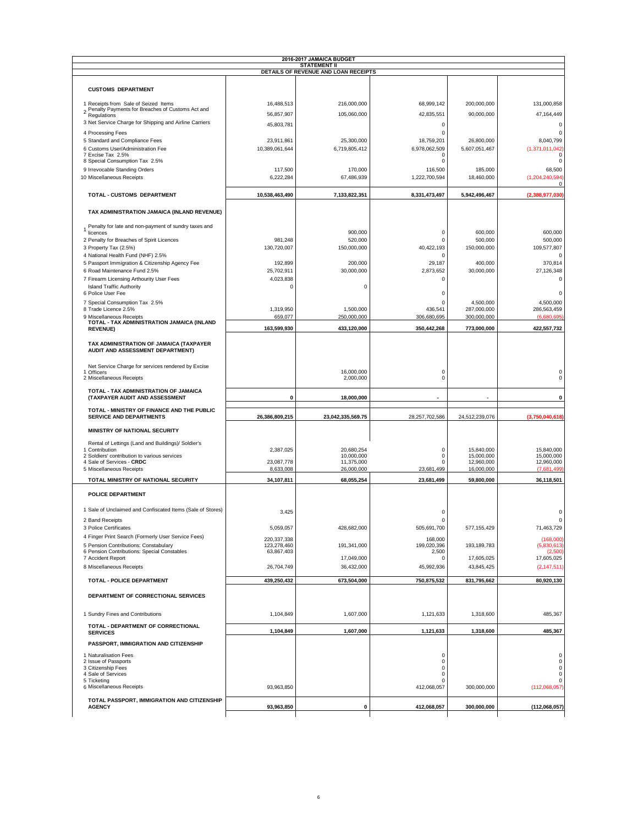| <b>STATEMENT II</b><br>DETAILS OF REVENUE AND LOAN RECEIPTS<br><b>CUSTOMS DEPARTMENT</b><br>1 Receipts from Sale of Seized Items<br>16,488,513<br>216,000,000<br>68,999,142<br>200,000,000<br>2 Penalty Payments for Breaches of Customs Act and<br>Regulations<br>90,000,000<br>56,857,907<br>105,060,000<br>42,835,551<br>3 Net Service Charge for Shipping and Airline Carriers<br>45,803,781<br>0<br>$\mathbf 0$<br>4 Processing Fees<br>5 Standard and Compliance Fees<br>23,911,861<br>25,300,000<br>18,759,201<br>26,800,000<br>6 Customs User/Administration Fee<br>6,719,805,412<br>5,607,051,467<br>10,389,061,644<br>6,978,062,509<br>7 Excise Tax 2.5%<br>$\Omega$<br>8 Special Consumption Tax 2.5%<br>0<br>9 Irrevocable Standing Orders<br>117,500<br>116,500<br>170,000<br>185,000<br>10 Miscellaneous Receipts<br>6,222,284<br>67,486,939<br>1,222,700,594<br>18,460,000<br><b>TOTAL - CUSTOMS DEPARTMENT</b><br>10,538,463,490<br>7,133,822,351<br>8,331,473,497<br>5,942,496,467<br>TAX ADMINISTRATION JAMAICA (INLAND REVENUE)<br>Penalty for late and non-payment of sundry taxes and<br>900,000<br>$\mathbf 0$<br>600,000<br>licences<br>2 Penalty for Breaches of Spirit Licences<br>981,248<br>520,000<br>$\mathbf 0$<br>500,000<br>3 Property Tax (2.5%)<br>130,720,007<br>150,000,000<br>40,422,193<br>150,000,000<br>4 National Health Fund (NHF) 2.5%<br>$\Omega$<br>5 Passport Immigration & Citizenship Agency Fee<br>192,899<br>200,000<br>29,187<br>400,000<br>6 Road Maintenance Fund 2.5%<br>25,702,911<br>30,000,000<br>2,873,652<br>30,000,000<br>7 Firearm Licensing Arthourity User Fees<br>4,023,838<br>$\mathbf 0$<br><b>Island Traffic Authority</b><br>$\pmb{0}$<br>0<br>6 Police User Fee<br>$\mathbf 0$<br>7 Special Consumption Tax 2.5%<br>4,500,000<br>$\Omega$ | 131,000,858<br>47, 164, 449<br>$\mathsf 0$<br>$\mathbf 0$<br>8,040,799<br>(1,371,011,042)<br>$\Omega$<br>0<br>68,500<br>(1, 204, 240, 594)<br>$\mathsf 0$<br>(2,388,977,030)<br>600,000<br>500,000 |
|----------------------------------------------------------------------------------------------------------------------------------------------------------------------------------------------------------------------------------------------------------------------------------------------------------------------------------------------------------------------------------------------------------------------------------------------------------------------------------------------------------------------------------------------------------------------------------------------------------------------------------------------------------------------------------------------------------------------------------------------------------------------------------------------------------------------------------------------------------------------------------------------------------------------------------------------------------------------------------------------------------------------------------------------------------------------------------------------------------------------------------------------------------------------------------------------------------------------------------------------------------------------------------------------------------------------------------------------------------------------------------------------------------------------------------------------------------------------------------------------------------------------------------------------------------------------------------------------------------------------------------------------------------------------------------------------------------------------------------------------------------------------------------------------------------------|----------------------------------------------------------------------------------------------------------------------------------------------------------------------------------------------------|
|                                                                                                                                                                                                                                                                                                                                                                                                                                                                                                                                                                                                                                                                                                                                                                                                                                                                                                                                                                                                                                                                                                                                                                                                                                                                                                                                                                                                                                                                                                                                                                                                                                                                                                                                                                                                                |                                                                                                                                                                                                    |
|                                                                                                                                                                                                                                                                                                                                                                                                                                                                                                                                                                                                                                                                                                                                                                                                                                                                                                                                                                                                                                                                                                                                                                                                                                                                                                                                                                                                                                                                                                                                                                                                                                                                                                                                                                                                                |                                                                                                                                                                                                    |
|                                                                                                                                                                                                                                                                                                                                                                                                                                                                                                                                                                                                                                                                                                                                                                                                                                                                                                                                                                                                                                                                                                                                                                                                                                                                                                                                                                                                                                                                                                                                                                                                                                                                                                                                                                                                                |                                                                                                                                                                                                    |
|                                                                                                                                                                                                                                                                                                                                                                                                                                                                                                                                                                                                                                                                                                                                                                                                                                                                                                                                                                                                                                                                                                                                                                                                                                                                                                                                                                                                                                                                                                                                                                                                                                                                                                                                                                                                                |                                                                                                                                                                                                    |
|                                                                                                                                                                                                                                                                                                                                                                                                                                                                                                                                                                                                                                                                                                                                                                                                                                                                                                                                                                                                                                                                                                                                                                                                                                                                                                                                                                                                                                                                                                                                                                                                                                                                                                                                                                                                                |                                                                                                                                                                                                    |
|                                                                                                                                                                                                                                                                                                                                                                                                                                                                                                                                                                                                                                                                                                                                                                                                                                                                                                                                                                                                                                                                                                                                                                                                                                                                                                                                                                                                                                                                                                                                                                                                                                                                                                                                                                                                                |                                                                                                                                                                                                    |
|                                                                                                                                                                                                                                                                                                                                                                                                                                                                                                                                                                                                                                                                                                                                                                                                                                                                                                                                                                                                                                                                                                                                                                                                                                                                                                                                                                                                                                                                                                                                                                                                                                                                                                                                                                                                                |                                                                                                                                                                                                    |
|                                                                                                                                                                                                                                                                                                                                                                                                                                                                                                                                                                                                                                                                                                                                                                                                                                                                                                                                                                                                                                                                                                                                                                                                                                                                                                                                                                                                                                                                                                                                                                                                                                                                                                                                                                                                                |                                                                                                                                                                                                    |
|                                                                                                                                                                                                                                                                                                                                                                                                                                                                                                                                                                                                                                                                                                                                                                                                                                                                                                                                                                                                                                                                                                                                                                                                                                                                                                                                                                                                                                                                                                                                                                                                                                                                                                                                                                                                                |                                                                                                                                                                                                    |
|                                                                                                                                                                                                                                                                                                                                                                                                                                                                                                                                                                                                                                                                                                                                                                                                                                                                                                                                                                                                                                                                                                                                                                                                                                                                                                                                                                                                                                                                                                                                                                                                                                                                                                                                                                                                                |                                                                                                                                                                                                    |
|                                                                                                                                                                                                                                                                                                                                                                                                                                                                                                                                                                                                                                                                                                                                                                                                                                                                                                                                                                                                                                                                                                                                                                                                                                                                                                                                                                                                                                                                                                                                                                                                                                                                                                                                                                                                                |                                                                                                                                                                                                    |
|                                                                                                                                                                                                                                                                                                                                                                                                                                                                                                                                                                                                                                                                                                                                                                                                                                                                                                                                                                                                                                                                                                                                                                                                                                                                                                                                                                                                                                                                                                                                                                                                                                                                                                                                                                                                                |                                                                                                                                                                                                    |
|                                                                                                                                                                                                                                                                                                                                                                                                                                                                                                                                                                                                                                                                                                                                                                                                                                                                                                                                                                                                                                                                                                                                                                                                                                                                                                                                                                                                                                                                                                                                                                                                                                                                                                                                                                                                                |                                                                                                                                                                                                    |
|                                                                                                                                                                                                                                                                                                                                                                                                                                                                                                                                                                                                                                                                                                                                                                                                                                                                                                                                                                                                                                                                                                                                                                                                                                                                                                                                                                                                                                                                                                                                                                                                                                                                                                                                                                                                                |                                                                                                                                                                                                    |
|                                                                                                                                                                                                                                                                                                                                                                                                                                                                                                                                                                                                                                                                                                                                                                                                                                                                                                                                                                                                                                                                                                                                                                                                                                                                                                                                                                                                                                                                                                                                                                                                                                                                                                                                                                                                                |                                                                                                                                                                                                    |
|                                                                                                                                                                                                                                                                                                                                                                                                                                                                                                                                                                                                                                                                                                                                                                                                                                                                                                                                                                                                                                                                                                                                                                                                                                                                                                                                                                                                                                                                                                                                                                                                                                                                                                                                                                                                                |                                                                                                                                                                                                    |
|                                                                                                                                                                                                                                                                                                                                                                                                                                                                                                                                                                                                                                                                                                                                                                                                                                                                                                                                                                                                                                                                                                                                                                                                                                                                                                                                                                                                                                                                                                                                                                                                                                                                                                                                                                                                                |                                                                                                                                                                                                    |
|                                                                                                                                                                                                                                                                                                                                                                                                                                                                                                                                                                                                                                                                                                                                                                                                                                                                                                                                                                                                                                                                                                                                                                                                                                                                                                                                                                                                                                                                                                                                                                                                                                                                                                                                                                                                                |                                                                                                                                                                                                    |
|                                                                                                                                                                                                                                                                                                                                                                                                                                                                                                                                                                                                                                                                                                                                                                                                                                                                                                                                                                                                                                                                                                                                                                                                                                                                                                                                                                                                                                                                                                                                                                                                                                                                                                                                                                                                                |                                                                                                                                                                                                    |
|                                                                                                                                                                                                                                                                                                                                                                                                                                                                                                                                                                                                                                                                                                                                                                                                                                                                                                                                                                                                                                                                                                                                                                                                                                                                                                                                                                                                                                                                                                                                                                                                                                                                                                                                                                                                                | 109,577,807                                                                                                                                                                                        |
|                                                                                                                                                                                                                                                                                                                                                                                                                                                                                                                                                                                                                                                                                                                                                                                                                                                                                                                                                                                                                                                                                                                                                                                                                                                                                                                                                                                                                                                                                                                                                                                                                                                                                                                                                                                                                | $\Omega$                                                                                                                                                                                           |
|                                                                                                                                                                                                                                                                                                                                                                                                                                                                                                                                                                                                                                                                                                                                                                                                                                                                                                                                                                                                                                                                                                                                                                                                                                                                                                                                                                                                                                                                                                                                                                                                                                                                                                                                                                                                                | 370,814                                                                                                                                                                                            |
|                                                                                                                                                                                                                                                                                                                                                                                                                                                                                                                                                                                                                                                                                                                                                                                                                                                                                                                                                                                                                                                                                                                                                                                                                                                                                                                                                                                                                                                                                                                                                                                                                                                                                                                                                                                                                | 27,126,348                                                                                                                                                                                         |
|                                                                                                                                                                                                                                                                                                                                                                                                                                                                                                                                                                                                                                                                                                                                                                                                                                                                                                                                                                                                                                                                                                                                                                                                                                                                                                                                                                                                                                                                                                                                                                                                                                                                                                                                                                                                                | $\mathsf 0$                                                                                                                                                                                        |
|                                                                                                                                                                                                                                                                                                                                                                                                                                                                                                                                                                                                                                                                                                                                                                                                                                                                                                                                                                                                                                                                                                                                                                                                                                                                                                                                                                                                                                                                                                                                                                                                                                                                                                                                                                                                                |                                                                                                                                                                                                    |
|                                                                                                                                                                                                                                                                                                                                                                                                                                                                                                                                                                                                                                                                                                                                                                                                                                                                                                                                                                                                                                                                                                                                                                                                                                                                                                                                                                                                                                                                                                                                                                                                                                                                                                                                                                                                                | $\mathbf 0$                                                                                                                                                                                        |
|                                                                                                                                                                                                                                                                                                                                                                                                                                                                                                                                                                                                                                                                                                                                                                                                                                                                                                                                                                                                                                                                                                                                                                                                                                                                                                                                                                                                                                                                                                                                                                                                                                                                                                                                                                                                                | 4,500,000                                                                                                                                                                                          |
| 8 Trade Licence 2.5%<br>287,000,000<br>1,319,950<br>1,500,000<br>436,541<br>250,000,000<br>306,680,695<br>300,000,000<br>9 Miscellaneous Receipts<br>659,077                                                                                                                                                                                                                                                                                                                                                                                                                                                                                                                                                                                                                                                                                                                                                                                                                                                                                                                                                                                                                                                                                                                                                                                                                                                                                                                                                                                                                                                                                                                                                                                                                                                   | 286,563,459<br>(6,680,695)                                                                                                                                                                         |
| TOTAL - TAX ADMINISTRATION JAMAICA (INLAND                                                                                                                                                                                                                                                                                                                                                                                                                                                                                                                                                                                                                                                                                                                                                                                                                                                                                                                                                                                                                                                                                                                                                                                                                                                                                                                                                                                                                                                                                                                                                                                                                                                                                                                                                                     |                                                                                                                                                                                                    |
| 163,599,930<br>433,120,000<br>350,442,268<br>773,000,000<br><b>REVENUE)</b>                                                                                                                                                                                                                                                                                                                                                                                                                                                                                                                                                                                                                                                                                                                                                                                                                                                                                                                                                                                                                                                                                                                                                                                                                                                                                                                                                                                                                                                                                                                                                                                                                                                                                                                                    | 422,557,732                                                                                                                                                                                        |
| TAX ADMINISTRATION OF JAMAICA (TAXPAYER<br>AUDIT AND ASSESSMENT DEPARTMENT)                                                                                                                                                                                                                                                                                                                                                                                                                                                                                                                                                                                                                                                                                                                                                                                                                                                                                                                                                                                                                                                                                                                                                                                                                                                                                                                                                                                                                                                                                                                                                                                                                                                                                                                                    |                                                                                                                                                                                                    |
| Net Service Charge for services rendered by Excise                                                                                                                                                                                                                                                                                                                                                                                                                                                                                                                                                                                                                                                                                                                                                                                                                                                                                                                                                                                                                                                                                                                                                                                                                                                                                                                                                                                                                                                                                                                                                                                                                                                                                                                                                             |                                                                                                                                                                                                    |
| 16,000,000<br>0<br>1 Officers<br>2 Miscellaneous Receipts<br>2,000,000<br>0                                                                                                                                                                                                                                                                                                                                                                                                                                                                                                                                                                                                                                                                                                                                                                                                                                                                                                                                                                                                                                                                                                                                                                                                                                                                                                                                                                                                                                                                                                                                                                                                                                                                                                                                    | 0<br>0                                                                                                                                                                                             |
|                                                                                                                                                                                                                                                                                                                                                                                                                                                                                                                                                                                                                                                                                                                                                                                                                                                                                                                                                                                                                                                                                                                                                                                                                                                                                                                                                                                                                                                                                                                                                                                                                                                                                                                                                                                                                |                                                                                                                                                                                                    |
| TOTAL - TAX ADMINISTRATION OF JAMAICA<br>(TAXPAYER AUDIT AND ASSESSMENT<br>0<br>18,000,000                                                                                                                                                                                                                                                                                                                                                                                                                                                                                                                                                                                                                                                                                                                                                                                                                                                                                                                                                                                                                                                                                                                                                                                                                                                                                                                                                                                                                                                                                                                                                                                                                                                                                                                     | 0                                                                                                                                                                                                  |
| TOTAL - MINISTRY OF FINANCE AND THE PUBLIC<br>26,386,809,215<br>23,042,335,569.75<br>28,257,702,586<br>24,512,239,076<br><b>SERVICE AND DEPARTMENTS</b>                                                                                                                                                                                                                                                                                                                                                                                                                                                                                                                                                                                                                                                                                                                                                                                                                                                                                                                                                                                                                                                                                                                                                                                                                                                                                                                                                                                                                                                                                                                                                                                                                                                        | (3,750,040,618)                                                                                                                                                                                    |
|                                                                                                                                                                                                                                                                                                                                                                                                                                                                                                                                                                                                                                                                                                                                                                                                                                                                                                                                                                                                                                                                                                                                                                                                                                                                                                                                                                                                                                                                                                                                                                                                                                                                                                                                                                                                                |                                                                                                                                                                                                    |
| MINISTRY OF NATIONAL SECURITY                                                                                                                                                                                                                                                                                                                                                                                                                                                                                                                                                                                                                                                                                                                                                                                                                                                                                                                                                                                                                                                                                                                                                                                                                                                                                                                                                                                                                                                                                                                                                                                                                                                                                                                                                                                  |                                                                                                                                                                                                    |
| Rental of Lettings (Land and Buildings)/ Soldier's                                                                                                                                                                                                                                                                                                                                                                                                                                                                                                                                                                                                                                                                                                                                                                                                                                                                                                                                                                                                                                                                                                                                                                                                                                                                                                                                                                                                                                                                                                                                                                                                                                                                                                                                                             |                                                                                                                                                                                                    |
| 1 Contribution<br>2,387,025<br>20,680,254<br>0<br>15,840,000                                                                                                                                                                                                                                                                                                                                                                                                                                                                                                                                                                                                                                                                                                                                                                                                                                                                                                                                                                                                                                                                                                                                                                                                                                                                                                                                                                                                                                                                                                                                                                                                                                                                                                                                                   | 15,840,000                                                                                                                                                                                         |
| 2 Soldiers' contribution to various services<br>10,000,000<br>15,000,000<br>0<br>23,087,778<br>4 Sale of Services - CRDC<br>11,375,000<br>$\Omega$<br>12,960,000                                                                                                                                                                                                                                                                                                                                                                                                                                                                                                                                                                                                                                                                                                                                                                                                                                                                                                                                                                                                                                                                                                                                                                                                                                                                                                                                                                                                                                                                                                                                                                                                                                               | 15,000,000<br>12,960,000                                                                                                                                                                           |
| 5 Miscellaneous Receipts<br>8,633,008<br>26,000,000<br>23,681,499<br>16,000,000                                                                                                                                                                                                                                                                                                                                                                                                                                                                                                                                                                                                                                                                                                                                                                                                                                                                                                                                                                                                                                                                                                                                                                                                                                                                                                                                                                                                                                                                                                                                                                                                                                                                                                                                | (7,681,499)                                                                                                                                                                                        |
| TOTAL MINISTRY OF NATIONAL SECURITY<br>34,107,811<br>68.055.254<br>23,681,499<br>59.800.000                                                                                                                                                                                                                                                                                                                                                                                                                                                                                                                                                                                                                                                                                                                                                                                                                                                                                                                                                                                                                                                                                                                                                                                                                                                                                                                                                                                                                                                                                                                                                                                                                                                                                                                    | 36,118,501                                                                                                                                                                                         |
| <b>POLICE DEPARTMENT</b>                                                                                                                                                                                                                                                                                                                                                                                                                                                                                                                                                                                                                                                                                                                                                                                                                                                                                                                                                                                                                                                                                                                                                                                                                                                                                                                                                                                                                                                                                                                                                                                                                                                                                                                                                                                       |                                                                                                                                                                                                    |
|                                                                                                                                                                                                                                                                                                                                                                                                                                                                                                                                                                                                                                                                                                                                                                                                                                                                                                                                                                                                                                                                                                                                                                                                                                                                                                                                                                                                                                                                                                                                                                                                                                                                                                                                                                                                                |                                                                                                                                                                                                    |
| 1 Sale of Unclaimed and Confiscated Items (Sale of Stores)<br>3,425<br>0                                                                                                                                                                                                                                                                                                                                                                                                                                                                                                                                                                                                                                                                                                                                                                                                                                                                                                                                                                                                                                                                                                                                                                                                                                                                                                                                                                                                                                                                                                                                                                                                                                                                                                                                       | 0                                                                                                                                                                                                  |
| $\mathbf 0$<br>2 Band Receipts                                                                                                                                                                                                                                                                                                                                                                                                                                                                                                                                                                                                                                                                                                                                                                                                                                                                                                                                                                                                                                                                                                                                                                                                                                                                                                                                                                                                                                                                                                                                                                                                                                                                                                                                                                                 | 0                                                                                                                                                                                                  |
| 3 Police Certificates<br>5,059,057<br>428,682,000<br>505,691,700<br>577,155,429                                                                                                                                                                                                                                                                                                                                                                                                                                                                                                                                                                                                                                                                                                                                                                                                                                                                                                                                                                                                                                                                                                                                                                                                                                                                                                                                                                                                                                                                                                                                                                                                                                                                                                                                | 71,463,729                                                                                                                                                                                         |
| 4 Finger Print Search (Formerly User Service Fees)<br>220,337,338<br>168,000                                                                                                                                                                                                                                                                                                                                                                                                                                                                                                                                                                                                                                                                                                                                                                                                                                                                                                                                                                                                                                                                                                                                                                                                                                                                                                                                                                                                                                                                                                                                                                                                                                                                                                                                   | (168,000)                                                                                                                                                                                          |
| 5 Pension Contributions: Constabulary<br>123,278,460<br>191,341,000<br>199,020,396<br>193,189,783                                                                                                                                                                                                                                                                                                                                                                                                                                                                                                                                                                                                                                                                                                                                                                                                                                                                                                                                                                                                                                                                                                                                                                                                                                                                                                                                                                                                                                                                                                                                                                                                                                                                                                              | (5,830,613)                                                                                                                                                                                        |
| 6 Pension Contributions: Special Constables<br>63,867,403<br>2,500<br>7 Accident Report<br>17,049,000<br>17,605,025<br>$\Omega$                                                                                                                                                                                                                                                                                                                                                                                                                                                                                                                                                                                                                                                                                                                                                                                                                                                                                                                                                                                                                                                                                                                                                                                                                                                                                                                                                                                                                                                                                                                                                                                                                                                                                | (2,500)<br>17,605,025                                                                                                                                                                              |
| 8 Miscellaneous Receipts<br>26,704,749<br>36,432,000<br>45,992,936<br>43,845,425                                                                                                                                                                                                                                                                                                                                                                                                                                                                                                                                                                                                                                                                                                                                                                                                                                                                                                                                                                                                                                                                                                                                                                                                                                                                                                                                                                                                                                                                                                                                                                                                                                                                                                                               | (2, 147, 511)                                                                                                                                                                                      |
|                                                                                                                                                                                                                                                                                                                                                                                                                                                                                                                                                                                                                                                                                                                                                                                                                                                                                                                                                                                                                                                                                                                                                                                                                                                                                                                                                                                                                                                                                                                                                                                                                                                                                                                                                                                                                |                                                                                                                                                                                                    |
| 439,250,432<br>673,504,000<br>TOTAL - POLICE DEPARTMENT<br>750,875,532<br>831,795,662                                                                                                                                                                                                                                                                                                                                                                                                                                                                                                                                                                                                                                                                                                                                                                                                                                                                                                                                                                                                                                                                                                                                                                                                                                                                                                                                                                                                                                                                                                                                                                                                                                                                                                                          | 80,920,130                                                                                                                                                                                         |
| DEPARTMENT OF CORRECTIONAL SERVICES                                                                                                                                                                                                                                                                                                                                                                                                                                                                                                                                                                                                                                                                                                                                                                                                                                                                                                                                                                                                                                                                                                                                                                                                                                                                                                                                                                                                                                                                                                                                                                                                                                                                                                                                                                            |                                                                                                                                                                                                    |
| 1 Sundry Fines and Contributions<br>1,104,849<br>1,607,000<br>1.121.633<br>1,318,600                                                                                                                                                                                                                                                                                                                                                                                                                                                                                                                                                                                                                                                                                                                                                                                                                                                                                                                                                                                                                                                                                                                                                                                                                                                                                                                                                                                                                                                                                                                                                                                                                                                                                                                           | 485,367                                                                                                                                                                                            |
| TOTAL - DEPARTMENT OF CORRECTIONAL<br>1,104,849<br>1.607.000<br>1,121,633<br>1,318,600<br><b>SERVICES</b>                                                                                                                                                                                                                                                                                                                                                                                                                                                                                                                                                                                                                                                                                                                                                                                                                                                                                                                                                                                                                                                                                                                                                                                                                                                                                                                                                                                                                                                                                                                                                                                                                                                                                                      | 485,367                                                                                                                                                                                            |
| PASSPORT, IMMIGRATION AND CITIZENSHIP                                                                                                                                                                                                                                                                                                                                                                                                                                                                                                                                                                                                                                                                                                                                                                                                                                                                                                                                                                                                                                                                                                                                                                                                                                                                                                                                                                                                                                                                                                                                                                                                                                                                                                                                                                          |                                                                                                                                                                                                    |
|                                                                                                                                                                                                                                                                                                                                                                                                                                                                                                                                                                                                                                                                                                                                                                                                                                                                                                                                                                                                                                                                                                                                                                                                                                                                                                                                                                                                                                                                                                                                                                                                                                                                                                                                                                                                                |                                                                                                                                                                                                    |
|                                                                                                                                                                                                                                                                                                                                                                                                                                                                                                                                                                                                                                                                                                                                                                                                                                                                                                                                                                                                                                                                                                                                                                                                                                                                                                                                                                                                                                                                                                                                                                                                                                                                                                                                                                                                                | $\mathbf 0$<br>0                                                                                                                                                                                   |
| 0                                                                                                                                                                                                                                                                                                                                                                                                                                                                                                                                                                                                                                                                                                                                                                                                                                                                                                                                                                                                                                                                                                                                                                                                                                                                                                                                                                                                                                                                                                                                                                                                                                                                                                                                                                                                              | $\mathsf 0$                                                                                                                                                                                        |
| 0                                                                                                                                                                                                                                                                                                                                                                                                                                                                                                                                                                                                                                                                                                                                                                                                                                                                                                                                                                                                                                                                                                                                                                                                                                                                                                                                                                                                                                                                                                                                                                                                                                                                                                                                                                                                              |                                                                                                                                                                                                    |
| $\mathsf 0$<br>0                                                                                                                                                                                                                                                                                                                                                                                                                                                                                                                                                                                                                                                                                                                                                                                                                                                                                                                                                                                                                                                                                                                                                                                                                                                                                                                                                                                                                                                                                                                                                                                                                                                                                                                                                                                               | $\mathsf 0$                                                                                                                                                                                        |
| 0                                                                                                                                                                                                                                                                                                                                                                                                                                                                                                                                                                                                                                                                                                                                                                                                                                                                                                                                                                                                                                                                                                                                                                                                                                                                                                                                                                                                                                                                                                                                                                                                                                                                                                                                                                                                              | 0                                                                                                                                                                                                  |
| 93,963,850<br>412,068,057<br>300,000,000                                                                                                                                                                                                                                                                                                                                                                                                                                                                                                                                                                                                                                                                                                                                                                                                                                                                                                                                                                                                                                                                                                                                                                                                                                                                                                                                                                                                                                                                                                                                                                                                                                                                                                                                                                       | (112,068,057)                                                                                                                                                                                      |
| 1 Naturalisation Fees<br>2 Issue of Passports<br>3 Citizenship Fees<br>4 Sale of Services<br>5 Ticketing<br>6 Miscellaneous Receipts<br>TOTAL PASSPORT, IMMIGRATION AND CITIZENSHIP<br><b>AGENCY</b><br>93,963,850<br>412,068,057<br>0<br>300,000,000                                                                                                                                                                                                                                                                                                                                                                                                                                                                                                                                                                                                                                                                                                                                                                                                                                                                                                                                                                                                                                                                                                                                                                                                                                                                                                                                                                                                                                                                                                                                                          | (112,068,057)                                                                                                                                                                                      |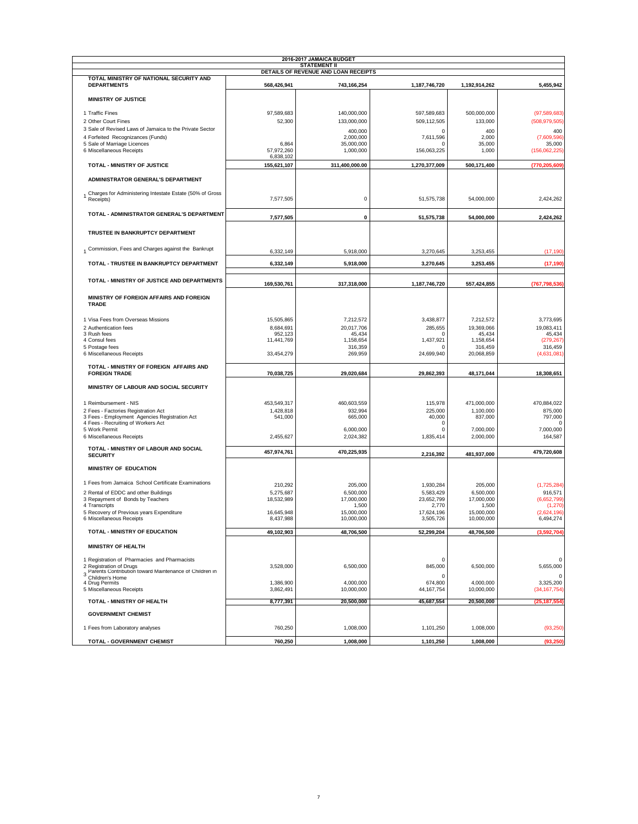|                                                                                        |                          | 2016-2017 JAMAICA BUDGET<br><b>STATEMENT II</b> |                            |                          |                             |
|----------------------------------------------------------------------------------------|--------------------------|-------------------------------------------------|----------------------------|--------------------------|-----------------------------|
|                                                                                        |                          | DETAILS OF REVENUE AND LOAN RECEIPTS            |                            |                          |                             |
| TOTAL MINISTRY OF NATIONAL SECURITY AND<br><b>DEPARTMENTS</b>                          | 568,426,941              | 743,166,254                                     | 1,187,746,720              | 1,192,914,262            | 5,455,942                   |
|                                                                                        |                          |                                                 |                            |                          |                             |
| <b>MINISTRY OF JUSTICE</b>                                                             |                          |                                                 |                            |                          |                             |
| 1 Traffic Fines                                                                        | 97,589,683               | 140,000,000                                     | 597,589,683                | 500,000,000              | (97, 589, 683)              |
| 2 Other Court Fines                                                                    | 52,300                   | 133,000,000                                     | 509,112,505                | 133,000                  | (508, 979, 505)             |
| 3 Sale of Revised Laws of Jamaica to the Private Sector                                |                          | 400,000                                         | 0                          | 400                      | 400                         |
| 4 Forfeited Recognizances (Funds)                                                      |                          | 2,000,000                                       | 7,611,596                  | 2,000                    | (7,609,596)                 |
| 5 Sale of Marriage Licences                                                            | 6,864                    | 35,000,000                                      | $\mathsf{C}$               | 35,000                   | 35,000                      |
| 6 Miscellaneous Receipts                                                               | 57,972,260               | 1,000,000                                       | 156,063,225                | 1,000                    | (156,062,225)               |
| <b>TOTAL - MINISTRY OF JUSTICE</b>                                                     | 6,838,102<br>155,621,107 | 311,400,000.00                                  | 1,270,377,009              | 500,171,400              | (770, 205, 609)             |
|                                                                                        |                          |                                                 |                            |                          |                             |
| ADMINISTRATOR GENERAL'S DEPARTMENT                                                     |                          |                                                 |                            |                          |                             |
| Charges for Administering Intestate Estate (50% of Gross<br>Receipts)                  | 7,577,505                | $\pmb{0}$                                       | 51,575,738                 | 54,000,000               | 2,424,262                   |
| TOTAL - ADMINISTRATOR GENERAL'S DEPARTMENT                                             | 7,577,505                | 0                                               | 51,575,738                 | 54,000,000               | 2,424,262                   |
| TRUSTEE IN BANKRUPTCY DEPARTMENT                                                       |                          |                                                 |                            |                          |                             |
| 1 Commission, Fees and Charges against the Bankrupt                                    | 6,332,149                | 5,918,000                                       | 3,270,645                  | 3,253,455                | (17, 190)                   |
| TOTAL - TRUSTEE IN BANKRUPTCY DEPARTMENT                                               | 6,332,149                | 5,918,000                                       | 3,270,645                  | 3,253,455                | (17, 190)                   |
| TOTAL - MINISTRY OF JUSTICE AND DEPARTMENTS                                            |                          |                                                 |                            |                          |                             |
|                                                                                        | 169,530,761              | 317,318,000                                     | 1,187,746,720              | 557,424,855              | (767, 798, 536)             |
| MINISTRY OF FOREIGN AFFAIRS AND FOREIGN<br><b>TRADE</b>                                |                          |                                                 |                            |                          |                             |
| 1 Visa Fees from Overseas Missions                                                     | 15,505,865               | 7,212,572                                       | 3,438,877                  | 7,212,572                | 3,773,695                   |
| 2 Authentication fees                                                                  | 8,684,691                | 20,017,706                                      | 285,655                    | 19,369,066               | 19,083,411                  |
| 3 Rush fees                                                                            | 952,123                  | 45,434                                          | C                          | 45,434                   | 45,434                      |
| 4 Consul fees                                                                          | 11,441,769               | 1,158,654                                       | 1,437,921                  | 1,158,654<br>316.459     | (279, 267)                  |
| 5 Postage fees<br>6 Miscellaneous Receipts                                             | 33,454,279               | 316,359<br>269,959                              | $\mathsf{C}$<br>24,699,940 | 20,068,859               | 316,459<br>(4,631,081)      |
| TOTAL - MINISTRY OF FOREIGN AFFAIRS AND                                                |                          |                                                 |                            |                          |                             |
| <b>FOREIGN TRADE</b>                                                                   | 70,038,725               | 29,020,684                                      | 29,862,393                 | 48,171,044               | 18,308,651                  |
| MINISTRY OF LABOUR AND SOCIAL SECURITY                                                 |                          |                                                 |                            |                          |                             |
| 1 Reimbursement - NIS                                                                  | 453,549,317              | 460,603,559                                     | 115,978                    | 471,000,000              | 470,884,022                 |
| 2 Fees - Factories Registration Act                                                    | 1,428,818                | 932,994                                         | 225,000                    | 1,100,000                | 875,000                     |
| 3 Fees - Employment Agencies Registration Act                                          | 541,000                  | 665,000                                         | 40,000                     | 837,000                  | 797,000                     |
| 4 Fees - Recruiting of Workers Act<br>5 Work Permit                                    |                          | 6,000,000                                       | C<br>$\mathsf{C}$          | 7,000,000                | -C<br>7,000,000             |
| 6 Miscellaneous Receipts                                                               | 2,455,627                | 2,024,382                                       | 1,835,414                  | 2,000,000                | 164,587                     |
| TOTAL - MINISTRY OF LABOUR AND SOCIAL                                                  |                          |                                                 |                            |                          |                             |
| <b>SECURITY</b>                                                                        | 457,974,761              | 470,225,935                                     | 2,216,392                  | 481,937,000              | 479,720,608                 |
| MINISTRY OF EDUCATION                                                                  |                          |                                                 |                            |                          |                             |
| 1 Fees from Jamaica School Certificate Examinations                                    | 210,292                  | 205,000                                         | 1,930,284                  | 205,000                  | (1,725,284)                 |
| 2 Rental of EDDC and other Buildings                                                   | 5,275,687                | 6,500,000                                       | 5,583,429                  | 6,500,000                | 916,571                     |
| 3 Repayment of Bonds by Teachers                                                       | 18,532,989               | 17,000,000                                      | 23,652,799                 | 17,000,000               | (6,652,799)                 |
| 4 Transcripts                                                                          |                          | 1,500                                           | 2,770                      | 1,500                    | (1, 270)                    |
| 5 Recovery of Previous years Expenditure<br>6 Miscellaneous Receipts                   | 16,645,948<br>8,437,988  | 15,000,000<br>10,000,000                        | 17,624,196<br>3,505,726    | 15,000,000<br>10,000,000 | (2,624,196)<br>6,494,274    |
|                                                                                        |                          |                                                 |                            |                          |                             |
| TOTAL - MINISTRY OF EDUCATION                                                          | 49,102,903               | 48,706,500                                      | 52,299,204                 | 48,706,500               | (3,592,704)                 |
| <b>MINISTRY OF HEALTH</b>                                                              |                          |                                                 |                            |                          |                             |
| 1 Registration of Pharmacies and Pharmacists                                           |                          |                                                 | 0                          |                          | 0                           |
| 2 Registration of Drugs<br>3<br>Parents Contribution toward Maintenance of Children in | 3,528,000                | 6,500,000                                       | 845,000                    | 6,500,000                | 5,655,000                   |
| Children's Home                                                                        |                          |                                                 | $\mathsf{C}$               |                          | $\Omega$                    |
| 4 Drug Permits<br>5 Miscellaneous Receipts                                             | 1,386,900<br>3,862,491   | 4,000,000<br>10,000,000                         | 674,800<br>44, 167, 754    | 4,000,000<br>10,000,000  | 3,325,200<br>(34, 167, 754) |
| TOTAL - MINISTRY OF HEALTH                                                             | 8,777,391                | 20,500,000                                      | 45,687,554                 | 20,500,000               | (25, 187, 554)              |
| <b>GOVERNMENT CHEMIST</b>                                                              |                          |                                                 |                            |                          |                             |
| 1 Fees from Laboratory analyses                                                        | 760,250                  | 1,008,000                                       | 1,101,250                  | 1,008,000                | (93, 250)                   |
| TOTAL - GOVERNMENT CHEMIST                                                             | 760,250                  | 1.008.000                                       | 1,101,250                  | 1.008.000                | (93, 250)                   |
|                                                                                        |                          |                                                 |                            |                          |                             |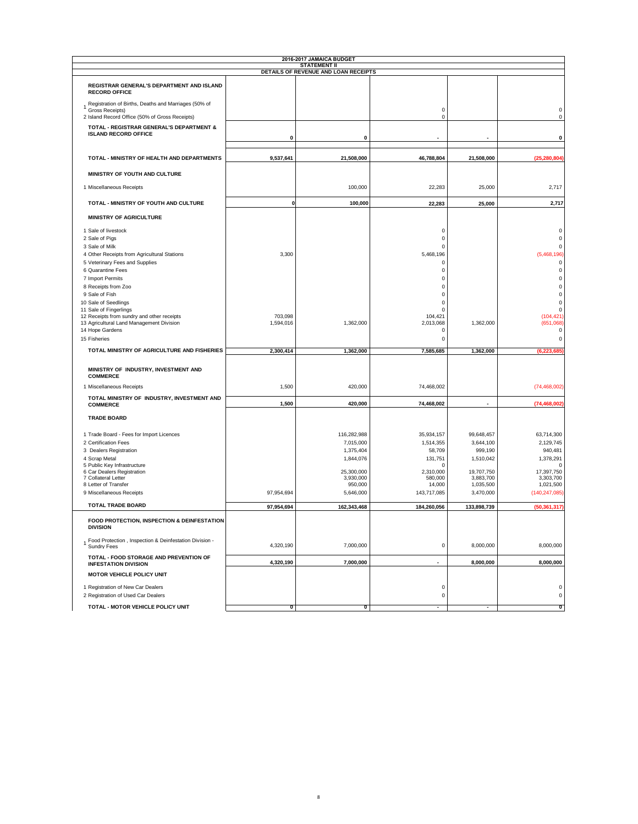|                                                                         |             | <b>STATEMENT II</b><br>DETAILS OF REVENUE AND LOAN RECEIPTS |                          |             |                 |
|-------------------------------------------------------------------------|-------------|-------------------------------------------------------------|--------------------------|-------------|-----------------|
|                                                                         |             |                                                             |                          |             |                 |
| REGISTRAR GENERAL'S DEPARTMENT AND ISLAND                               |             |                                                             |                          |             |                 |
| <b>RECORD OFFICE</b>                                                    |             |                                                             |                          |             |                 |
| Registration of Births, Deaths and Marriages (50% of                    |             |                                                             |                          |             |                 |
| Gross Receipts)                                                         |             |                                                             | 0                        |             |                 |
| 2 Island Record Office (50% of Gross Receipts)                          |             |                                                             | $\bf 0$                  |             |                 |
| TOTAL - REGISTRAR GENERAL'S DEPARTMENT &<br><b>ISLAND RECORD OFFICE</b> |             |                                                             |                          |             |                 |
|                                                                         | $\pmb{0}$   | $\mathbf 0$                                                 |                          |             |                 |
| TOTAL - MINISTRY OF HEALTH AND DEPARTMENTS                              | 9,537,641   | 21,508,000                                                  | 46,788,804               | 21,508,000  | (25, 280, 804)  |
| MINISTRY OF YOUTH AND CULTURE                                           |             |                                                             |                          |             |                 |
| 1 Miscellaneous Receipts                                                |             | 100,000                                                     | 22,283                   | 25,000      | 2,717           |
|                                                                         |             |                                                             |                          |             |                 |
| TOTAL - MINISTRY OF YOUTH AND CULTURE                                   | $\mathbf 0$ | 100,000                                                     | 22,283                   | 25,000      | 2,717           |
| <b>MINISTRY OF AGRICULTURE</b>                                          |             |                                                             |                          |             |                 |
| 1 Sale of livestock                                                     |             |                                                             | $\mathbf 0$              |             |                 |
| 2 Sale of Pigs                                                          |             |                                                             | $\mathbf 0$              |             |                 |
| 3 Sale of Milk                                                          |             |                                                             | $\mathbf 0$              |             |                 |
| 4 Other Receipts from Agricultural Stations                             | 3,300       |                                                             | 5,468,196                |             | (5,468,196)     |
| 5 Veterinary Fees and Supplies                                          |             |                                                             | $\mathbf 0$              |             |                 |
| 6 Quarantine Fees                                                       |             |                                                             | $\mathbf 0$<br>$\circ$   |             |                 |
| 7 Import Permits                                                        |             |                                                             | $\Omega$                 |             |                 |
| 8 Receipts from Zoo                                                     |             |                                                             | $\Omega$                 |             |                 |
| 9 Sale of Fish<br>10 Sale of Seedlings                                  |             |                                                             | $\Omega$                 |             |                 |
| 11 Sale of Fingerlings                                                  |             |                                                             | $\Omega$                 |             |                 |
| 12 Receipts from sundry and other receipts                              | 703,098     |                                                             | 104,421                  |             | (104, 421)      |
| 13 Agricultural Land Management Division                                | 1,594,016   | 1,362,000                                                   | 2,013,068                | 1,362,000   | (651,068)       |
| 14 Hope Gardens                                                         |             |                                                             | $\Omega$                 |             |                 |
| 15 Fisheries                                                            |             |                                                             | $\circ$                  |             |                 |
| TOTAL MINISTRY OF AGRICULTURE AND FISHERIES                             | 2,300,414   | 1,362,000                                                   | 7,585,685                | 1,362,000   | (6, 223, 685)   |
| MINISTRY OF INDUSTRY, INVESTMENT AND                                    |             |                                                             |                          |             |                 |
| <b>COMMERCE</b><br>1 Miscellaneous Receipts                             | 1,500       | 420,000                                                     | 74,468,002               |             | (74, 468, 002)  |
| TOTAL MINISTRY OF INDUSTRY, INVESTMENT AND                              |             |                                                             |                          |             |                 |
| <b>COMMERCE</b>                                                         | 1,500       | 420,000                                                     | 74,468,002               |             | (74, 468, 002)  |
| <b>TRADE BOARD</b>                                                      |             |                                                             |                          |             |                 |
| 1 Trade Board - Fees for Import Licences                                |             | 116,282,988                                                 | 35,934,157               | 99,648,457  | 63,714,300      |
| 2 Certification Fees                                                    |             | 7,015,000                                                   | 1,514,355                | 3,644,100   | 2,129,745       |
| 3 Dealers Registration                                                  |             | 1,375,404                                                   | 58,709                   | 999,190     | 940,481         |
| 4 Scrap Metal                                                           |             | 1,844,076                                                   | 131,751                  | 1,510,042   | 1,378,291       |
| 5 Public Key Infrastructure<br>6 Car Dealers Registration               |             | 25,300,000                                                  | $\Omega$<br>2,310,000    | 19,707,750  | 17,397,750      |
| 7 Collateral Letter                                                     |             | 3,930,000                                                   | 580,000                  | 3,883,700   | 3,303,700       |
| 8 Letter of Transfer                                                    |             | 950,000                                                     | 14,000                   | 1,035,500   | 1,021,500       |
| 9 Miscellaneous Receipts                                                | 97,954,694  | 5,646,000                                                   | 143,717,085              | 3,470,000   | (140, 247, 085) |
| <b>TOTAL TRADE BOARD</b>                                                | 97,954,694  | 162,343,468                                                 | 184,260,056              | 133,898,739 | (50, 361, 317)  |
| FOOD PROTECTION, INSPECTION & DEINFESTATION<br><b>DIVISION</b>          |             |                                                             |                          |             |                 |
| Food Protection, Inspection & Deinfestation Division -<br>Sundry Fees   | 4,320,190   | 7,000,000                                                   | $\mathbf 0$              | 8,000,000   | 8,000,000       |
| TOTAL - FOOD STORAGE AND PREVENTION OF<br><b>INFESTATION DIVISION</b>   | 4,320,190   | 7,000,000                                                   |                          | 8,000,000   | 8,000,000       |
| MOTOR VEHICLE POLICY UNIT                                               |             |                                                             |                          |             |                 |
| 1 Registration of New Car Dealers<br>2 Registration of Used Car Dealers |             |                                                             | $\pmb{0}$<br>$\mathbf 0$ |             |                 |
|                                                                         |             |                                                             |                          |             |                 |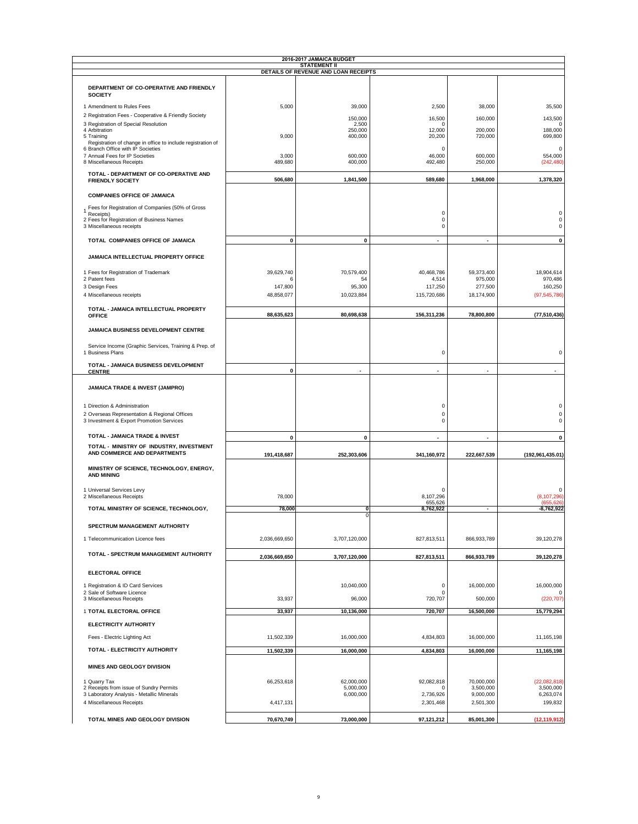|                                                                              |                 | 2016-2017 JAMAICA BUDGET<br><b>STATEMENT II</b> |                        |                        |                             |
|------------------------------------------------------------------------------|-----------------|-------------------------------------------------|------------------------|------------------------|-----------------------------|
|                                                                              |                 | DETAILS OF REVENUE AND LOAN RECEIPTS            |                        |                        |                             |
| DEPARTMENT OF CO-OPERATIVE AND FRIENDLY<br><b>SOCIETY</b>                    |                 |                                                 |                        |                        |                             |
| 1 Amendment to Rules Fees                                                    | 5,000           | 39,000                                          | 2,500                  | 38,000                 | 35,500                      |
| 2 Registration Fees - Cooperative & Friendly Society                         |                 | 150,000                                         | 16,500                 | 160,000                | 143,500                     |
| 3 Registration of Special Resolution                                         |                 | 2,500                                           | $\Omega$               |                        | $\Omega$                    |
| 4 Arbitration<br>5 Training                                                  | 9,000           | 250,000<br>400,000                              | 12,000<br>20,200       | 200,000<br>720,000     | 188,000<br>699,800          |
| Registration of change in office to include registration of                  |                 |                                                 |                        |                        |                             |
| 6 Branch Office with IP Societies<br>7 Annual Fees for IP Societies          | 3,000           | 600,000                                         | 0<br>46,000            | 600,000                | 0<br>554,000                |
| 8 Miscellaneous Receipts                                                     | 489,680         | 400,000                                         | 492,480                | 250,000                | (242, 480)                  |
| TOTAL - DEPARTMENT OF CO-OPERATIVE AND                                       |                 |                                                 |                        |                        |                             |
| <b>FRIENDLY SOCIETY</b>                                                      | 506,680         | 1,841,500                                       | 589,680                | 1,968,000              | 1,378,320                   |
| <b>COMPANIES OFFICE OF JAMAICA</b>                                           |                 |                                                 |                        |                        |                             |
| Fees for Registration of Companies (50% of Gross                             |                 |                                                 | $\bf 0$                |                        | $\Omega$                    |
| Receipts)<br>2 Fees for Registration of Business Names                       |                 |                                                 | $\bf 0$                |                        | $\mathbf 0$                 |
| 3 Miscellaneous receipts                                                     |                 |                                                 | $\mathbf 0$            |                        | $\Omega$                    |
| TOTAL COMPANIES OFFICE OF JAMAICA                                            | 0               | $\pmb{0}$                                       | $\blacksquare$         | $\blacksquare$         | $\mathbf 0$                 |
| JAMAICA INTELLECTUAL PROPERTY OFFICE                                         |                 |                                                 |                        |                        |                             |
|                                                                              |                 |                                                 |                        |                        |                             |
| 1 Fees for Registration of Trademark<br>2 Patent fees                        | 39.629.740<br>6 | 70.579.400<br>54                                | 40.468.786<br>4,514    | 59,373,400<br>975,000  | 18,904,614<br>970,486       |
| 3 Design Fees                                                                | 147,800         | 95,300                                          | 117,250                | 277,500                | 160,250                     |
| 4 Miscellaneous receipts                                                     | 48,858,077      | 10,023,884                                      | 115,720,686            | 18,174,900             | (97, 545, 786)              |
| TOTAL - JAMAICA INTELLECTUAL PROPERTY                                        | 88,635,623      | 80,698,638                                      | 156,311,236            | 78,800,800             | (77, 510, 436)              |
| <b>OFFICE</b>                                                                |                 |                                                 |                        |                        |                             |
| JAMAICA BUSINESS DEVELOPMENT CENTRE                                          |                 |                                                 |                        |                        |                             |
| Service Income (Graphic Services, Training & Prep. of<br>1 Business Plans    |                 |                                                 | $\bf 0$                |                        | $\Omega$                    |
| TOTAL - JAMAICA BUSINESS DEVELOPMENT<br><b>CENTRE</b>                        | 0               |                                                 |                        |                        |                             |
| JAMAICA TRADE & INVEST (JAMPRO)                                              |                 |                                                 |                        |                        |                             |
| 1 Direction & Administration<br>2 Overseas Representation & Regional Offices |                 |                                                 | 0<br>$\bf 0$           |                        | ۲<br>$\Omega$               |
| 3 Investment & Export Promotion Services                                     |                 |                                                 | $\bf 0$                |                        |                             |
| TOTAL - JAMAICA TRADE & INVEST                                               | $\mathbf{0}$    | 0                                               |                        |                        | $\mathbf 0$                 |
| TOTAL - MINISTRY OF INDUSTRY, INVESTMENT<br>AND COMMERCE AND DEPARTMENTS     | 191,418,687     | 252,303,606                                     | 341,160,972            | 222,667,539            | (192, 961, 435.01)          |
| MINISTRY OF SCIENCE, TECHNOLOGY, ENERGY,<br><b>AND MINING</b>                |                 |                                                 |                        |                        |                             |
| 1 Universal Services Levy                                                    |                 |                                                 | $\Omega$               |                        | $\Omega$                    |
| 2 Miscellaneous Receipts                                                     | 78,000          |                                                 | 8,107,296<br>655,626   |                        | (8, 107, 296)<br>(655, 626) |
| TOTAL MINISTRY OF SCIENCE, TECHNOLOGY,                                       | 78,000          | 0<br>0                                          | 8,762,922              | $\blacksquare$         | $-8,762,922$                |
| SPECTRUM MANAGEMENT AUTHORITY                                                |                 |                                                 |                        |                        |                             |
| 1 Telecommunication Licence fees                                             | 2,036,669,650   | 3,707,120,000                                   | 827,813,511            | 866,933,789            | 39, 120, 278                |
| TOTAL - SPECTRUM MANAGEMENT AUTHORITY                                        | 2,036,669,650   | 3,707,120,000                                   | 827,813,511            | 866,933,789            | 39,120,278                  |
| <b>ELECTORAL OFFICE</b>                                                      |                 |                                                 |                        |                        |                             |
| 1 Registration & ID Card Services                                            |                 | 10,040,000                                      | $\mathbf 0$            | 16,000,000             | 16,000,000                  |
| 2 Sale of Software Licence                                                   |                 |                                                 | $\mathbf 0$            |                        | $\Omega$                    |
| 3 Miscellaneous Receipts                                                     | 33,937          | 96,000                                          | 720,707                | 500,000                | (220, 707)                  |
| 1 TOTAL ELECTORAL OFFICE                                                     | 33,937          | 10,136,000                                      | 720,707                | 16,500,000             | 15,779,294                  |
| ELECTRICITY AUTHORITY                                                        |                 |                                                 |                        |                        |                             |
| Fees - Electric Lighting Act                                                 | 11,502,339      | 16,000,000                                      | 4,834,803              | 16,000,000             | 11,165,198                  |
| TOTAL - ELECTRICITY AUTHORITY                                                | 11,502,339      | 16,000,000                                      | 4,834,803              | 16,000,000             | 11,165,198                  |
| MINES AND GEOLOGY DIVISION                                                   |                 |                                                 |                        |                        |                             |
| 1 Quarry Tax                                                                 | 66,253,618      | 62,000,000                                      | 92,082,818             | 70,000,000             | (22,082,818)                |
| 2 Receipts from issue of Sundry Permits                                      |                 | 5,000,000                                       |                        | 3,500,000              | 3,500,000                   |
| 3 Laboratory Analysis - Metallic Minerals<br>4 Miscellaneous Receipts        | 4,417,131       | 6,000,000                                       | 2,736,926<br>2,301,468 | 9,000,000<br>2,501,300 | 6,263,074<br>199,832        |
|                                                                              |                 |                                                 |                        |                        |                             |
| TOTAL MINES AND GEOLOGY DIVISION                                             | 70,670,749      | 73,000,000                                      | 97,121,212             | 85,001,300             | (12, 119, 912)              |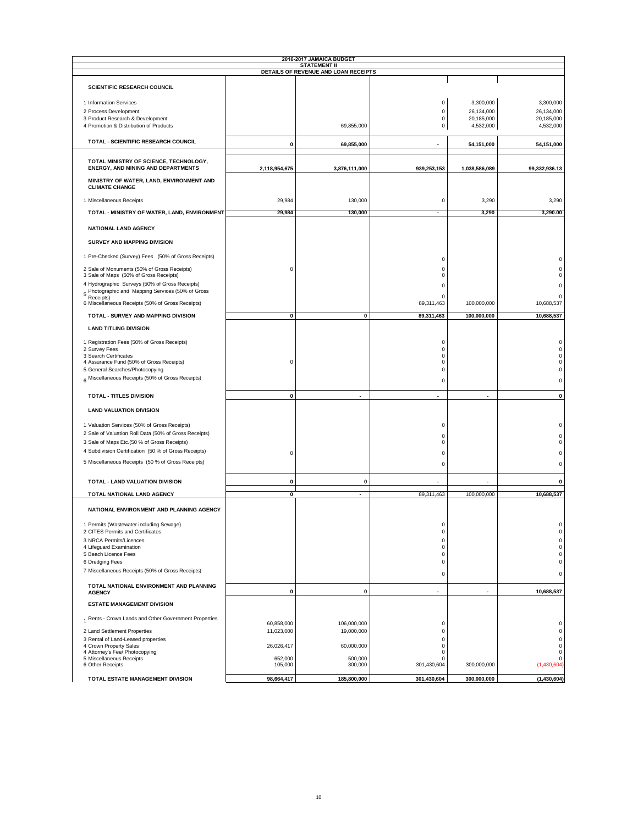|                                                                                                     |               | 2016-2017 JAMAICA BUDGET                                    |                            |                         |                      |
|-----------------------------------------------------------------------------------------------------|---------------|-------------------------------------------------------------|----------------------------|-------------------------|----------------------|
|                                                                                                     |               | <b>STATEMENT II</b><br>DETAILS OF REVENUE AND LOAN RECEIPTS |                            |                         |                      |
|                                                                                                     |               |                                                             |                            |                         |                      |
| <b>SCIENTIFIC RESEARCH COUNCIL</b>                                                                  |               |                                                             |                            |                         |                      |
| 1 Information Services                                                                              |               |                                                             | $\mathbf 0$                | 3,300,000               | 3,300,000            |
| 2 Process Development                                                                               |               |                                                             | 0                          | 26,134,000              | 26,134,000           |
| 3 Product Research & Development                                                                    |               | 69,855,000                                                  | 0                          | 20,185,000<br>4,532,000 | 20,185,000           |
| 4 Promotion & Distribution of Products                                                              |               |                                                             | 0                          |                         | 4,532,000            |
| TOTAL - SCIENTIFIC RESEARCH COUNCIL                                                                 | 0             | 69,855,000                                                  |                            | 54,151,000              | 54,151,000           |
| TOTAL MINISTRY OF SCIENCE, TECHNOLOGY,<br><b>ENERGY, AND MINING AND DEPARTMENTS</b>                 | 2,118,954,675 | 3,876,111,000                                               | 939,253,153                | 1,038,586,089           | 99,332,936.13        |
| MINISTRY OF WATER, LAND, ENVIRONMENT AND<br><b>CLIMATE CHANGE</b>                                   |               |                                                             |                            |                         |                      |
| 1 Miscellaneous Receipts                                                                            | 29,984        | 130,000                                                     | $\mathbf 0$                | 3,290                   | 3,290                |
| TOTAL - MINISTRY OF WATER, LAND, ENVIRONMENT                                                        | 29,984        | 130,000                                                     | ÷.                         | 3,290                   | 3,290.00             |
| NATIONAL LAND AGENCY                                                                                |               |                                                             |                            |                         |                      |
| SURVEY AND MAPPING DIVISION                                                                         |               |                                                             |                            |                         |                      |
| 1 Pre-Checked (Survey) Fees (50% of Gross Receipts)                                                 |               |                                                             | $\Omega$                   |                         |                      |
| 2 Sale of Monuments (50% of Gross Receipts)                                                         | 0             |                                                             | $\Omega$                   |                         | 0<br>$\mathbf 0$     |
| 3 Sale of Maps (50% of Gross Receipts)                                                              |               |                                                             | $\Omega$                   |                         | 0                    |
| 4 Hydrographic Surveys (50% of Gross Receipts)                                                      |               |                                                             | $\Omega$                   |                         | $\Omega$             |
| 5 Photographic and Mapping Services (50% of Gross                                                   |               |                                                             | $\Omega$                   |                         | $\Omega$             |
| Receipts)<br>6 Miscellaneous Receipts (50% of Gross Receipts)                                       |               |                                                             | 89,311,463                 | 100,000,000             | 10,688,537           |
| TOTAL - SURVEY AND MAPPING DIVISION                                                                 | 0             | 0                                                           | 89,311,463                 | 100,000,000             | 10,688,537           |
| <b>LAND TITLING DIVISION</b>                                                                        |               |                                                             |                            |                         |                      |
| 1 Registration Fees (50% of Gross Receipts)                                                         |               |                                                             | $\Omega$                   |                         | $\Omega$             |
| 2 Survey Fees                                                                                       |               |                                                             | 0                          |                         | 0                    |
| 3 Search Certificates<br>4 Assurance Fund (50% of Gross Receipts)                                   | 0             |                                                             | $\Omega$<br>$\Omega$       |                         | 0<br>0               |
| 5 General Searches/Photocopying                                                                     |               |                                                             | $\Omega$                   |                         | 0                    |
| 6 Miscellaneous Receipts (50% of Gross Receipts)                                                    |               |                                                             | 0                          |                         | 0                    |
| TOTAL - TITLES DIVISION                                                                             | $\pmb{0}$     | $\blacksquare$                                              | ٠                          | ٠                       | 0                    |
| <b>LAND VALUATION DIVISION</b>                                                                      |               |                                                             |                            |                         |                      |
|                                                                                                     |               |                                                             |                            |                         |                      |
| 1 Valuation Services (50% of Gross Receipts)                                                        |               |                                                             | $\bf 0$                    |                         | 0                    |
| 2 Sale of Valuation Roll Data (50% of Gross Receipts)                                               |               |                                                             | $\Omega$<br>$\Omega$       |                         | $\Omega$<br>$\Omega$ |
| 3 Sale of Maps Etc.(50 % of Gross Receipts)<br>4 Subdivision Certification (50 % of Gross Receipts) |               |                                                             |                            |                         |                      |
|                                                                                                     | 0             |                                                             | $\Omega$                   |                         | $\Omega$             |
| 5 Miscellaneous Receipts (50 % of Gross Receipts)                                                   |               |                                                             | $\Omega$                   |                         | $\mathbf 0$          |
| TOTAL - LAND VALUATION DIVISION                                                                     | 0             | $\mathbf 0$                                                 |                            |                         | 0                    |
| TOTAL NATIONAL LAND AGENCY                                                                          | 0             | $\blacksquare$                                              | 89,311,463                 | 100,000,000             | 10,688,537           |
| NATIONAL ENVIRONMENT AND PLANNING AGENCY                                                            |               |                                                             |                            |                         |                      |
| 1 Permits (Wastewater including Sewage)                                                             |               |                                                             | $\mathbf 0$                |                         | 0                    |
| 2 CITES Permits and Certificates                                                                    |               |                                                             | $\mathbf 0$                |                         | 0                    |
| 3 NRCA Permits/Licences<br>4 Lifeguard Examination                                                  |               |                                                             | $\mathbf 0$<br>$\mathbf 0$ |                         | $\mathsf 0$<br>0     |
| 5 Beach Licence Fees                                                                                |               |                                                             | $\mathbf 0$                |                         | 0                    |
| 6 Dredging Fees                                                                                     |               |                                                             | $\mathbf 0$                |                         | 0                    |
| 7 Miscellaneous Receipts (50% of Gross Receipts)                                                    |               |                                                             | $\mathbf 0$                |                         | 0                    |
| TOTAL NATIONAL ENVIRONMENT AND PLANNING<br><b>AGENCY</b>                                            | 0             | 0                                                           |                            |                         | 10,688,537           |
| <b>ESTATE MANAGEMENT DIVISION</b>                                                                   |               |                                                             |                            |                         |                      |
| 1 Rents - Crown Lands and Other Government Properties                                               |               |                                                             |                            |                         |                      |
|                                                                                                     | 60,858,000    | 106,000,000                                                 | $\mathsf 0$                |                         | 0                    |
| 2 Land Settlement Properties<br>3 Rental of Land-Leased properties                                  | 11,023,000    | 19,000,000                                                  | $\mathbf 0$<br>$\mathbf 0$ |                         | $\mathsf 0$<br>0     |
| 4 Crown Property Sales                                                                              | 26,026,417    | 60,000,000                                                  | 0                          |                         | 0                    |
| 4 Attorney's Fee/ Photocopying<br>5 Miscellaneous Receipts                                          | 652,000       | 500,000                                                     | 0<br>$\Omega$              |                         | 0<br>0               |
| 6 Other Receipts                                                                                    | 105,000       | 300,000                                                     | 301,430,604                | 300,000,000             | (1,430,604)          |
| TOTAL ESTATE MANAGEMENT DIVISION                                                                    | 98,664,417    | 185,800,000                                                 | 301,430,604                | 300,000,000             | (1,430,604)          |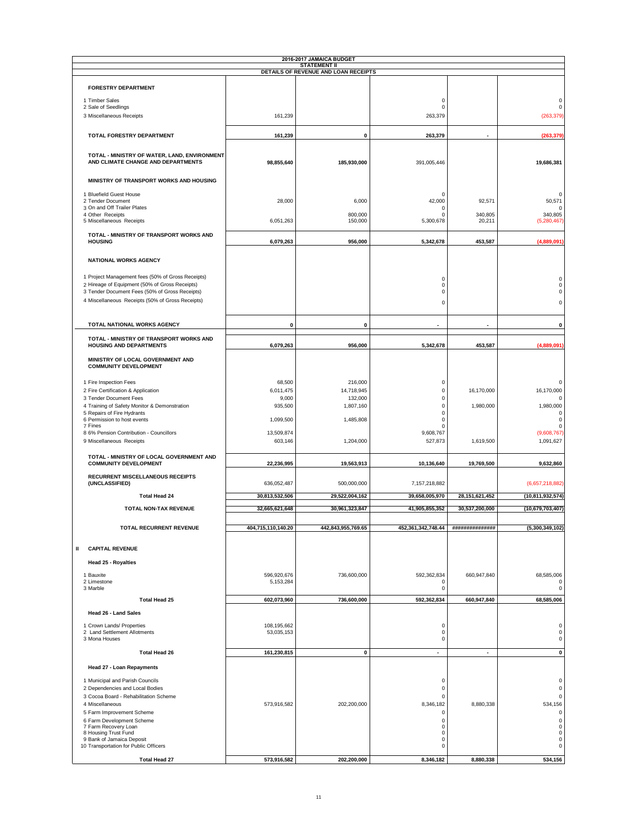|                                                                                                  |                    | 2016-2017 JAMAICA BUDGET<br><b>STATEMENT II</b> |                            |                   |                            |
|--------------------------------------------------------------------------------------------------|--------------------|-------------------------------------------------|----------------------------|-------------------|----------------------------|
|                                                                                                  |                    | DETAILS OF REVENUE AND LOAN RECEIPTS            |                            |                   |                            |
| <b>FORESTRY DEPARTMENT</b>                                                                       |                    |                                                 |                            |                   |                            |
| 1 Timber Sales                                                                                   |                    |                                                 | $\mathsf 0$                |                   | $\mathsf 0$                |
| 2 Sale of Seedlings                                                                              |                    |                                                 | $\Omega$                   |                   | $\mathbf 0$                |
| 3 Miscellaneous Receipts                                                                         | 161,239            |                                                 | 263,379                    |                   | (263, 379)                 |
| TOTAL FORESTRY DEPARTMENT                                                                        | 161,239            | 0                                               | 263,379                    |                   | (263, 379)                 |
|                                                                                                  |                    |                                                 |                            |                   |                            |
| TOTAL - MINISTRY OF WATER, LAND, ENVIRONMENT                                                     |                    |                                                 |                            |                   |                            |
| AND CLIMATE CHANGE AND DEPARTMENTS                                                               | 98,855,640         | 185,930,000                                     | 391,005,446                |                   | 19,686,381                 |
| MINISTRY OF TRANSPORT WORKS AND HOUSING                                                          |                    |                                                 |                            |                   |                            |
|                                                                                                  |                    |                                                 |                            |                   |                            |
| 1 Bluefield Guest House<br>2 Tender Document                                                     | 28,000             | 6,000                                           | O<br>42,000                | 92,571            | $\Omega$<br>50,571         |
| 3 On and Off Trailer Plates<br>4 Other Receipts                                                  |                    | 800,000                                         | $\Omega$<br>O              | 340,805           | $\Omega$<br>340,805        |
| 5 Miscellaneous Receipts                                                                         | 6,051,263          | 150,000                                         | 5,300,678                  | 20,211            | (5, 280, 467)              |
| TOTAL - MINISTRY OF TRANSPORT WORKS AND                                                          |                    |                                                 |                            |                   |                            |
| <b>HOUSING</b>                                                                                   | 6,079,263          | 956,000                                         | 5,342,678                  | 453,587           | (4,889,091)                |
|                                                                                                  |                    |                                                 |                            |                   |                            |
| <b>NATIONAL WORKS AGENCY</b>                                                                     |                    |                                                 |                            |                   |                            |
| 1 Project Management fees (50% of Gross Receipts)                                                |                    |                                                 | 0                          |                   | 0                          |
| 2 Hireage of Equipment (50% of Gross Receipts)<br>3 Tender Document Fees (50% of Gross Receipts) |                    |                                                 | $\Omega$<br>0              |                   | 0<br>0                     |
| 4 Miscellaneous Receipts (50% of Gross Receipts)                                                 |                    |                                                 | 0                          |                   | 0                          |
|                                                                                                  |                    |                                                 |                            |                   |                            |
| TOTAL NATIONAL WORKS AGENCY                                                                      | $\pmb{0}$          | 0                                               |                            |                   | 0                          |
| TOTAL - MINISTRY OF TRANSPORT WORKS AND                                                          |                    |                                                 |                            |                   |                            |
| <b>HOUSING AND DEPARTMENTS</b>                                                                   | 6,079,263          | 956,000                                         | 5,342,678                  | 453,587           | (4,889,091)                |
| MINISTRY OF LOCAL GOVERNMENT AND                                                                 |                    |                                                 |                            |                   |                            |
| <b>COMMUNITY DEVELOPMENT</b>                                                                     |                    |                                                 |                            |                   |                            |
| 1 Fire Inspection Fees                                                                           | 68,500             | 216,000                                         | 0                          |                   | 0                          |
| 2 Fire Certification & Application                                                               | 6,011,475          | 14,718,945                                      | $\Omega$                   | 16,170,000        | 16,170,000                 |
| 3 Tender Document Fees                                                                           | 9,000              | 132,000                                         | $\Omega$                   |                   | 0                          |
| 4 Training of Safety Monitor & Demonstration<br>5 Repairs of Fire Hydrants                       | 935,500            | 1,807,160                                       | $\Omega$<br>$\Omega$       | 1,980,000         | 1,980,000<br>0             |
| 6 Permission to host events                                                                      | 1,099,500          | 1,485,808                                       | $\Omega$                   |                   | 0                          |
| 7 Fines<br>8 6% Pension Contribution - Councillors                                               | 13,509,874         |                                                 | O<br>9,608,767             |                   | 0<br>(9,608,767)           |
| 9 Miscellaneous Receipts                                                                         | 603,146            | 1,204,000                                       | 527,873                    | 1,619,500         | 1,091,627                  |
| TOTAL - MINISTRY OF LOCAL GOVERNMENT AND                                                         |                    |                                                 |                            |                   |                            |
| <b>COMMUNITY DEVELOPMENT</b>                                                                     | 22,236,995         | 19,563,913                                      | 10,136,640                 | 19,769,500        | 9,632,860                  |
| RECURRENT MISCELLANEOUS RECEIPTS                                                                 |                    |                                                 |                            |                   |                            |
| (UNCLASSIFIED)                                                                                   | 636,052,487        | 500,000,000                                     | 7,157,218,882              |                   | (6,657,218,882)            |
| <b>Total Head 24</b>                                                                             | 30,813,532,506     | 29,522,004,162                                  | 39,658,005,970             | 28, 151, 621, 452 | (10, 811, 932, 574)        |
| TOTAL NON-TAX REVENUE                                                                            | 32,665,621,648     | 30,961,323,847                                  | 41,905,855,352             | 30,537,200,000    | (10,679,703,407)           |
|                                                                                                  |                    |                                                 |                            |                   |                            |
| <b>TOTAL RECURRENT REVENUE</b>                                                                   | 404,715,110,140.20 | 442,843,955,769.65                              | 452,361,342,748.44         | ##############    | (5,300,349,102)            |
|                                                                                                  |                    |                                                 |                            |                   |                            |
| <b>CAPITAL REVENUE</b><br>Ш                                                                      |                    |                                                 |                            |                   |                            |
| Head 25 - Royalties                                                                              |                    |                                                 |                            |                   |                            |
| 1 Bauxite                                                                                        | 596,920,676        | 736,600,000                                     | 592,362,834                | 660,947,840       | 68,585,006                 |
| 2 Limestone<br>3 Marble                                                                          | 5,153,284          |                                                 | 0<br>0                     |                   | 0<br>0                     |
| <b>Total Head 25</b>                                                                             | 602,073,960        | 736,600,000                                     | 592,362,834                | 660,947,840       | 68,585,006                 |
| Head 26 - Land Sales                                                                             |                    |                                                 |                            |                   |                            |
| 1 Crown Lands/ Properties                                                                        | 108,195,662        |                                                 | $\mathsf 0$                |                   | 0                          |
| 2 Land Settlement Allotments                                                                     | 53,035,153         |                                                 | $\mathsf 0$                |                   | 0                          |
| 3 Mona Houses                                                                                    |                    |                                                 | $\Omega$                   |                   | 0                          |
| <b>Total Head 26</b>                                                                             | 161,230,815        | $\pmb{0}$                                       | $\overline{\phantom{a}}$   | $\blacksquare$    | 0                          |
| Head 27 - Loan Repayments                                                                        |                    |                                                 |                            |                   |                            |
| 1 Municipal and Parish Councils                                                                  |                    |                                                 | 0                          |                   | 0                          |
| 2 Dependencies and Local Bodies                                                                  |                    |                                                 | $\bf 0$                    |                   | 0                          |
| 3 Cocoa Board - Rehabilitation Scheme                                                            |                    |                                                 | $\mathbf 0$                |                   | 0                          |
| 4 Miscellaneous                                                                                  | 573,916,582        | 202,200,000                                     | 8,346,182                  | 8,880,338         | 534,156                    |
| 5 Farm Improvement Scheme                                                                        |                    |                                                 | $\mathbf 0$                |                   | $\mathsf 0$                |
| 6 Farm Development Scheme<br>7 Farm Recovery Loan                                                |                    |                                                 | $\mathbf 0$<br>$\Omega$    |                   | $\mathsf 0$<br>$\mathsf 0$ |
| 8 Housing Trust Fund<br>9 Bank of Jamaica Deposit                                                |                    |                                                 | $\mathbf 0$<br>$\mathbf 0$ |                   | $\mathsf 0$<br>0           |
| 10 Transportation for Public Officers                                                            |                    |                                                 | $\Omega$                   |                   | 0                          |
| <b>Total Head 27</b>                                                                             | 573,916,582        | 202,200,000                                     | 8,346,182                  | 8,880,338         | 534,156                    |
|                                                                                                  |                    |                                                 |                            |                   |                            |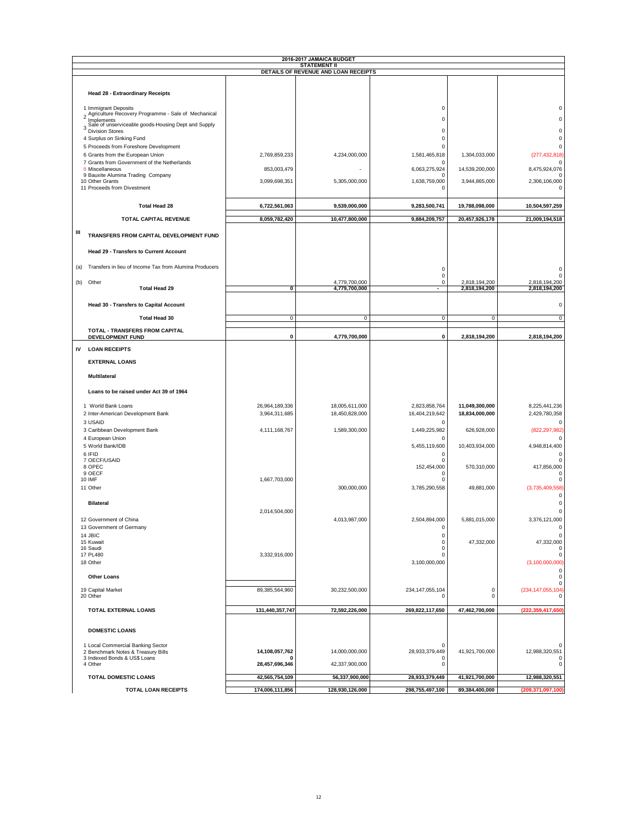|                                                                   |                 | 2016-2017 JAMAICA BUDGET                                    |                                |                          |                                  |
|-------------------------------------------------------------------|-----------------|-------------------------------------------------------------|--------------------------------|--------------------------|----------------------------------|
|                                                                   |                 | <b>STATEMENT II</b><br>DETAILS OF REVENUE AND LOAN RECEIPTS |                                |                          |                                  |
|                                                                   |                 |                                                             |                                |                          |                                  |
| Head 28 - Extraordinary Receipts                                  |                 |                                                             |                                |                          |                                  |
| 1 Immigrant Deposits                                              |                 |                                                             | $\mathbf 0$                    |                          | 0                                |
| 2 Agriculture Recovery Programme - Sale of Mechanical             |                 |                                                             | $\Omega$                       |                          | 0                                |
| Implements<br>Sale of unserviceable goods-Housing Dept and Supply |                 |                                                             |                                |                          |                                  |
| 3 Division Stores<br>4 Surplus on Sinking Fund                    |                 |                                                             | 0<br>0                         |                          | 0<br>0                           |
| 5 Proceeds from Foreshore Development                             |                 |                                                             | $\Omega$                       |                          | $\Omega$                         |
| 6 Grants from the European Union                                  | 2,769,859,233   | 4,234,000,000                                               | 1,581,465,818                  | 1,304,033,000            | (277, 432, 818)                  |
| 7 Grants from Government of the Netherlands<br>8 Miscellaneous    | 853,003,479     |                                                             | $\Omega$<br>6,063,275,924      | 14,539,200,000           | $\Omega$<br>8,475,924,076        |
| 9 Bauxite Alumina Trading Company                                 |                 |                                                             | $\Omega$                       |                          | $\Omega$                         |
| 10 Other Grants<br>11 Proceeds from Divestment                    | 3,099,698,351   | 5,305,000,000                                               | 1,638,759,000<br>$\Omega$      | 3,944,865,000            | 2,306,106,000<br>$\Omega$        |
| <b>Total Head 28</b>                                              | 6,722,561,063   | 9,539,000,000                                               | 9,283,500,741                  | 19,788,098,000           | 10,504,597,259                   |
| TOTAL CAPITAL REVENUE                                             | 8,059,782,420   | 10,477,800,000                                              | 9,884,209,757                  | 20,457,926,178           | 21,009,194,518                   |
| Ш<br>TRANSFERS FROM CAPITAL DEVELOPMENT FUND                      |                 |                                                             |                                |                          |                                  |
| <b>Head 29 - Transfers to Current Account</b>                     |                 |                                                             |                                |                          |                                  |
|                                                                   |                 |                                                             |                                |                          |                                  |
| Transfers in lieu of Income Tax from Alumina Producers<br>(a)     |                 |                                                             | 0<br>0                         |                          | 0                                |
| (b) Other                                                         |                 | 4,779,700,000                                               | $\Omega$                       | 2,818,194,200            | 2,818,194,200                    |
| <b>Total Head 29</b>                                              | $\mathbf 0$     | 4,779,700,000                                               | $\overline{\phantom{a}}$       | 2,818,194,200            | 2,818,194,200                    |
| Head 30 - Transfers to Capital Account                            |                 |                                                             |                                |                          | 0                                |
|                                                                   |                 |                                                             |                                |                          |                                  |
| <b>Total Head 30</b>                                              | $\mathbf{0}$    | 0                                                           | 0                              | 0                        | 0                                |
| TOTAL - TRANSFERS FROM CAPITAL<br><b>DEVELOPMENT FUND</b>         | 0               | 4,779,700,000                                               | $\pmb{0}$                      | 2,818,194,200            | 2,818,194,200                    |
|                                                                   |                 |                                                             |                                |                          |                                  |
| IV<br><b>LOAN RECEIPTS</b>                                        |                 |                                                             |                                |                          |                                  |
| <b>EXTERNAL LOANS</b>                                             |                 |                                                             |                                |                          |                                  |
| <b>Multilateral</b>                                               |                 |                                                             |                                |                          |                                  |
|                                                                   |                 |                                                             |                                |                          |                                  |
| Loans to be raised under Act 39 of 1964                           |                 |                                                             |                                |                          |                                  |
| 1 World Bank Loans                                                | 26,964,189,336  | 18,005,611,000                                              | 2,823,858,764                  | 11,049,300,000           | 8,225,441,236                    |
| 2 Inter-American Development Bank                                 | 3,964,311,685   | 18,450,828,000                                              | 16,404,219,642                 | 18,834,000,000           | 2,429,780,358                    |
| 3 USAID                                                           |                 |                                                             | $\mathsf 0$                    |                          | 0                                |
| 3 Caribbean Development Bank<br>4 European Union                  | 4,111,168,767   | 1,589,300,000                                               | 1,449,225,982<br>C             | 626,928,000              | (822, 297, 982)                  |
| 5 World Bank/IDB                                                  |                 |                                                             | 5,455,119,600                  | 10,403,934,000           | 4,948,814,400                    |
| 6 IFID                                                            |                 |                                                             | 0                              |                          | $\Omega$                         |
| 7 OECF/USAID<br>8 OPEC                                            |                 |                                                             | 0<br>152,454,000               | 570,310,000              | 0<br>417,856,000                 |
| 9 OECF<br><b>10 IMF</b>                                           | 1,667,703,000   |                                                             | Ω<br>$\Omega$                  |                          | $\Omega$<br>$\mathbf 0$          |
| 11 Other                                                          |                 | 300,000,000                                                 | 3,785,290,558                  | 49,881,000               | (3,735,409,558)                  |
|                                                                   |                 |                                                             |                                |                          | $\mathbf 0$                      |
| <b>Bilateral</b>                                                  |                 |                                                             |                                |                          | $\Omega$                         |
| 12 Government of China                                            | 2,014,504,000   | 4,013,987,000                                               | 2,504,894,000                  | 5,881,015,000            | 0<br>3,376,121,000               |
| 13 Government of Germany                                          |                 |                                                             | 0                              |                          | 0                                |
| 14 JBIC                                                           |                 |                                                             | $\mathbf 0$                    |                          | $\mathbf 0$                      |
| 15 Kuwait<br>16 Saudi                                             |                 |                                                             | $\mathbf 0$<br>$\mathbf 0$     | 47,332,000               | 47,332,000<br>$\Omega$           |
| 17 PL480                                                          | 3,332,916,000   |                                                             | $\Omega$                       |                          | $\mathsf 0$                      |
| 18 Other                                                          |                 |                                                             | 3,100,000,000                  |                          | (3, 100, 000, 000)<br>0          |
| <b>Other Loans</b>                                                |                 |                                                             |                                |                          | 0<br>0                           |
| 19 Capital Market<br>20 Other                                     | 89,385,564,960  | 30,232,500,000                                              | 234, 147, 055, 104<br>$\Omega$ | $\pmb{0}$<br>$\mathbf 0$ | (234, 147, 055, 104)<br>$\Omega$ |
| TOTAL EXTERNAL LOANS                                              | 131,440,357,747 | 72,592,226,000                                              | 269,822,117,650                | 47,462,700,000           | (222, 359, 417, 650)             |
| <b>DOMESTIC LOANS</b>                                             |                 |                                                             |                                |                          |                                  |
| 1 Local Commercial Banking Sector                                 |                 |                                                             | 0                              |                          | 0                                |
| 2 Benchmark Notes & Treasury Bills                                | 14,108,057,762  | 14,000,000,000                                              | 28,933,379,449                 | 41,921,700,000           | 12,988,320,551                   |
| 3 Indexed Bonds & US\$ Loans<br>4 Other                           | 28,457,696,346  | 42,337,900,000                                              | 0<br>0                         |                          | $\Omega$<br>0                    |
| TOTAL DOMESTIC LOANS                                              | 42,565,754,109  | 56,337,900,000                                              | 28,933,379,449                 | 41,921,700,000           | 12,988,320,551                   |
|                                                                   |                 |                                                             |                                |                          |                                  |
| <b>TOTAL LOAN RECEIPTS</b>                                        | 174,006,111,856 | 128,930,126,000                                             | 298,755,497,100                | 89,384,400,000           | (209, 371, 097, 100)             |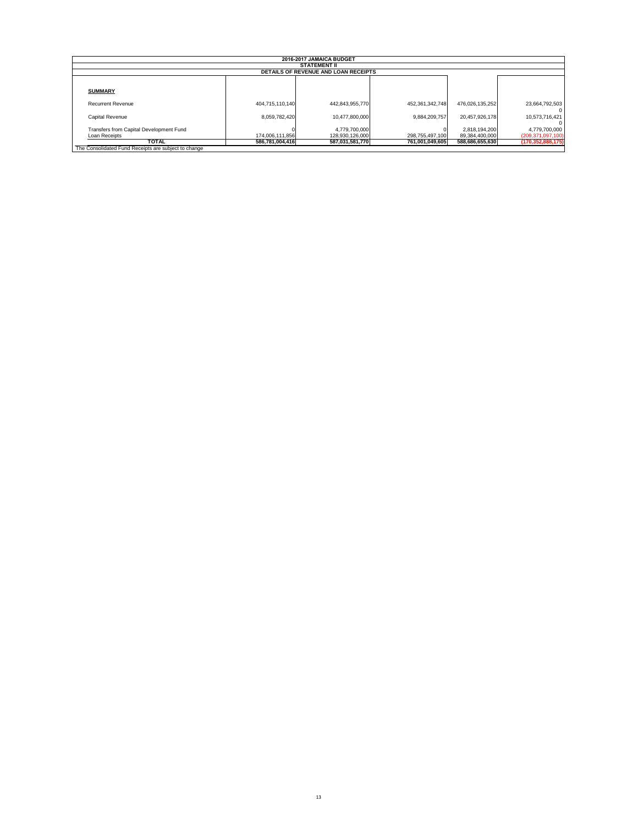|                                         |                 | 2016-2017 JAMAICA BUDGET<br><b>STATEMENT II</b> |                 |                 |                      |
|-----------------------------------------|-----------------|-------------------------------------------------|-----------------|-----------------|----------------------|
|                                         |                 | <b>DETAILS OF REVENUE AND LOAN RECEIPTS</b>     |                 |                 |                      |
|                                         |                 |                                                 |                 |                 |                      |
| <b>SUMMARY</b>                          |                 |                                                 |                 |                 |                      |
| Recurrent Revenue                       | 404.715.110.140 | 442.843.955.770                                 | 452.361.342.748 | 476.026.135.252 | 23,664,792,503       |
| Capital Revenue                         | 8,059,782,420   | 10.477.800.000                                  | 9.884.209.757   | 20.457.926.178  | 10.573.716.421       |
| Transfers from Capital Development Fund |                 | 4,779,700,000                                   |                 | 2,818,194,200   | 4,779,700,000        |
| Loan Receipts                           | 174,006,111,856 | 128.930.126.000                                 | 298,755,497,100 | 89,384,400,000  | (209, 371, 097, 100) |
| <b>TOTAL</b>                            | 586,781,004,416 | 587,031,581,770                                 | 761,001,049,605 | 588,686,655,630 | (170, 352, 888, 175) |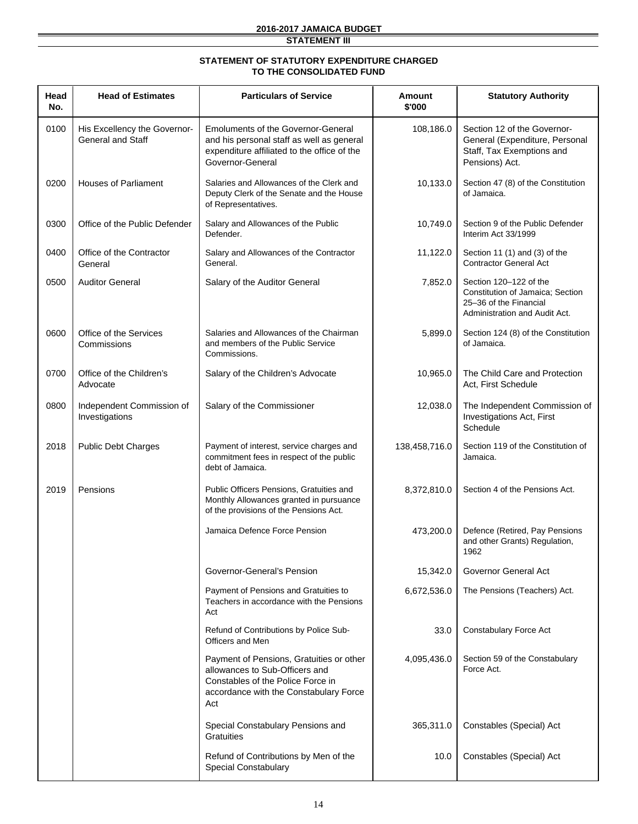### **2016-2017 JAMAICA BUDGET**

**STATEMENT III**

#### **STATEMENT OF STATUTORY EXPENDITURE CHARGED TO THE CONSOLIDATED FUND**

| Head<br>No. | <b>Head of Estimates</b>                                 | <b>Particulars of Service</b>                                                                                                                                    | Amount<br>\$'000 | <b>Statutory Authority</b>                                                                                            |
|-------------|----------------------------------------------------------|------------------------------------------------------------------------------------------------------------------------------------------------------------------|------------------|-----------------------------------------------------------------------------------------------------------------------|
| 0100        | His Excellency the Governor-<br><b>General and Staff</b> | <b>Emoluments of the Governor-General</b><br>and his personal staff as well as general<br>expenditure affiliated to the office of the<br>Governor-General        | 108,186.0        | Section 12 of the Governor-<br>General (Expenditure, Personal<br>Staff, Tax Exemptions and<br>Pensions) Act.          |
| 0200        | <b>Houses of Parliament</b>                              | Salaries and Allowances of the Clerk and<br>Deputy Clerk of the Senate and the House<br>of Representatives.                                                      | 10,133.0         | Section 47 (8) of the Constitution<br>of Jamaica.                                                                     |
| 0300        | Office of the Public Defender                            | Salary and Allowances of the Public<br>Defender.                                                                                                                 | 10,749.0         | Section 9 of the Public Defender<br>Interim Act 33/1999                                                               |
| 0400        | Office of the Contractor<br>General                      | Salary and Allowances of the Contractor<br>General.                                                                                                              | 11,122.0         | Section 11 $(1)$ and $(3)$ of the<br><b>Contractor General Act</b>                                                    |
| 0500        | <b>Auditor General</b>                                   | Salary of the Auditor General                                                                                                                                    | 7,852.0          | Section 120-122 of the<br>Constitution of Jamaica; Section<br>25-36 of the Financial<br>Administration and Audit Act. |
| 0600        | Office of the Services<br>Commissions                    | Salaries and Allowances of the Chairman<br>and members of the Public Service<br>Commissions.                                                                     | 5,899.0          | Section 124 (8) of the Constitution<br>of Jamaica.                                                                    |
| 0700        | Office of the Children's<br>Advocate                     | Salary of the Children's Advocate                                                                                                                                | 10,965.0         | The Child Care and Protection<br>Act, First Schedule                                                                  |
| 0800        | Independent Commission of<br>Investigations              | Salary of the Commissioner                                                                                                                                       | 12,038.0         | The Independent Commission of<br>Investigations Act, First<br>Schedule                                                |
| 2018        | <b>Public Debt Charges</b>                               | Payment of interest, service charges and<br>commitment fees in respect of the public<br>debt of Jamaica.                                                         | 138,458,716.0    | Section 119 of the Constitution of<br>Jamaica.                                                                        |
| 2019        | Pensions                                                 | Public Officers Pensions, Gratuities and<br>Monthly Allowances granted in pursuance<br>of the provisions of the Pensions Act.                                    | 8,372,810.0      | Section 4 of the Pensions Act.                                                                                        |
|             |                                                          | Jamaica Defence Force Pension                                                                                                                                    | 473,200.0        | Defence (Retired, Pay Pensions<br>and other Grants) Regulation,<br>1962                                               |
|             |                                                          | Governor-General's Pension                                                                                                                                       | 15,342.0         | Governor General Act                                                                                                  |
|             |                                                          | Payment of Pensions and Gratuities to<br>Teachers in accordance with the Pensions<br>Act                                                                         | 6,672,536.0      | The Pensions (Teachers) Act.                                                                                          |
|             |                                                          | Refund of Contributions by Police Sub-<br>Officers and Men                                                                                                       | 33.0             | Constabulary Force Act                                                                                                |
|             |                                                          | Payment of Pensions, Gratuities or other<br>allowances to Sub-Officers and<br>Constables of the Police Force in<br>accordance with the Constabulary Force<br>Act | 4,095,436.0      | Section 59 of the Constabulary<br>Force Act.                                                                          |
|             |                                                          | Special Constabulary Pensions and<br>Gratuities                                                                                                                  | 365,311.0        | Constables (Special) Act                                                                                              |
|             |                                                          | Refund of Contributions by Men of the<br>Special Constabulary                                                                                                    | 10.0             | Constables (Special) Act                                                                                              |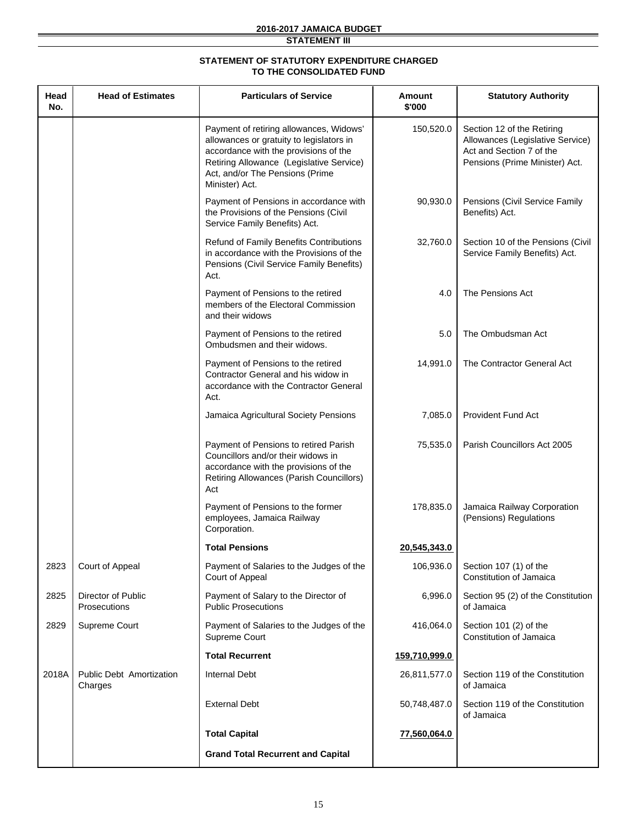### **2016-2017 JAMAICA BUDGET**

**STATEMENT III**

### **STATEMENT OF STATUTORY EXPENDITURE CHARGED TO THE CONSOLIDATED FUND**

| Head<br>No. | <b>Head of Estimates</b>                   | <b>Particulars of Service</b>                                                                                                                                                                                                 | Amount<br>\$'000 | <b>Statutory Authority</b>                                                                                                   |
|-------------|--------------------------------------------|-------------------------------------------------------------------------------------------------------------------------------------------------------------------------------------------------------------------------------|------------------|------------------------------------------------------------------------------------------------------------------------------|
|             |                                            | Payment of retiring allowances, Widows'<br>allowances or gratuity to legislators in<br>accordance with the provisions of the<br>Retiring Allowance (Legislative Service)<br>Act, and/or The Pensions (Prime<br>Minister) Act. | 150,520.0        | Section 12 of the Retiring<br>Allowances (Legislative Service)<br>Act and Section 7 of the<br>Pensions (Prime Minister) Act. |
|             |                                            | Payment of Pensions in accordance with<br>the Provisions of the Pensions (Civil<br>Service Family Benefits) Act.                                                                                                              | 90,930.0         | Pensions (Civil Service Family<br>Benefits) Act.                                                                             |
|             |                                            | Refund of Family Benefits Contributions<br>in accordance with the Provisions of the<br>Pensions (Civil Service Family Benefits)<br>Act.                                                                                       | 32,760.0         | Section 10 of the Pensions (Civil<br>Service Family Benefits) Act.                                                           |
|             |                                            | Payment of Pensions to the retired<br>members of the Electoral Commission<br>and their widows                                                                                                                                 | 4.0              | The Pensions Act                                                                                                             |
|             |                                            | Payment of Pensions to the retired<br>Ombudsmen and their widows.                                                                                                                                                             | 5.0              | The Ombudsman Act                                                                                                            |
|             |                                            | Payment of Pensions to the retired<br>Contractor General and his widow in<br>accordance with the Contractor General<br>Act.                                                                                                   | 14,991.0         | The Contractor General Act                                                                                                   |
|             |                                            | Jamaica Agricultural Society Pensions                                                                                                                                                                                         | 7,085.0          | <b>Provident Fund Act</b>                                                                                                    |
|             |                                            | Payment of Pensions to retired Parish<br>Councillors and/or their widows in<br>accordance with the provisions of the<br>Retiring Allowances (Parish Councillors)<br>Act                                                       | 75,535.0         | Parish Councillors Act 2005                                                                                                  |
|             |                                            | Payment of Pensions to the former<br>employees, Jamaica Railway<br>Corporation.                                                                                                                                               | 178,835.0        | Jamaica Railway Corporation<br>(Pensions) Regulations                                                                        |
|             |                                            | <b>Total Pensions</b>                                                                                                                                                                                                         | 20,545,343.0     |                                                                                                                              |
| 2823        | Court of Appeal                            | Payment of Salaries to the Judges of the<br>Court of Appeal                                                                                                                                                                   | 106,936.0        | Section 107 (1) of the<br>Constitution of Jamaica                                                                            |
| 2825        | <b>Director of Public</b><br>Prosecutions  | Payment of Salary to the Director of<br><b>Public Prosecutions</b>                                                                                                                                                            | 6,996.0          | Section 95 (2) of the Constitution<br>of Jamaica                                                                             |
| 2829        | Supreme Court                              | Payment of Salaries to the Judges of the<br>Supreme Court                                                                                                                                                                     | 416,064.0        | Section 101 (2) of the<br>Constitution of Jamaica                                                                            |
|             |                                            | <b>Total Recurrent</b>                                                                                                                                                                                                        | 159,710,999.0    |                                                                                                                              |
| 2018A       | <b>Public Debt Amortization</b><br>Charges | <b>Internal Debt</b>                                                                                                                                                                                                          | 26,811,577.0     | Section 119 of the Constitution<br>of Jamaica                                                                                |
|             |                                            | <b>External Debt</b>                                                                                                                                                                                                          | 50,748,487.0     | Section 119 of the Constitution<br>of Jamaica                                                                                |
|             |                                            | <b>Total Capital</b>                                                                                                                                                                                                          | 77,560,064.0     |                                                                                                                              |
|             |                                            | <b>Grand Total Recurrent and Capital</b>                                                                                                                                                                                      |                  |                                                                                                                              |
|             |                                            |                                                                                                                                                                                                                               |                  |                                                                                                                              |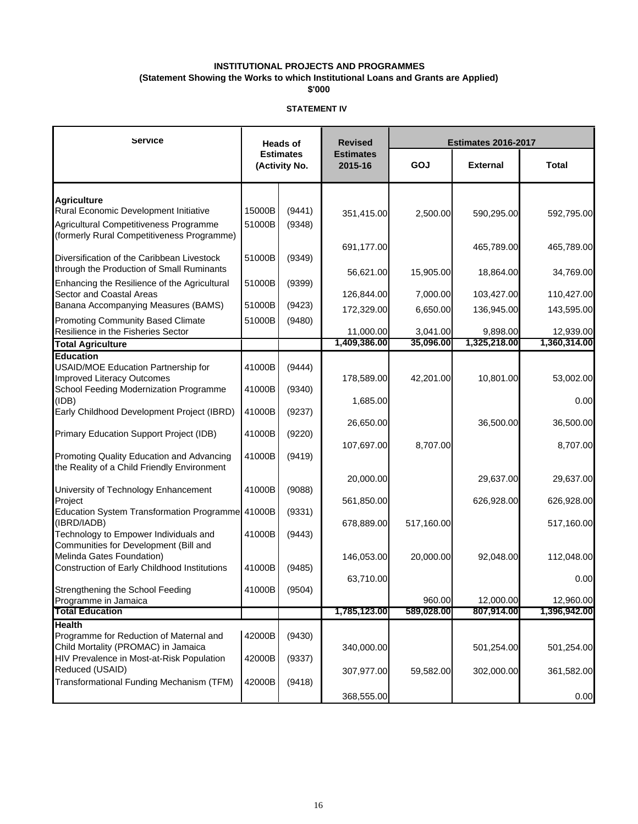**(Statement Showing the Works to which Institutional Loans and Grants are Applied)**

**\$'000**

| Service                                                                        |        | <b>Heads of</b>                   | <b>Revised</b>              | <b>Estimates 2016-2017</b> |                 |              |  |
|--------------------------------------------------------------------------------|--------|-----------------------------------|-----------------------------|----------------------------|-----------------|--------------|--|
|                                                                                |        | <b>Estimates</b><br>(Activity No. | <b>Estimates</b><br>2015-16 | GOJ                        | <b>External</b> |              |  |
| <b>Agriculture</b>                                                             |        |                                   |                             |                            |                 |              |  |
| Rural Economic Development Initiative                                          | 15000B | (9441)                            | 351,415.00                  | 2,500.00                   | 590,295.00      | 592,795.00   |  |
| Agricultural Competitiveness Programme                                         | 51000B | (9348)                            |                             |                            |                 |              |  |
| (formerly Rural Competitiveness Programme)                                     |        |                                   | 691,177.00                  |                            | 465,789.00      | 465,789.00   |  |
| Diversification of the Caribbean Livestock                                     | 51000B | (9349)                            |                             |                            |                 |              |  |
| through the Production of Small Ruminants                                      |        |                                   | 56,621.00                   | 15,905.00                  | 18,864.00       | 34,769.00    |  |
| Enhancing the Resilience of the Agricultural                                   | 51000B | (9399)                            |                             |                            |                 |              |  |
| Sector and Coastal Areas                                                       | 51000B |                                   | 126,844.00                  | 7,000.00                   | 103,427.00      | 110,427.00   |  |
| Banana Accompanying Measures (BAMS)                                            |        | (9423)                            | 172,329.00                  | 6,650.00                   | 136,945.00      | 143,595.00   |  |
| <b>Promoting Community Based Climate</b><br>Resilience in the Fisheries Sector | 51000B | (9480)                            | 11,000.00                   | 3,041.00                   | 9,898.00        | 12,939.00    |  |
| <b>Total Agriculture</b>                                                       |        |                                   | 1,409,386.00                | 35,096.00                  | 1,325,218.00    | 1,360,314.00 |  |
| <b>Education</b>                                                               |        |                                   |                             |                            |                 |              |  |
| USAID/MOE Education Partnership for                                            | 41000B | (9444)                            |                             |                            |                 |              |  |
| Improved Literacy Outcomes<br>School Feeding Modernization Programme           | 41000B | (9340)                            | 178,589.00                  | 42,201.00                  | 10,801.00       | 53,002.00    |  |
| (IDB)                                                                          |        |                                   | 1,685.00                    |                            |                 | 0.00         |  |
| Early Childhood Development Project (IBRD)                                     | 41000B | (9237)                            |                             |                            |                 |              |  |
| Primary Education Support Project (IDB)                                        | 41000B | (9220)                            | 26,650.00                   |                            | 36,500.00       | 36,500.00    |  |
|                                                                                |        |                                   | 107,697.00                  | 8,707.00                   |                 | 8,707.00     |  |
| Promoting Quality Education and Advancing                                      | 41000B | (9419)                            |                             |                            |                 |              |  |
| the Reality of a Child Friendly Environment                                    |        |                                   |                             |                            |                 |              |  |
| University of Technology Enhancement                                           | 41000B | (9088)                            | 20,000.00                   |                            | 29,637.00       | 29,637.00    |  |
| Project                                                                        |        |                                   | 561,850.00                  |                            | 626,928.00      | 626,928.00   |  |
| Education System Transformation Programme 41000B                               |        | (9331)                            |                             |                            |                 |              |  |
| (IBRD/IADB)<br>Technology to Empower Individuals and                           | 41000B | (9443)                            | 678,889.00                  | 517,160.00                 |                 | 517,160.00   |  |
| Communities for Development (Bill and                                          |        |                                   |                             |                            |                 |              |  |
| Melinda Gates Foundation)                                                      |        |                                   | 146,053.00                  | 20,000.00                  | 92,048.00       | 112,048.00   |  |
| Construction of Early Childhood Institutions                                   | 41000B | (9485)                            |                             |                            |                 |              |  |
| Strengthening the School Feeding                                               | 41000B | (9504)                            | 63,710.00                   |                            |                 | 0.00         |  |
| Programme in Jamaica                                                           |        |                                   |                             | 960.00                     | 12,000.00       | 12,960.00    |  |
| <b>Total Education</b>                                                         |        |                                   | 1,785,123.00                | 589,028.00                 | 807,914.00      | 1,396,942.00 |  |
| <b>Health</b>                                                                  |        |                                   |                             |                            |                 |              |  |
| Programme for Reduction of Maternal and<br>Child Mortality (PROMAC) in Jamaica | 42000B | (9430)                            | 340,000.00                  |                            | 501,254.00      | 501,254.00   |  |
| HIV Prevalence in Most-at-Risk Population                                      | 42000B | (9337)                            |                             |                            |                 |              |  |
| Reduced (USAID)                                                                |        |                                   | 307,977.00                  | 59,582.00                  | 302,000.00      | 361,582.00   |  |
| Transformational Funding Mechanism (TFM)                                       | 42000B | (9418)                            |                             |                            |                 |              |  |
|                                                                                |        |                                   | 368,555.00                  |                            |                 | 0.00         |  |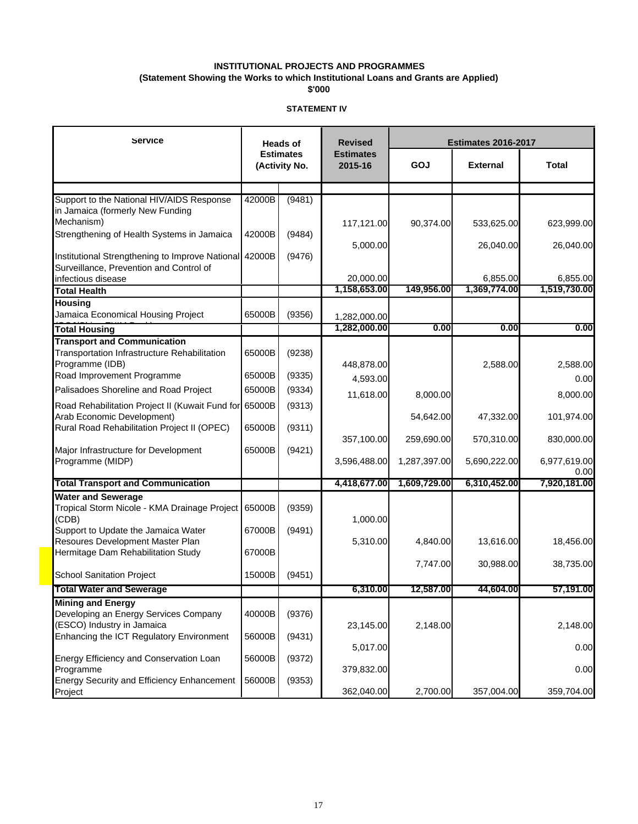**(Statement Showing the Works to which Institutional Loans and Grants are Applied)**

**\$'000**

| Service                                                                 |        | <b>Heads of</b>                   | <b>Revised</b>              | <b>Estimates 2016-2017</b> |              |              |
|-------------------------------------------------------------------------|--------|-----------------------------------|-----------------------------|----------------------------|--------------|--------------|
|                                                                         |        | <b>Estimates</b><br>(Activity No. | <b>Estimates</b><br>2015-16 | GOJ<br><b>External</b>     |              | Total        |
|                                                                         |        |                                   |                             |                            |              |              |
| Support to the National HIV/AIDS Response                               | 42000B | (9481)                            |                             |                            |              |              |
| in Jamaica (formerly New Funding<br>Mechanism)                          |        |                                   |                             |                            |              |              |
| Strengthening of Health Systems in Jamaica                              | 42000B | (9484)                            | 117,121.00                  | 90,374.00                  | 533,625.00   | 623,999.00   |
|                                                                         |        |                                   | 5,000.00                    |                            | 26,040.00    | 26,040.00    |
| Institutional Strengthening to Improve National                         | 42000B | (9476)                            |                             |                            |              |              |
| Surveillance, Prevention and Control of                                 |        |                                   |                             |                            |              |              |
| infectious disease                                                      |        |                                   | 20,000.00                   |                            | 6,855.00     | 6,855.00     |
| <b>Total Health</b>                                                     |        |                                   | 1,158,653.00                | 149,956.00                 | 1,369,774.00 | 1,519,730.00 |
| <b>Housing</b>                                                          |        |                                   |                             |                            |              |              |
| Jamaica Economical Housing Project                                      | 65000B | (9356)                            | 1,282,000.00                |                            |              |              |
| <b>Total Housing</b>                                                    |        |                                   | 1,282,000.00                | 0.00                       | 0.00         | 0.00         |
| <b>Transport and Communication</b>                                      |        |                                   |                             |                            |              |              |
| Transportation Infrastructure Rehabilitation                            | 65000B | (9238)                            |                             |                            |              |              |
| Programme (IDB)                                                         |        |                                   | 448,878.00                  |                            | 2,588.00     | 2,588.00     |
| Road Improvement Programme                                              | 65000B | (9335)                            | 4,593.00                    |                            |              | 0.00         |
| Palisadoes Shoreline and Road Project                                   | 65000B | (9334)                            | 11,618.00                   | 8,000.00                   |              | 8,000.00     |
| Road Rehabilitation Project II (Kuwait Fund for                         | 65000B | (9313)                            |                             |                            |              |              |
| Arab Economic Development)                                              |        |                                   |                             | 54,642.00                  | 47,332.00    | 101,974.00   |
| Rural Road Rehabilitation Project II (OPEC)                             | 65000B | (9311)                            |                             |                            |              |              |
| Major Infrastructure for Development                                    | 65000B | (9421)                            | 357,100.00                  | 259,690.00                 | 570,310.00   | 830,000.00   |
| Programme (MIDP)                                                        |        |                                   | 3,596,488.00                | 1,287,397.00               | 5,690,222.00 | 6,977,619.00 |
|                                                                         |        |                                   |                             |                            |              | 0.00         |
| <b>Total Transport and Communication</b>                                |        |                                   | 4,418,677.00                | 1,609,729.00               | 6,310,452.00 | 7,920,181.00 |
| <b>Water and Sewerage</b>                                               |        |                                   |                             |                            |              |              |
| Tropical Storm Nicole - KMA Drainage Project                            | 65000B | (9359)                            |                             |                            |              |              |
| (CDB)                                                                   |        |                                   | 1,000.00                    |                            |              |              |
| Support to Update the Jamaica Water<br>Resoures Development Master Plan | 67000B | (9491)                            |                             |                            |              |              |
| Hermitage Dam Rehabilitation Study                                      | 67000B |                                   | 5,310.00                    | 4,840.00                   | 13,616.00    | 18,456.00    |
|                                                                         |        |                                   |                             | 7,747.00                   | 30,988.00    | 38,735.00    |
| <b>School Sanitation Project</b>                                        | 15000B | (9451)                            |                             |                            |              |              |
| <b>Total Water and Sewerage</b>                                         |        |                                   | 6,310.00                    | 12,587.00                  | 44,604.00    | 57,191.00    |
| <b>Mining and Energy</b>                                                |        |                                   |                             |                            |              |              |
| Developing an Energy Services Company                                   | 40000B | (9376)                            |                             |                            |              |              |
| (ESCO) Industry in Jamaica                                              |        |                                   | 23,145.00                   | 2,148.00                   |              | 2,148.00     |
| Enhancing the ICT Regulatory Environment                                | 56000B | (9431)                            |                             |                            |              |              |
|                                                                         |        |                                   | 5,017.00                    |                            |              | 0.00         |
| Energy Efficiency and Conservation Loan<br>Programme                    | 56000B | (9372)                            |                             |                            |              | 0.00         |
| Energy Security and Efficiency Enhancement                              | 56000B | (9353)                            | 379,832.00                  |                            |              |              |
| Project                                                                 |        |                                   | 362,040.00                  | 2,700.00                   | 357,004.00   | 359,704.00   |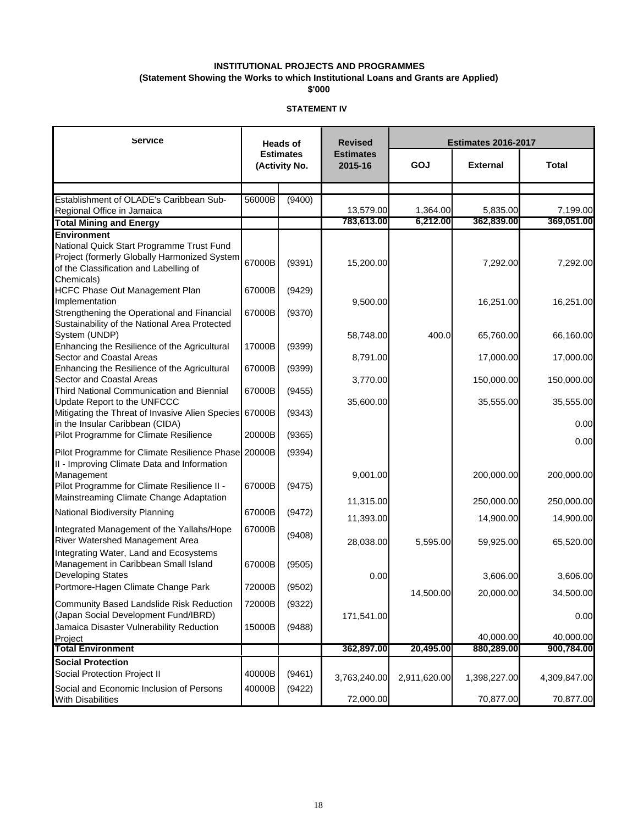**(Statement Showing the Works to which Institutional Loans and Grants are Applied)**

**\$'000**

| Service                                                                                                                                                          |                  | <b>Heads of</b>                   | <b>Revised</b>              | <b>Estimates 2016-2017</b> |                        |                        |  |
|------------------------------------------------------------------------------------------------------------------------------------------------------------------|------------------|-----------------------------------|-----------------------------|----------------------------|------------------------|------------------------|--|
|                                                                                                                                                                  |                  | <b>Estimates</b><br>(Activity No. | <b>Estimates</b><br>2015-16 | GOJ                        | <b>External</b>        |                        |  |
|                                                                                                                                                                  |                  |                                   |                             |                            |                        |                        |  |
| Establishment of OLADE's Caribbean Sub-                                                                                                                          | 56000B           | (9400)                            |                             |                            |                        |                        |  |
| Regional Office in Jamaica                                                                                                                                       |                  |                                   | 13,579.00<br>783,613.00     | 1,364.00<br>6,212.00       | 5,835.00<br>362,839.00 | 7,199.00<br>369,051.00 |  |
| <b>Total Mining and Energy</b>                                                                                                                                   |                  |                                   |                             |                            |                        |                        |  |
| Environment<br>National Quick Start Programme Trust Fund<br>Project (formerly Globally Harmonized System<br>of the Classification and Labelling of<br>Chemicals) | 67000B           | (9391)                            | 15,200.00                   |                            | 7,292.00               | 7,292.00               |  |
| HCFC Phase Out Management Plan                                                                                                                                   | 67000B           | (9429)                            |                             |                            |                        |                        |  |
| Implementation<br>Strengthening the Operational and Financial<br>Sustainability of the National Area Protected                                                   | 67000B           | (9370)                            | 9,500.00                    |                            | 16,251.00              | 16,251.00              |  |
| System (UNDP)                                                                                                                                                    |                  |                                   | 58,748.00                   | 400.0                      | 65,760.00              | 66,160.00              |  |
| Enhancing the Resilience of the Agricultural<br>Sector and Coastal Areas                                                                                         | 17000B           | (9399)                            | 8,791.00                    |                            | 17,000.00              | 17,000.00              |  |
| Enhancing the Resilience of the Agricultural<br>Sector and Coastal Areas<br>Third National Communication and Biennial                                            | 67000B<br>67000B | (9399)<br>(9455)                  | 3,770.00                    |                            | 150,000.00             | 150,000.00             |  |
| Update Report to the UNFCCC<br>Mitigating the Threat of Invasive Alien Species                                                                                   | 67000B           | (9343)                            | 35,600.00                   |                            | 35,555.00              | 35,555.00              |  |
| in the Insular Caribbean (CIDA)                                                                                                                                  |                  |                                   |                             |                            |                        | 0.00                   |  |
| Pilot Programme for Climate Resilience                                                                                                                           | 20000B           | (9365)                            |                             |                            |                        | 0.00                   |  |
| Pilot Programme for Climate Resilience Phase<br>II - Improving Climate Data and Information                                                                      | 20000B           | (9394)                            |                             |                            |                        |                        |  |
| Management<br>Pilot Programme for Climate Resilience II -<br>Mainstreaming Climate Change Adaptation                                                             | 67000B           | (9475)                            | 9,001.00                    |                            | 200,000.00             | 200,000.00             |  |
|                                                                                                                                                                  |                  |                                   | 11,315.00                   |                            | 250,000.00             | 250,000.00             |  |
| National Biodiversity Planning                                                                                                                                   | 67000B           | (9472)                            | 11,393.00                   |                            | 14,900.00              | 14,900.00              |  |
| Integrated Management of the Yallahs/Hope<br>River Watershed Management Area<br>Integrating Water, Land and Ecosystems                                           | 67000B           | (9408)                            | 28,038.00                   | 5,595.00                   | 59,925.00              | 65,520.00              |  |
| Management in Caribbean Small Island<br><b>Developing States</b>                                                                                                 | 67000B           | (9505)                            | 0.00                        |                            | 3,606.00               | 3,606.00               |  |
| Portmore-Hagen Climate Change Park                                                                                                                               | 72000B           | (9502)                            |                             |                            |                        |                        |  |
| Community Based Landslide Risk Reduction                                                                                                                         | 72000B           | (9322)                            |                             | 14,500.00                  | 20,000.00              | 34,500.00              |  |
| (Japan Social Development Fund/IBRD)<br>Jamaica Disaster Vulnerability Reduction                                                                                 | 15000B           | (9488)                            | 171,541.00                  |                            |                        | 0.00                   |  |
| Project                                                                                                                                                          |                  |                                   |                             |                            | 40,000.00              | 40,000.00              |  |
| <b>Total Environment</b>                                                                                                                                         |                  |                                   | 362,897.00                  | 20,495.00                  | 880,289.00             | 900,784.00             |  |
| <b>Social Protection</b><br>Social Protection Project II                                                                                                         | 40000B           | (9461)                            | 3,763,240.00                | 2,911,620.00               | 1,398,227.00           | 4,309,847.00           |  |
| Social and Economic Inclusion of Persons<br><b>With Disabilities</b>                                                                                             | 40000B           | (9422)                            | 72,000.00                   |                            | 70,877.00              | 70,877.00              |  |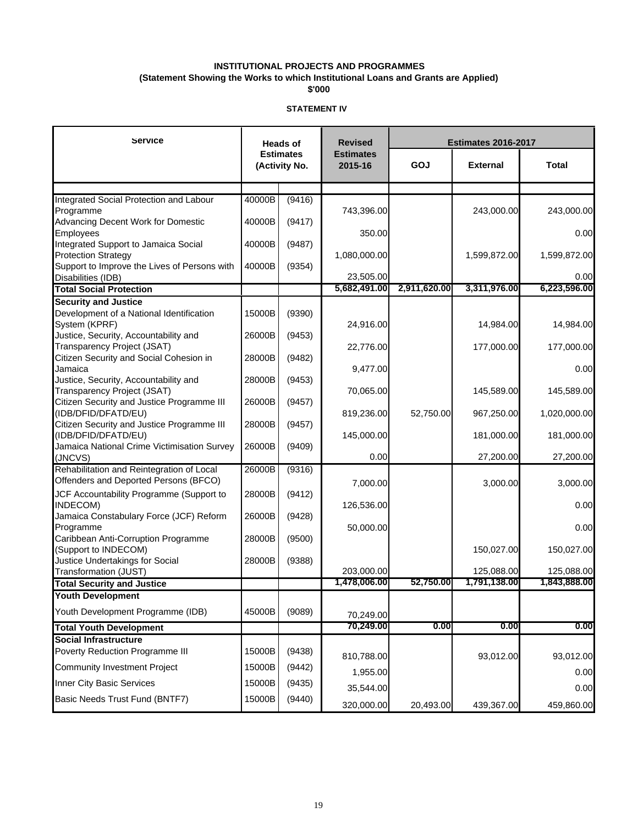**(Statement Showing the Works to which Institutional Loans and Grants are Applied)**

**\$'000**

| Service                                      |        | <b>Heads of</b>                   | <b>Revised</b>              | <b>Estimates 2016-2017</b><br>GOJ<br><b>External</b><br>Total |              |              |
|----------------------------------------------|--------|-----------------------------------|-----------------------------|---------------------------------------------------------------|--------------|--------------|
|                                              |        | <b>Estimates</b><br>(Activity No. | <b>Estimates</b><br>2015-16 |                                                               |              |              |
|                                              |        |                                   |                             |                                                               |              |              |
| Integrated Social Protection and Labour      | 40000B | (9416)                            |                             |                                                               |              |              |
| Programme                                    |        |                                   | 743,396.00                  |                                                               | 243,000.00   | 243,000.00   |
| Advancing Decent Work for Domestic           | 40000B | (9417)                            |                             |                                                               |              |              |
| Employees                                    |        |                                   | 350.00                      |                                                               |              | 0.00         |
| Integrated Support to Jamaica Social         | 40000B | (9487)                            |                             |                                                               |              |              |
| <b>Protection Strategy</b>                   |        |                                   | 1,080,000.00                |                                                               | 1,599,872.00 | 1,599,872.00 |
| Support to Improve the Lives of Persons with | 40000B | (9354)                            |                             |                                                               |              |              |
| Disabilities (IDB)                           |        |                                   | 23,505.00                   |                                                               |              | 0.00         |
| <b>Total Social Protection</b>               |        |                                   | 5,682,491.00                | 2,911,620.00                                                  | 3,311,976.00 | 6,223,596.00 |
| <b>Security and Justice</b>                  |        |                                   |                             |                                                               |              |              |
| Development of a National Identification     | 15000B | (9390)                            |                             |                                                               |              |              |
| System (KPRF)                                |        |                                   | 24,916.00                   |                                                               | 14,984.00    | 14,984.00    |
| Justice, Security, Accountability and        | 26000B | (9453)                            |                             |                                                               |              |              |
| <b>Transparency Project (JSAT)</b>           |        |                                   | 22,776.00                   |                                                               | 177,000.00   | 177,000.00   |
| Citizen Security and Social Cohesion in      | 28000B | (9482)                            |                             |                                                               |              |              |
| Jamaica                                      |        |                                   | 9,477.00                    |                                                               |              | 0.00         |
| Justice, Security, Accountability and        | 28000B | (9453)                            |                             |                                                               |              |              |
| Transparency Project (JSAT)                  |        |                                   | 70,065.00                   |                                                               | 145,589.00   | 145,589.00   |
| Citizen Security and Justice Programme III   | 26000B | (9457)                            |                             |                                                               |              |              |
| (IDB/DFID/DFATD/EU)                          |        |                                   | 819,236.00                  | 52,750.00                                                     | 967,250.00   | 1,020,000.00 |
| Citizen Security and Justice Programme III   | 28000B | (9457)                            |                             |                                                               |              |              |
| (IDB/DFID/DFATD/EU)                          |        |                                   | 145,000.00                  |                                                               | 181,000.00   | 181,000.00   |
| Jamaica National Crime Victimisation Survey  | 26000B | (9409)                            |                             |                                                               |              |              |
| (JNCVS)                                      |        |                                   | 0.00                        |                                                               | 27,200.00    | 27,200.00    |
| Rehabilitation and Reintegration of Local    | 26000B | (9316)                            |                             |                                                               |              |              |
| Offenders and Deported Persons (BFCO)        |        |                                   | 7,000.00                    |                                                               | 3,000.00     | 3,000.00     |
| JCF Accountability Programme (Support to     | 28000B | (9412)                            |                             |                                                               |              |              |
| INDECOM)                                     |        |                                   | 126,536.00                  |                                                               |              | 0.00         |
| Jamaica Constabulary Force (JCF) Reform      | 26000B | (9428)                            |                             |                                                               |              |              |
| Programme                                    |        |                                   | 50,000.00                   |                                                               |              | 0.00         |
| Caribbean Anti-Corruption Programme          | 28000B | (9500)                            |                             |                                                               |              |              |
| (Support to INDECOM)                         |        |                                   |                             |                                                               | 150,027.00   | 150,027.00   |
| Justice Undertakings for Social              | 28000B | (9388)                            |                             |                                                               |              |              |
| Transformation (JUST)                        |        |                                   | 203,000.00                  |                                                               | 125,088.00   | 125,088.00   |
| <b>Total Security and Justice</b>            |        |                                   | 1,478,006.00                | 52,750.00                                                     | 1,791,138.00 | 1,843,888.00 |
| <b>Youth Development</b>                     |        |                                   |                             |                                                               |              |              |
| Youth Development Programme (IDB)            | 45000B | (9089)                            | 70,249.00                   |                                                               |              |              |
| <b>Total Youth Development</b>               |        |                                   | 70,249.00                   | 0.00                                                          | 0.00         | 0.00         |
| <b>Social Infrastructure</b>                 |        |                                   |                             |                                                               |              |              |
| Poverty Reduction Programme III              | 15000B | (9438)                            |                             |                                                               |              |              |
|                                              |        |                                   | 810,788.00                  |                                                               | 93,012.00    | 93,012.00    |
| <b>Community Investment Project</b>          | 15000B | (9442)                            | 1,955.00                    |                                                               |              | 0.00         |
| Inner City Basic Services                    | 15000B | (9435)                            |                             |                                                               |              |              |
| Basic Needs Trust Fund (BNTF7)               |        |                                   | 35,544.00                   |                                                               |              | 0.00         |
|                                              | 15000B | (9440)                            | 320,000.00                  | 20,493.00                                                     | 439,367.00   | 459,860.00   |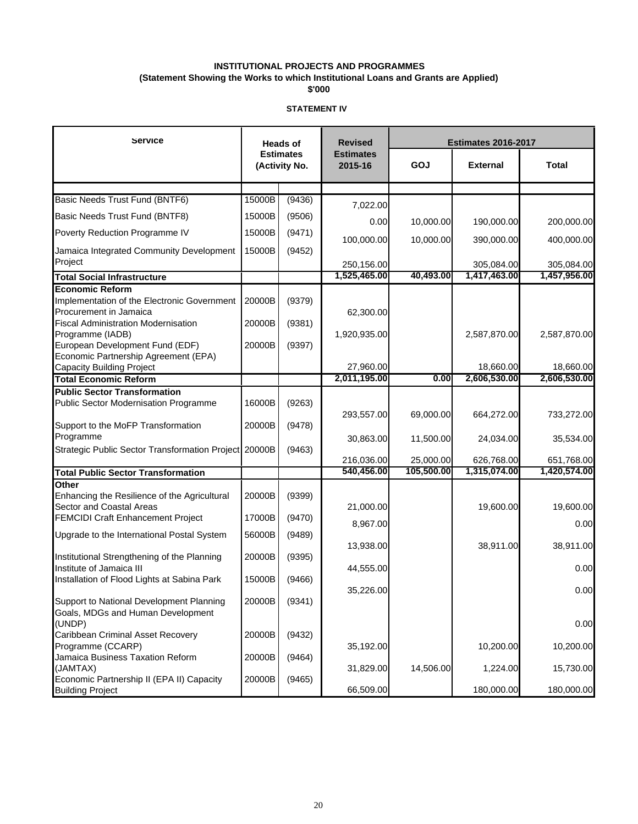**(Statement Showing the Works to which Institutional Loans and Grants are Applied)**

**\$'000**

| Service                                                                                                                |                  | <b>Heads of</b>                   | <b>Revised</b>              | <b>Estimates 2016-2017</b> |                            |                            |
|------------------------------------------------------------------------------------------------------------------------|------------------|-----------------------------------|-----------------------------|----------------------------|----------------------------|----------------------------|
|                                                                                                                        |                  | <b>Estimates</b><br>(Activity No. | <b>Estimates</b><br>2015-16 | GOJ<br><b>External</b>     |                            | Total                      |
|                                                                                                                        |                  |                                   |                             |                            |                            |                            |
| Basic Needs Trust Fund (BNTF6)                                                                                         | 15000B           | (9436)                            | 7,022.00                    |                            |                            |                            |
| Basic Needs Trust Fund (BNTF8)                                                                                         | 15000B           | (9506)                            |                             |                            |                            |                            |
| Poverty Reduction Programme IV                                                                                         | 15000B           | (9471)                            | 0.00                        | 10,000.00                  | 190,000.00                 | 200,000.00                 |
| Jamaica Integrated Community Development<br>Project                                                                    | 15000B           | (9452)                            | 100,000.00                  | 10,000.00                  | 390,000.00                 | 400,000.00                 |
| <b>Total Social Infrastructure</b>                                                                                     |                  |                                   | 250,156.00<br>1,525,465.00  | 40,493.00                  | 305,084.00<br>1,417,463.00 | 305,084.00<br>1,457,956.00 |
| <b>Economic Reform</b>                                                                                                 |                  |                                   |                             |                            |                            |                            |
| Implementation of the Electronic Government<br>Procurement in Jamaica<br><b>Fiscal Administration Modernisation</b>    | 20000B<br>20000B | (9379)<br>(9381)                  | 62,300.00                   |                            |                            |                            |
| Programme (IADB)<br>European Development Fund (EDF)<br>Economic Partnership Agreement (EPA)                            | 20000B           | (9397)                            | 1,920,935.00                |                            | 2,587,870.00               | 2,587,870.00               |
| <b>Capacity Building Project</b>                                                                                       |                  |                                   | 27,960.00                   |                            | 18,660.00                  | 18,660.00                  |
| <b>Total Economic Reform</b>                                                                                           |                  |                                   | 2,011,195.00                | 0.00                       | 2,606,530.00               | 2,606,530.00               |
| <b>Public Sector Transformation</b><br><b>Public Sector Modernisation Programme</b>                                    | 16000B           | (9263)                            | 293,557.00                  | 69,000.00                  | 664,272.00                 | 733,272.00                 |
| Support to the MoFP Transformation                                                                                     | 20000B           | (9478)                            |                             |                            |                            |                            |
| Programme<br>Strategic Public Sector Transformation Project 20000B                                                     |                  | (9463)                            | 30,863.00                   | 11,500.00                  | 24,034.00                  | 35,534.00                  |
|                                                                                                                        |                  |                                   | 216,036.00                  | 25,000.00                  | 626,768.00                 | 651,768.00                 |
| <b>Total Public Sector Transformation</b>                                                                              |                  |                                   | 540,456.00                  | 105,500.00                 | 1,315,074.00               | 1,420,574.00               |
| Other<br>Enhancing the Resilience of the Agricultural<br>Sector and Coastal Areas                                      | 20000B           | (9399)                            | 21,000.00                   |                            | 19,600.00                  | 19,600.00                  |
| <b>FEMCIDI Craft Enhancement Project</b>                                                                               | 17000B           | (9470)                            | 8,967.00                    |                            |                            | 0.00                       |
| Upgrade to the International Postal System                                                                             | 56000B           | (9489)                            | 13,938.00                   |                            | 38,911.00                  | 38,911.00                  |
| Institutional Strengthening of the Planning<br>Institute of Jamaica III<br>Installation of Flood Lights at Sabina Park | 20000B<br>15000B | (9395)<br>(9466)                  | 44,555.00                   |                            |                            | 0.00                       |
| Support to National Development Planning                                                                               | 20000B           | (9341)                            | 35,226.00                   |                            |                            | 0.00                       |
| Goals, MDGs and Human Development<br>(UNDP)                                                                            |                  |                                   |                             |                            |                            | 0.00                       |
| Caribbean Criminal Asset Recovery<br>Programme (CCARP)                                                                 | 20000B           | (9432)                            | 35,192.00                   |                            | 10,200.00                  | 10,200.00                  |
| Jamaica Business Taxation Reform<br>(JAMTAX)<br>Economic Partnership II (EPA II) Capacity                              | 20000B<br>20000B | (9464)<br>(9465)                  | 31,829.00                   | 14,506.00                  | 1,224.00                   | 15,730.00                  |
| <b>Building Project</b>                                                                                                |                  |                                   | 66,509.00                   |                            | 180,000.00                 | 180,000.00                 |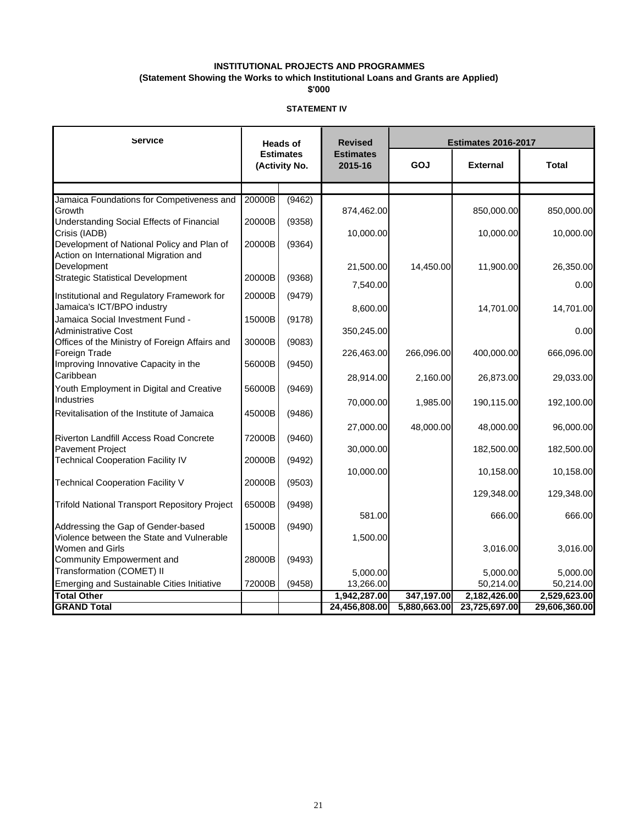### **INSTITUTIONAL PROJECTS AND PROGRAMMES (Statement Showing the Works to which Institutional Loans and Grants are Applied)**

**\$'000**

| Service                                                                      |        | <b>Heads of</b>                   | <b>Revised</b>              | <b>Estimates 2016-2017</b>      |               |               |  |
|------------------------------------------------------------------------------|--------|-----------------------------------|-----------------------------|---------------------------------|---------------|---------------|--|
|                                                                              |        | <b>Estimates</b><br>(Activity No. | <b>Estimates</b><br>2015-16 | GOJ<br><b>External</b><br>Total |               |               |  |
|                                                                              |        |                                   |                             |                                 |               |               |  |
| Jamaica Foundations for Competiveness and                                    | 20000B | (9462)                            |                             |                                 |               |               |  |
| Growth<br>Understanding Social Effects of Financial                          | 20000B | (9358)                            | 874,462.00                  |                                 | 850,000.00    | 850,000.00    |  |
| Crisis (IADB)                                                                |        |                                   | 10,000.00                   |                                 | 10,000.00     | 10,000.00     |  |
| Development of National Policy and Plan of                                   | 20000B | (9364)                            |                             |                                 |               |               |  |
| Action on International Migration and                                        |        |                                   |                             |                                 |               |               |  |
| Development                                                                  |        |                                   | 21,500.00                   | 14,450.00                       | 11,900.00     | 26,350.00     |  |
| <b>Strategic Statistical Development</b>                                     | 20000B | (9368)                            | 7,540.00                    |                                 |               | 0.00          |  |
| Institutional and Regulatory Framework for                                   | 20000B | (9479)                            |                             |                                 |               |               |  |
| Jamaica's ICT/BPO industry                                                   |        |                                   | 8,600.00                    |                                 | 14,701.00     | 14,701.00     |  |
| Jamaica Social Investment Fund -                                             | 15000B | (9178)                            |                             |                                 |               |               |  |
| <b>Administrative Cost</b><br>Offices of the Ministry of Foreign Affairs and |        | (9083)                            | 350,245.00                  |                                 |               | 0.00          |  |
| Foreign Trade                                                                | 30000B |                                   | 226,463.00                  | 266,096.00                      | 400,000.00    | 666,096.00    |  |
| Improving Innovative Capacity in the                                         | 56000B | (9450)                            |                             |                                 |               |               |  |
| Caribbean                                                                    |        |                                   | 28,914.00                   | 2,160.00                        | 26,873.00     | 29,033.00     |  |
| Youth Employment in Digital and Creative                                     | 56000B | (9469)                            |                             |                                 |               |               |  |
| Industries                                                                   |        |                                   | 70,000.00                   | 1,985.00                        | 190,115.00    | 192,100.00    |  |
| Revitalisation of the Institute of Jamaica                                   | 45000B | (9486)                            |                             |                                 |               |               |  |
|                                                                              |        |                                   | 27,000.00                   | 48,000.00                       | 48,000.00     | 96,000.00     |  |
| Riverton Landfill Access Road Concrete                                       | 72000B | (9460)                            |                             |                                 |               |               |  |
| <b>Pavement Project</b><br><b>Technical Cooperation Facility IV</b>          | 20000B | (9492)                            | 30,000.00                   |                                 | 182,500.00    | 182,500.00    |  |
|                                                                              |        |                                   | 10,000.00                   |                                 | 10,158.00     | 10,158.00     |  |
| <b>Technical Cooperation Facility V</b>                                      | 20000B | (9503)                            |                             |                                 |               |               |  |
|                                                                              |        |                                   |                             |                                 | 129,348.00    | 129,348.00    |  |
| <b>Trifold National Transport Repository Project</b>                         | 65000B | (9498)                            |                             |                                 |               |               |  |
| Addressing the Gap of Gender-based                                           | 15000B | (9490)                            | 581.00                      |                                 | 666.00        | 666.00        |  |
| Violence between the State and Vulnerable                                    |        |                                   | 1,500.00                    |                                 |               |               |  |
| Women and Girls                                                              |        |                                   |                             |                                 | 3,016.00      | 3,016.00      |  |
| Community Empowerment and                                                    | 28000B | (9493)                            |                             |                                 |               |               |  |
| Transformation (COMET) II                                                    |        |                                   | 5.000.00                    |                                 | 5,000.00      | 5,000.00      |  |
| Emerging and Sustainable Cities Initiative                                   | 72000B | (9458)                            | 13,266.00                   |                                 | 50,214.00     | 50,214.00     |  |
| <b>Total Other</b>                                                           |        |                                   | 1,942,287.00                | 347,197.00                      | 2,182,426.00  | 2,529,623.00  |  |
| <b>GRAND Total</b>                                                           |        |                                   | 24,456,808.00               | 5,880,663.00                    | 23,725,697.00 | 29,606,360.00 |  |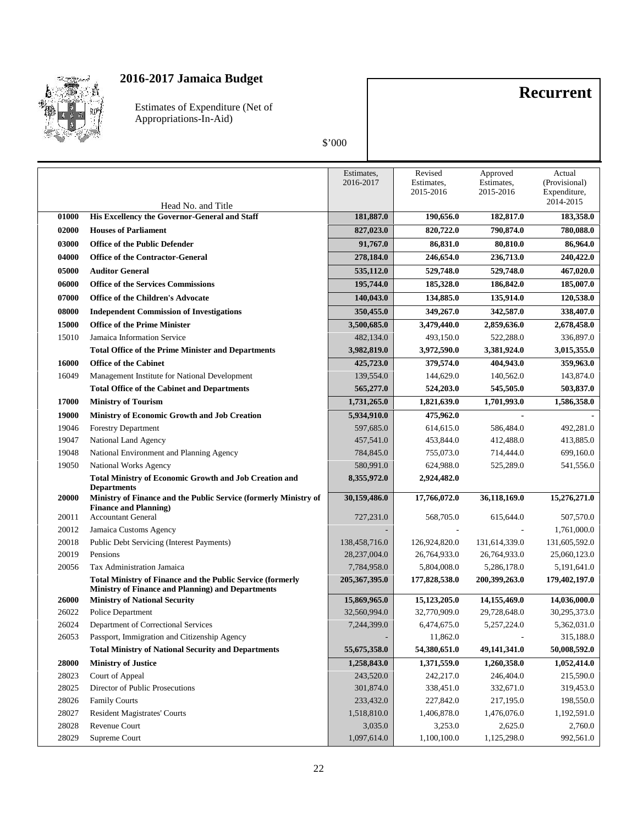

Estimates of Expenditure (Net of Appropriations-In-Aid)

### \$'000

**Recurrent**

|       |                                                                                           | Estimates,<br>2016-2017 | Revised<br>Estimates,<br>2015-2016 | Approved<br>Estimates,<br>2015-2016 | Actual<br>(Provisional)<br>Expenditure,<br>2014-2015 |
|-------|-------------------------------------------------------------------------------------------|-------------------------|------------------------------------|-------------------------------------|------------------------------------------------------|
| 01000 | Head No. and Title<br>His Excellency the Governor-General and Staff                       | 181,887.0               | 190,656.0                          | 182,817.0                           | 183,358.0                                            |
| 02000 | <b>Houses of Parliament</b>                                                               | 827,023.0               | 820,722.0                          | 790,874.0                           | 780,088.0                                            |
| 03000 | <b>Office of the Public Defender</b>                                                      | 91,767.0                | 86,831.0                           | 80,810.0                            | 86,964.0                                             |
| 04000 | <b>Office of the Contractor-General</b>                                                   | 278,184.0               | 246,654.0                          | 236,713.0                           | 240,422.0                                            |
| 05000 | <b>Auditor General</b>                                                                    | 535,112.0               | 529,748.0                          | 529,748.0                           | 467,020.0                                            |
| 06000 | <b>Office of the Services Commissions</b>                                                 | 195,744.0               | 185,328.0                          | 186,842.0                           | 185,007.0                                            |
|       |                                                                                           |                         |                                    |                                     |                                                      |
| 07000 | <b>Office of the Children's Advocate</b>                                                  | 140,043.0               | 134,885.0                          | 135,914.0                           | 120,538.0                                            |
| 08000 | <b>Independent Commission of Investigations</b>                                           | 350,455.0               | 349,267.0                          | 342,587.0                           | 338,407.0                                            |
| 15000 | <b>Office of the Prime Minister</b>                                                       | 3,500,685.0             | 3,479,440.0                        | 2,859,636.0                         | 2,678,458.0                                          |
| 15010 | Jamaica Information Service                                                               | 482,134.0               | 493,150.0                          | 522,288.0                           | 336,897.0                                            |
|       | <b>Total Office of the Prime Minister and Departments</b>                                 | 3,982,819.0             | 3,972,590.0                        | 3,381,924.0                         | 3,015,355.0                                          |
| 16000 | <b>Office of the Cabinet</b>                                                              | 425,723.0               | 379,574.0                          | 404,943.0                           | 359,963.0                                            |
| 16049 | Management Institute for National Development                                             | 139,554.0               | 144,629.0                          | 140,562.0                           | 143,874.0                                            |
|       | <b>Total Office of the Cabinet and Departments</b>                                        | 565,277.0               | 524,203.0                          | 545,505.0                           | 503,837.0                                            |
| 17000 | <b>Ministry of Tourism</b>                                                                | 1,731,265.0             | 1,821,639.0                        | 1,701,993.0                         | 1,586,358.0                                          |
| 19000 | Ministry of Economic Growth and Job Creation                                              | 5,934,910.0             | 475,962.0                          |                                     |                                                      |
| 19046 | <b>Forestry Department</b>                                                                | 597,685.0               | 614,615.0                          | 586,484.0                           | 492,281.0                                            |
| 19047 | National Land Agency                                                                      | 457,541.0               | 453,844.0                          | 412,488.0                           | 413,885.0                                            |
| 19048 | National Environment and Planning Agency                                                  | 784,845.0               | 755,073.0                          | 714,444.0                           | 699,160.0                                            |
| 19050 | National Works Agency                                                                     | 580,991.0               | 624,988.0                          | 525,289.0                           | 541,556.0                                            |
|       | <b>Total Ministry of Economic Growth and Job Creation and</b><br><b>Departments</b>       | 8,355,972.0             | 2,924,482.0                        |                                     |                                                      |
| 20000 | Ministry of Finance and the Public Service (formerly Ministry of                          | 30,159,486.0            | 17,766,072.0                       | 36,118,169.0                        | 15,276,271.0                                         |
| 20011 | <b>Finance and Planning</b> )<br><b>Accountant General</b>                                | 727,231.0               | 568,705.0                          | 615,644.0                           | 507,570.0                                            |
| 20012 | Jamaica Customs Agency                                                                    |                         |                                    |                                     | 1,761,000.0                                          |
| 20018 | Public Debt Servicing (Interest Payments)                                                 | 138,458,716.0           | 126,924,820.0                      | 131,614,339.0                       | 131,605,592.0                                        |
| 20019 | Pensions                                                                                  | 28,237,004.0            | 26,764,933.0                       | 26,764,933.0                        | 25,060,123.0                                         |
| 20056 | Tax Administration Jamaica                                                                | 7,784,958.0             | 5,804,008.0                        | 5,286,178.0                         | 5,191,641.0                                          |
|       | <b>Total Ministry of Finance and the Public Service (formerly</b>                         | 205, 367, 395.0         | 177,828,538.0                      | 200,399,263.0                       | 179,402,197.0                                        |
| 26000 | Ministry of Finance and Planning) and Departments<br><b>Ministry of National Security</b> | 15,869,965.0            | 15,123,205.0                       | 14,155,469.0                        | 14,036,000.0                                         |
| 26022 | Police Department                                                                         | 32,560,994.0            | 32,770,909.0                       | 29,728,648.0                        | 30,295,373.0                                         |
| 26024 | Department of Correctional Services                                                       | 7,244,399.0             | 6,474,675.0                        | 5.257.224.0                         | 5,362,031.0                                          |
| 26053 | Passport, Immigration and Citizenship Agency                                              |                         | 11,862.0                           |                                     | 315,188.0                                            |
|       | <b>Total Ministry of National Security and Departments</b>                                | 55,675,358.0            | 54,380,651.0                       | 49,141,341.0                        | 50,008,592.0                                         |
| 28000 | <b>Ministry of Justice</b>                                                                | 1,258,843.0             | 1,371,559.0                        | 1,260,358.0                         | 1,052,414.0                                          |
| 28023 | Court of Appeal                                                                           | 243,520.0               | 242,217.0                          | 246,404.0                           | 215,590.0                                            |
| 28025 | Director of Public Prosecutions                                                           | 301,874.0               | 338,451.0                          | 332,671.0                           | 319,453.0                                            |
| 28026 | <b>Family Courts</b>                                                                      | 233,432.0               | 227,842.0                          | 217,195.0                           | 198,550.0                                            |
| 28027 | <b>Resident Magistrates' Courts</b>                                                       | 1,518,810.0             | 1,406,878.0                        | 1,476,076.0                         | 1,192,591.0                                          |
| 28028 | Revenue Court                                                                             | 3,035.0                 | 3,253.0                            | 2,625.0                             | 2,760.0                                              |
| 28029 | Supreme Court                                                                             | 1,097,614.0             | 1,100,100.0                        | 1,125,298.0                         | 992,561.0                                            |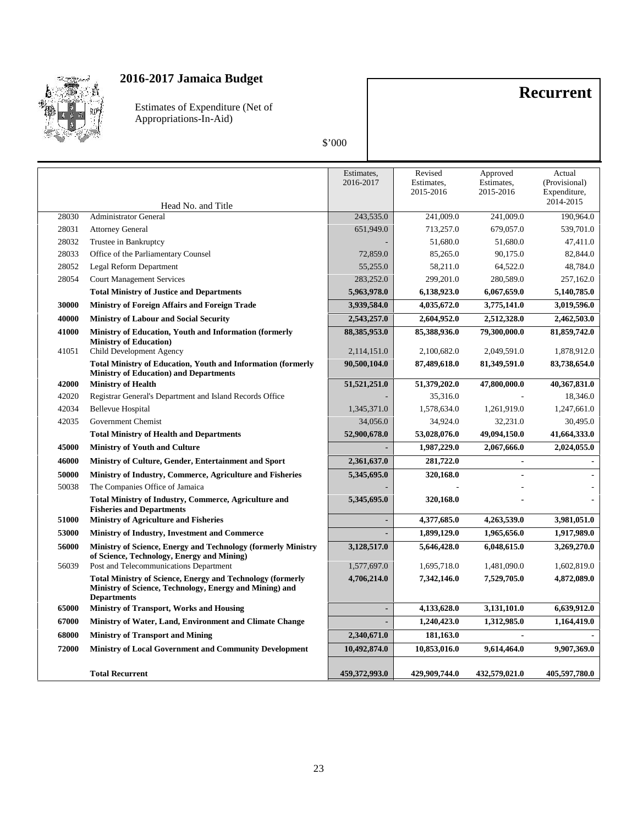

Estimates of Expenditure (Net of Appropriations-In-Aid)

### \$'000

**Recurrent**

|       | Head No. and Title                                                                                                                                 | Estimates,<br>2016-2017 | Revised<br>Estimates,<br>2015-2016 | Approved<br>Estimates,<br>2015-2016 | Actual<br>(Provisional)<br>Expenditure,<br>2014-2015 |
|-------|----------------------------------------------------------------------------------------------------------------------------------------------------|-------------------------|------------------------------------|-------------------------------------|------------------------------------------------------|
| 28030 | <b>Administrator General</b>                                                                                                                       | 243,535.0               | 241,009.0                          | 241,009.0                           | 190.964.0                                            |
| 28031 | <b>Attorney General</b>                                                                                                                            | 651,949.0               | 713,257.0                          | 679,057.0                           | 539,701.0                                            |
| 28032 | Trustee in Bankruptcy                                                                                                                              |                         | 51,680.0                           | 51,680.0                            | 47,411.0                                             |
| 28033 | Office of the Parliamentary Counsel                                                                                                                | 72,859.0                | 85,265.0                           | 90,175.0                            | 82,844.0                                             |
| 28052 | Legal Reform Department                                                                                                                            | 55,255.0                | 58,211.0                           | 64,522.0                            | 48,784.0                                             |
| 28054 | <b>Court Management Services</b>                                                                                                                   | 283,252.0               | 299,201.0                          | 280,589.0                           | 257,162.0                                            |
|       | <b>Total Ministry of Justice and Departments</b>                                                                                                   | 5,963,978.0             | 6,138,923.0                        | 6,067,659.0                         | 5,140,785.0                                          |
| 30000 | Ministry of Foreign Affairs and Foreign Trade                                                                                                      | 3,939,584.0             | 4,035,672.0                        | 3,775,141.0                         | 3,019,596.0                                          |
| 40000 | <b>Ministry of Labour and Social Security</b>                                                                                                      | 2,543,257.0             | 2,604,952.0                        | 2,512,328.0                         | 2,462,503.0                                          |
| 41000 | Ministry of Education, Youth and Information (formerly                                                                                             | 88,385,953.0            | 85,388,936.0                       | 79,300,000.0                        | 81,859,742.0                                         |
|       | <b>Ministry of Education</b> )                                                                                                                     |                         |                                    |                                     |                                                      |
| 41051 | Child Development Agency                                                                                                                           | 2,114,151.0             | 2,100,682.0                        | 2,049,591.0                         | 1,878,912.0                                          |
|       | <b>Total Ministry of Education, Youth and Information (formerly</b><br><b>Ministry of Education</b> ) and Departments                              | 90,500,104.0            | 87,489,618.0                       | 81,349,591.0                        | 83,738,654.0                                         |
| 42000 | <b>Ministry of Health</b>                                                                                                                          | 51,521,251.0            | 51,379,202.0                       | 47,800,000.0                        | 40,367,831.0                                         |
| 42020 | Registrar General's Department and Island Records Office                                                                                           |                         | 35,316.0                           |                                     | 18,346.0                                             |
| 42034 | <b>Bellevue Hospital</b>                                                                                                                           | 1,345,371.0             | 1,578,634.0                        | 1,261,919.0                         | 1,247,661.0                                          |
| 42035 | Government Chemist                                                                                                                                 | 34,056.0                | 34,924.0                           | 32,231.0                            | 30,495.0                                             |
|       | <b>Total Ministry of Health and Departments</b>                                                                                                    | 52,900,678.0            | 53,028,076.0                       | 49,094,150.0                        | 41,664,333.0                                         |
| 45000 | <b>Ministry of Youth and Culture</b>                                                                                                               |                         | 1,987,229.0                        | 2,067,666.0                         | 2,024,055.0                                          |
| 46000 | Ministry of Culture, Gender, Entertainment and Sport                                                                                               | 2,361,637.0             | 281,722.0                          |                                     |                                                      |
| 50000 | Ministry of Industry, Commerce, Agriculture and Fisheries                                                                                          | 5,345,695.0             | 320,168.0                          |                                     |                                                      |
| 50038 | The Companies Office of Jamaica                                                                                                                    |                         |                                    |                                     |                                                      |
|       | <b>Total Ministry of Industry, Commerce, Agriculture and</b><br><b>Fisheries and Departments</b>                                                   | 5,345,695.0             | 320,168.0                          |                                     |                                                      |
| 51000 | <b>Ministry of Agriculture and Fisheries</b>                                                                                                       | $\overline{a}$          | 4,377,685.0                        | 4,263,539.0                         | 3,981,051.0                                          |
| 53000 | Ministry of Industry, Investment and Commerce                                                                                                      | ÷                       | 1,899,129.0                        | 1,965,656.0                         | 1,917,989.0                                          |
| 56000 | Ministry of Science, Energy and Technology (formerly Ministry<br>of Science, Technology, Energy and Mining)                                        | 3,128,517.0             | 5,646,428.0                        | 6,048,615.0                         | 3,269,270.0                                          |
| 56039 | Post and Telecommunications Department                                                                                                             | 1,577,697.0             | 1,695,718.0                        | 1,481,090.0                         | 1,602,819.0                                          |
|       | <b>Total Ministry of Science, Energy and Technology (formerly</b><br>Ministry of Science, Technology, Energy and Mining) and<br><b>Departments</b> | 4,706,214.0             | 7,342,146.0                        | 7,529,705.0                         | 4,872,089.0                                          |
| 65000 | <b>Ministry of Transport, Works and Housing</b>                                                                                                    | ٠                       | 4,133,628.0                        | 3,131,101.0                         | 6,639,912.0                                          |
| 67000 | Ministry of Water, Land, Environment and Climate Change                                                                                            |                         | 1,240,423.0                        | 1,312,985.0                         | 1,164,419.0                                          |
| 68000 | <b>Ministry of Transport and Mining</b>                                                                                                            | 2,340,671.0             | 181,163.0                          |                                     |                                                      |
| 72000 | <b>Ministry of Local Government and Community Development</b>                                                                                      | 10,492,874.0            | 10,853,016.0                       | 9,614,464.0                         | 9,907,369.0                                          |
|       | <b>Total Recurrent</b>                                                                                                                             | 459,372,993.0           | 429,909,744.0                      | 432.579,021.0                       | 405.597.780.0                                        |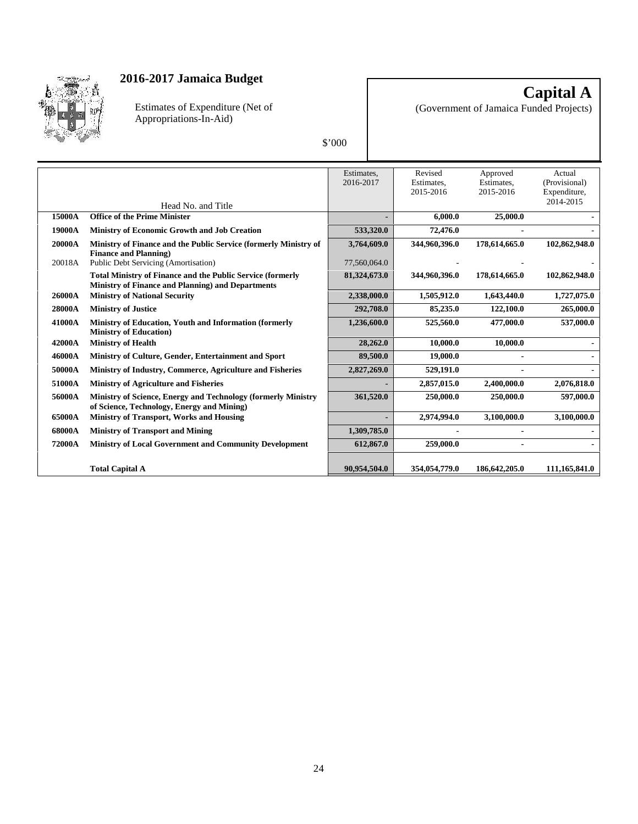

Estimates of Expenditure (Net of Appropriations-In-Aid)

**Capital A** (Government of Jamaica Funded Projects)

|--|

|        |                                                                                                                        | Estimates,   | Revised                 | Approved                | Actual                        |
|--------|------------------------------------------------------------------------------------------------------------------------|--------------|-------------------------|-------------------------|-------------------------------|
|        |                                                                                                                        | 2016-2017    | Estimates,<br>2015-2016 | Estimates,<br>2015-2016 | (Provisional)<br>Expenditure, |
|        | Head No. and Title                                                                                                     |              |                         |                         | 2014-2015                     |
| 15000A | <b>Office of the Prime Minister</b>                                                                                    |              | 6,000.0                 | 25,000.0                |                               |
| 19000A | <b>Ministry of Economic Growth and Job Creation</b>                                                                    | 533,320.0    | 72,476.0                |                         |                               |
| 20000A | Ministry of Finance and the Public Service (formerly Ministry of<br><b>Finance and Planning</b> )                      | 3,764,609.0  | 344,960,396.0           | 178,614,665.0           | 102,862,948.0                 |
| 20018A | Public Debt Servicing (Amortisation)                                                                                   | 77,560,064.0 |                         |                         |                               |
|        | Total Ministry of Finance and the Public Service (formerly<br><b>Ministry of Finance and Planning) and Departments</b> | 81,324,673.0 | 344,960,396.0           | 178,614,665.0           | 102,862,948.0                 |
| 26000A | <b>Ministry of National Security</b>                                                                                   | 2,338,000.0  | 1,505,912.0             | 1,643,440.0             | 1,727,075.0                   |
| 28000A | <b>Ministry of Justice</b>                                                                                             | 292,708.0    | 85,235.0                | 122,100.0               | 265,000.0                     |
| 41000A | Ministry of Education, Youth and Information (formerly<br><b>Ministry of Education)</b>                                | 1,236,600.0  | 525,560.0               | 477,000.0               | 537,000.0                     |
| 42000A | <b>Ministry of Health</b>                                                                                              | 28,262.0     | 10,000.0                | 10,000.0                |                               |
| 46000A | Ministry of Culture, Gender, Entertainment and Sport                                                                   | 89,500.0     | 19,000.0                |                         |                               |
| 50000A | Ministry of Industry, Commerce, Agriculture and Fisheries                                                              | 2,827,269.0  | 529,191.0               |                         |                               |
| 51000A | <b>Ministry of Agriculture and Fisheries</b>                                                                           |              | 2,857,015.0             | 2,400,000.0             | 2,076,818.0                   |
| 56000A | Ministry of Science, Energy and Technology (formerly Ministry<br>of Science, Technology, Energy and Mining)            | 361,520.0    | 250,000.0               | 250,000.0               | 597,000.0                     |
| 65000A | <b>Ministry of Transport, Works and Housing</b>                                                                        |              | 2,974,994.0             | 3,100,000.0             | 3,100,000.0                   |
| 68000A | <b>Ministry of Transport and Mining</b>                                                                                | 1,309,785.0  |                         |                         |                               |
| 72000A | Ministry of Local Government and Community Development                                                                 | 612,867.0    | 259,000.0               |                         |                               |
|        |                                                                                                                        |              |                         |                         |                               |
|        | <b>Total Capital A</b>                                                                                                 | 90,954,504.0 | 354,054,779.0           | 186,642,205.0           | 111,165,841.0                 |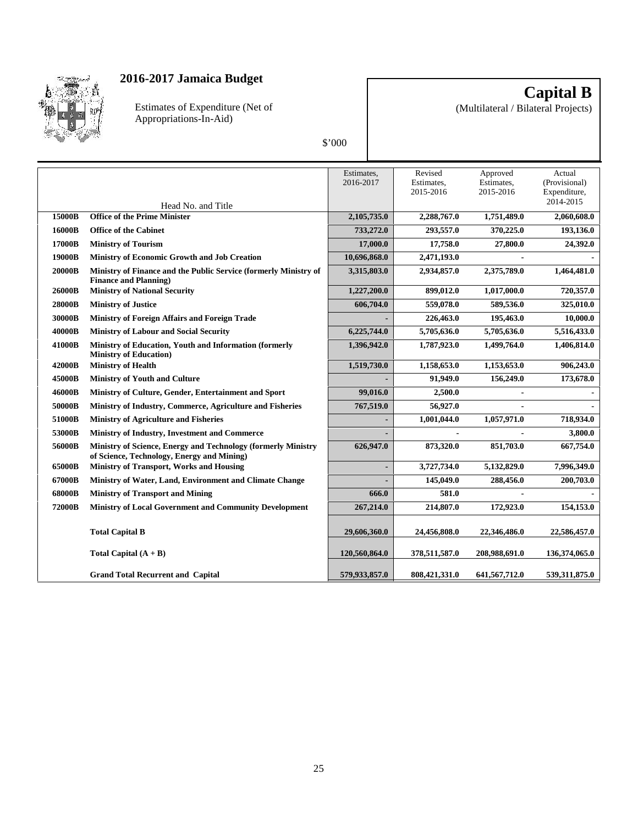

Estimates of Expenditure (Net of Appropriations-In-Aid)

**Capital B**

(Multilateral / Bilateral Projects)

| ſ<br>I<br>ı |
|-------------|
|             |

|        |                                                                                                             | Estimates.<br>2016-2017 | Revised<br>Estimates,<br>2015-2016 | Approved<br>Estimates,<br>2015-2016 | Actual<br>(Provisional)<br>Expenditure,<br>2014-2015 |
|--------|-------------------------------------------------------------------------------------------------------------|-------------------------|------------------------------------|-------------------------------------|------------------------------------------------------|
| 15000B | Head No. and Title<br><b>Office of the Prime Minister</b>                                                   | 2,105,735.0             | 2,288,767.0                        | 1,751,489.0                         | 2,060,608.0                                          |
| 16000B | <b>Office of the Cabinet</b>                                                                                | 733,272.0               | 293,557.0                          | 370,225.0                           | 193,136.0                                            |
| 17000B | <b>Ministry of Tourism</b>                                                                                  | 17,000.0                | 17,758.0                           | 27,800.0                            | 24,392.0                                             |
| 19000B | Ministry of Economic Growth and Job Creation                                                                | 10,696,868.0            | 2,471,193.0                        |                                     |                                                      |
| 20000B | Ministry of Finance and the Public Service (formerly Ministry of<br><b>Finance and Planning</b> )           | 3,315,803.0             | 2,934,857.0                        | 2,375,789.0                         | 1,464,481.0                                          |
| 26000B | <b>Ministry of National Security</b>                                                                        | 1,227,200.0             | 899,012.0                          | 1,017,000.0                         | 720,357.0                                            |
| 28000B | <b>Ministry of Justice</b>                                                                                  | 606,704.0               | 559,078.0                          | 589,536.0                           | 325,010.0                                            |
| 30000B | <b>Ministry of Foreign Affairs and Foreign Trade</b>                                                        |                         | 226,463.0                          | 195,463.0                           | 10,000.0                                             |
| 40000B | <b>Ministry of Labour and Social Security</b>                                                               | 6,225,744.0             | 5,705,636.0                        | 5,705,636.0                         | 5,516,433.0                                          |
| 41000B | Ministry of Education, Youth and Information (formerly<br><b>Ministry of Education</b> )                    | 1,396,942.0             | 1,787,923.0                        | 1,499,764.0                         | 1,406,814.0                                          |
| 42000B | <b>Ministry of Health</b>                                                                                   | 1,519,730.0             | 1,158,653.0                        | 1,153,653.0                         | 906,243.0                                            |
| 45000B | <b>Ministry of Youth and Culture</b>                                                                        |                         | 91,949.0                           | 156,249.0                           | 173,678.0                                            |
| 46000B | Ministry of Culture, Gender, Entertainment and Sport                                                        | 99,016.0                | 2,500.0                            |                                     |                                                      |
| 50000B | Ministry of Industry, Commerce, Agriculture and Fisheries                                                   | 767,519.0               | 56,927.0                           |                                     |                                                      |
| 51000B | <b>Ministry of Agriculture and Fisheries</b>                                                                |                         | 1,001,044.0                        | 1,057,971.0                         | 718,934.0                                            |
| 53000B | Ministry of Industry, Investment and Commerce                                                               | ٠                       | $\blacksquare$                     |                                     | 3,800.0                                              |
| 56000B | Ministry of Science, Energy and Technology (formerly Ministry<br>of Science, Technology, Energy and Mining) | 626,947.0               | 873,320.0                          | 851,703.0                           | 667,754.0                                            |
| 65000B | <b>Ministry of Transport, Works and Housing</b>                                                             | ٠                       | 3,727,734.0                        | 5,132,829.0                         | 7,996,349.0                                          |
| 67000B | Ministry of Water, Land, Environment and Climate Change                                                     |                         | 145,049.0                          | 288,456.0                           | 200,703.0                                            |
| 68000B | <b>Ministry of Transport and Mining</b>                                                                     | 666.0                   | 581.0                              |                                     |                                                      |
| 72000B | <b>Ministry of Local Government and Community Development</b>                                               | 267,214.0               | 214,807.0                          | 172,923.0                           | 154,153.0                                            |
|        | <b>Total Capital B</b>                                                                                      | 29,606,360.0            | 24,456,808.0                       | 22.346.486.0                        | 22,586,457.0                                         |
|        | Total Capital $(A + B)$                                                                                     | 120,560,864.0           | 378,511,587.0                      | 208,988,691.0                       | 136,374,065.0                                        |
|        | <b>Grand Total Recurrent and Capital</b>                                                                    | 579,933,857.0           | 808,421,331.0                      | 641,567,712.0                       | 539,311,875.0                                        |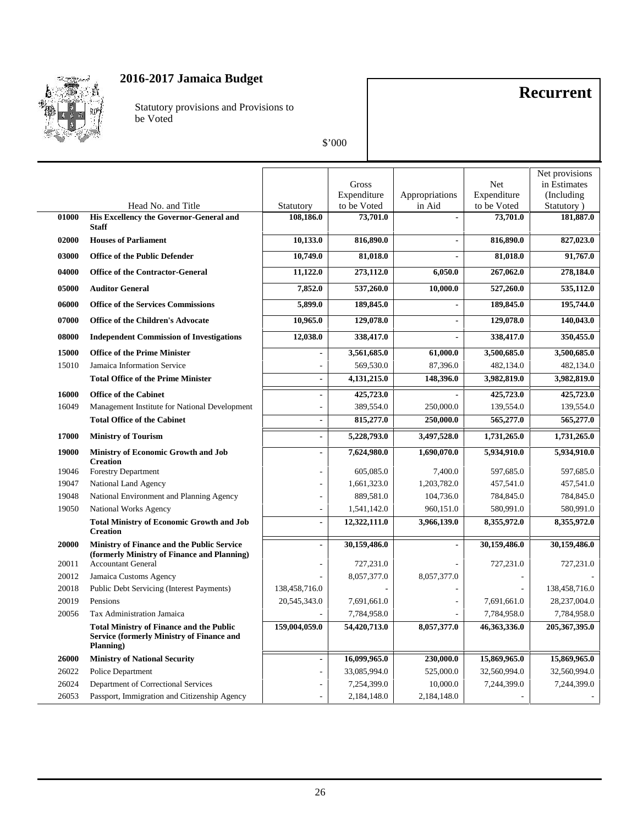

Statutory provisions and Provisions to be Voted

# **Recurrent**

|       |                                                                                                                  |                          |              |                |              | Net provisions |
|-------|------------------------------------------------------------------------------------------------------------------|--------------------------|--------------|----------------|--------------|----------------|
|       |                                                                                                                  |                          | Gross        |                | Net          | in Estimates   |
|       |                                                                                                                  |                          | Expenditure  | Appropriations | Expenditure  | (Including)    |
|       | Head No. and Title                                                                                               | Statutory                | to be Voted  | in Aid         | to be Voted  | Statutory)     |
| 01000 | His Excellency the Governor-General and<br><b>Staff</b>                                                          | 108,186.0                | 73,701.0     |                | 73,701.0     | 181,887.0      |
| 02000 | <b>Houses of Parliament</b>                                                                                      | 10,133.0                 | 816,890.0    | ÷,             | 816,890.0    | 827,023.0      |
| 03000 | <b>Office of the Public Defender</b>                                                                             | 10,749.0                 | 81,018.0     | $\blacksquare$ | 81,018.0     | 91,767.0       |
| 04000 | <b>Office of the Contractor-General</b>                                                                          | 11,122.0                 | 273,112.0    | 6,050.0        | 267,062.0    | 278,184.0      |
| 05000 | <b>Auditor General</b>                                                                                           | 7,852.0                  | 537,260.0    | 10,000.0       | 527,260.0    | 535,112.0      |
| 06000 | <b>Office of the Services Commissions</b>                                                                        | 5,899.0                  | 189,845.0    | $\overline{a}$ | 189,845.0    | 195,744.0      |
| 07000 | <b>Office of the Children's Advocate</b>                                                                         | 10,965.0                 | 129,078.0    | $\blacksquare$ | 129,078.0    | 140,043.0      |
| 08000 | <b>Independent Commission of Investigations</b>                                                                  | 12,038.0                 | 338,417.0    | $\blacksquare$ | 338,417.0    | 350,455.0      |
| 15000 | <b>Office of the Prime Minister</b>                                                                              | $\blacksquare$           | 3,561,685.0  | 61,000.0       | 3,500,685.0  | 3,500,685.0    |
| 15010 | Jamaica Information Service                                                                                      | $\overline{\phantom{0}}$ | 569,530.0    | 87,396.0       | 482,134.0    | 482,134.0      |
|       | <b>Total Office of the Prime Minister</b>                                                                        | $\overline{a}$           | 4,131,215.0  | 148,396.0      | 3,982,819.0  | 3,982,819.0    |
| 16000 | <b>Office of the Cabinet</b>                                                                                     | $\overline{a}$           | 425,723.0    |                | 425,723.0    | 425,723.0      |
| 16049 | Management Institute for National Development                                                                    |                          | 389,554.0    | 250,000.0      | 139,554.0    | 139,554.0      |
|       | <b>Total Office of the Cabinet</b>                                                                               | ÷.                       | 815,277.0    | 250,000.0      | 565,277.0    | 565,277.0      |
| 17000 | <b>Ministry of Tourism</b>                                                                                       | $\overline{\phantom{0}}$ | 5,228,793.0  | 3,497,528.0    | 1,731,265.0  | 1,731,265.0    |
| 19000 | <b>Ministry of Economic Growth and Job</b><br><b>Creation</b>                                                    | $\overline{a}$           | 7,624,980.0  | 1,690,070.0    | 5,934,910.0  | 5,934,910.0    |
| 19046 | <b>Forestry Department</b>                                                                                       | L,                       | 605,085.0    | 7,400.0        | 597,685.0    | 597,685.0      |
| 19047 | National Land Agency                                                                                             | ÷,                       | 1,661,323.0  | 1,203,782.0    | 457,541.0    | 457,541.0      |
| 19048 | National Environment and Planning Agency                                                                         | L,                       | 889,581.0    | 104,736.0      | 784,845.0    | 784,845.0      |
| 19050 | National Works Agency                                                                                            | ä,                       | 1,541,142.0  | 960,151.0      | 580,991.0    | 580,991.0      |
|       | <b>Total Ministry of Economic Growth and Job</b><br><b>Creation</b>                                              | $\overline{a}$           | 12,322,111.0 | 3,966,139.0    | 8,355,972.0  | 8,355,972.0    |
| 20000 | Ministry of Finance and the Public Service<br>(formerly Ministry of Finance and Planning)                        | $\overline{a}$           | 30,159,486.0 |                | 30,159,486.0 | 30,159,486.0   |
| 20011 | <b>Accountant General</b>                                                                                        |                          | 727,231.0    |                | 727,231.0    | 727,231.0      |
| 20012 | Jamaica Customs Agency                                                                                           |                          | 8,057,377.0  | 8,057,377.0    |              |                |
| 20018 | Public Debt Servicing (Interest Payments)                                                                        | 138,458,716.0            |              |                |              | 138,458,716.0  |
| 20019 | Pensions                                                                                                         | 20,545,343.0             | 7,691,661.0  |                | 7,691,661.0  | 28,237,004.0   |
| 20056 | Tax Administration Jamaica                                                                                       |                          | 7,784,958.0  |                | 7,784,958.0  | 7,784,958.0    |
|       | <b>Total Ministry of Finance and the Public</b><br><b>Service (formerly Ministry of Finance and</b><br>Planning) | 159,004,059.0            | 54,420,713.0 | 8,057,377.0    | 46,363,336.0 | 205,367,395.0  |
| 26000 | <b>Ministry of National Security</b>                                                                             | $\overline{a}$           | 16,099,965.0 | 230,000.0      | 15,869,965.0 | 15,869,965.0   |
| 26022 | Police Department                                                                                                | L,                       | 33,085,994.0 | 525,000.0      | 32,560,994.0 | 32,560,994.0   |
| 26024 | Department of Correctional Services                                                                              | L,                       | 7,254,399.0  | 10,000.0       | 7,244,399.0  | 7,244,399.0    |
| 26053 | Passport, Immigration and Citizenship Agency                                                                     |                          | 2,184,148.0  | 2,184,148.0    |              |                |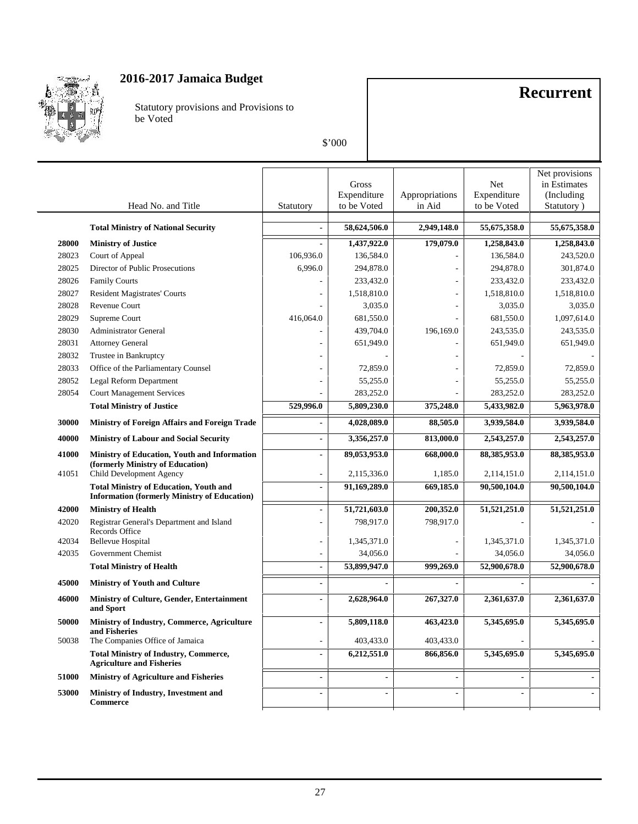

Statutory provisions and Provisions to be Voted

# **Recurrent**

|       | Head No. and Title                                                                                   | Statutory                | Gross<br>Expenditure<br>to be Voted | Appropriations<br>in Aid | Net<br>Expenditure<br>to be Voted | Net provisions<br>in Estimates<br>(Including)<br>Statutory) |
|-------|------------------------------------------------------------------------------------------------------|--------------------------|-------------------------------------|--------------------------|-----------------------------------|-------------------------------------------------------------|
|       |                                                                                                      |                          |                                     |                          |                                   |                                                             |
|       | <b>Total Ministry of National Security</b>                                                           | $\overline{\phantom{a}}$ | 58,624,506.0                        | 2,949,148.0              | 55,675,358.0                      | 55,675,358.0                                                |
| 28000 | <b>Ministry of Justice</b>                                                                           | $\blacksquare$           | 1,437,922.0                         | 179,079.0                | 1,258,843.0                       | 1,258,843.0                                                 |
| 28023 | Court of Appeal                                                                                      | 106,936.0                | 136,584.0                           |                          | 136,584.0                         | 243,520.0                                                   |
| 28025 | Director of Public Prosecutions                                                                      | 6,996.0                  | 294,878.0                           |                          | 294,878.0                         | 301,874.0                                                   |
| 28026 | <b>Family Courts</b>                                                                                 |                          | 233,432.0                           |                          | 233,432.0                         | 233,432.0                                                   |
| 28027 | <b>Resident Magistrates' Courts</b>                                                                  |                          | 1,518,810.0                         |                          | 1,518,810.0                       | 1,518,810.0                                                 |
| 28028 | Revenue Court                                                                                        |                          | 3,035.0                             |                          | 3,035.0                           | 3,035.0                                                     |
| 28029 | Supreme Court                                                                                        | 416,064.0                | 681,550.0                           |                          | 681,550.0                         | 1,097,614.0                                                 |
| 28030 | <b>Administrator General</b>                                                                         |                          | 439,704.0                           | 196,169.0                | 243,535.0                         | 243,535.0                                                   |
| 28031 | <b>Attorney General</b>                                                                              |                          | 651,949.0                           |                          | 651,949.0                         | 651,949.0                                                   |
| 28032 | Trustee in Bankruptcy                                                                                |                          |                                     |                          |                                   |                                                             |
| 28033 | Office of the Parliamentary Counsel                                                                  |                          | 72,859.0                            |                          | 72,859.0                          | 72,859.0                                                    |
| 28052 | Legal Reform Department                                                                              |                          | 55,255.0                            |                          | 55,255.0                          | 55,255.0                                                    |
| 28054 | <b>Court Management Services</b>                                                                     |                          | 283,252.0                           |                          | 283,252.0                         | 283,252.0                                                   |
|       | <b>Total Ministry of Justice</b>                                                                     | 529,996.0                | 5,809,230.0                         | 375,248.0                | 5,433,982.0                       | 5,963,978.0                                                 |
| 30000 | Ministry of Foreign Affairs and Foreign Trade                                                        |                          | 4,028,089.0                         | 88,505.0                 | 3,939,584.0                       | 3,939,584.0                                                 |
| 40000 | <b>Ministry of Labour and Social Security</b>                                                        | $\overline{\phantom{a}}$ | 3,356,257.0                         | 813,000.0                | 2,543,257.0                       | 2,543,257.0                                                 |
| 41000 | Ministry of Education, Youth and Information                                                         | $\blacksquare$           | 89,053,953.0                        | 668,000.0                | 88,385,953.0                      | 88,385,953.0                                                |
| 41051 | (formerly Ministry of Education)<br>Child Development Agency                                         | $\overline{\phantom{a}}$ | 2,115,336.0                         | 1,185.0                  | 2,114,151.0                       | 2,114,151.0                                                 |
|       | <b>Total Ministry of Education, Youth and</b><br><b>Information (formerly Ministry of Education)</b> | $\blacksquare$           | 91,169,289.0                        | 669,185.0                | 90,500,104.0                      | 90,500,104.0                                                |
| 42000 | <b>Ministry of Health</b>                                                                            |                          | 51,721,603.0                        | 200,352.0                | 51,521,251.0                      | 51,521,251.0                                                |
| 42020 | Registrar General's Department and Island<br>Records Office                                          |                          | 798,917.0                           | 798,917.0                |                                   |                                                             |
| 42034 | <b>Bellevue Hospital</b>                                                                             |                          | 1,345,371.0                         |                          | 1,345,371.0                       | 1,345,371.0                                                 |
| 42035 | Government Chemist                                                                                   | $\overline{\phantom{a}}$ | 34,056.0                            |                          | 34,056.0                          | 34,056.0                                                    |
|       | <b>Total Ministry of Health</b>                                                                      | $\blacksquare$           | 53,899,947.0                        | 999,269.0                | 52,900,678.0                      | 52,900,678.0                                                |
| 45000 | <b>Ministry of Youth and Culture</b>                                                                 | $\overline{a}$           |                                     | $\overline{\phantom{a}}$ |                                   |                                                             |
| 46000 | Ministry of Culture, Gender, Entertainment<br>and Sport                                              | $\blacksquare$           | 2,628,964.0                         | 267,327.0                | 2,361,637.0                       | 2,361,637.0                                                 |
| 50000 | Ministry of Industry, Commerce, Agriculture<br>and Fisheries                                         |                          | 5,809,118.0                         | 463,423.0                | 5,345,695.0                       | 5,345,695.0                                                 |
| 50038 | The Companies Office of Jamaica                                                                      | $\overline{\phantom{a}}$ | 403,433.0                           | 403,433.0                |                                   |                                                             |
|       | <b>Total Ministry of Industry, Commerce,</b><br><b>Agriculture and Fisheries</b>                     | $\blacksquare$           | 6,212,551.0                         | 866,856.0                | 5,345,695.0                       | 5,345,695.0                                                 |
| 51000 | <b>Ministry of Agriculture and Fisheries</b>                                                         | $\blacksquare$           | $\blacksquare$                      | $\blacksquare$           | $\overline{\phantom{a}}$          |                                                             |
| 53000 | Ministry of Industry, Investment and<br><b>Commerce</b>                                              |                          | $\blacksquare$                      | $\overline{a}$           |                                   |                                                             |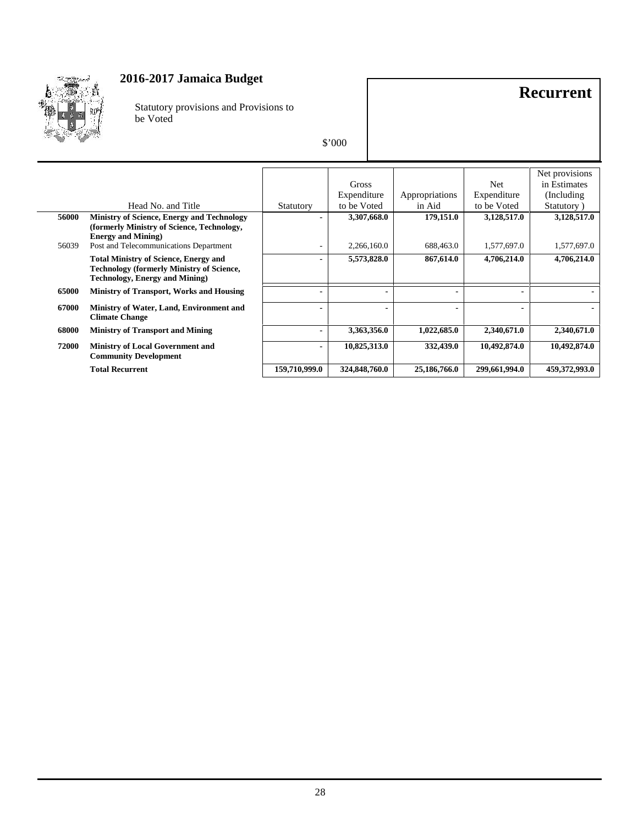

Statutory provisions and Provisions to be Voted

# **Recurrent**

| \$'000 |  |
|--------|--|
|--------|--|

|                                                                                                                                           |                          | Gross<br>Expenditure | Appropriations | Net<br>Expenditure | Net provisions<br>in Estimates<br>(Including) |
|-------------------------------------------------------------------------------------------------------------------------------------------|--------------------------|----------------------|----------------|--------------------|-----------------------------------------------|
| Head No. and Title                                                                                                                        | Statutory                | to be Voted          | in Aid         | to be Voted        | Statutory)                                    |
| 56000<br><b>Ministry of Science, Energy and Technology</b><br>(formerly Ministry of Science, Technology,<br><b>Energy and Mining)</b>     |                          | 3,307,668.0          | 179,151.0      | 3,128,517.0        | 3,128,517.0                                   |
| Post and Telecommunications Department<br>56039                                                                                           |                          | 2,266,160.0          | 688,463.0      | 1,577,697.0        | 1,577,697.0                                   |
| <b>Total Ministry of Science, Energy and</b><br><b>Technology (formerly Ministry of Science,</b><br><b>Technology, Energy and Mining)</b> | $\blacksquare$           | 5,573,828.0          | 867,614.0      | 4,706,214.0        | 4,706,214.0                                   |
| 65000<br><b>Ministry of Transport, Works and Housing</b>                                                                                  |                          |                      |                |                    |                                               |
| 67000<br>Ministry of Water, Land, Environment and<br><b>Climate Change</b>                                                                |                          | $\blacksquare$       |                |                    |                                               |
| 68000<br><b>Ministry of Transport and Mining</b>                                                                                          |                          | 3,363,356.0          | 1,022,685.0    | 2,340,671.0        | 2,340,671.0                                   |
| 72000<br><b>Ministry of Local Government and</b><br><b>Community Development</b>                                                          | $\overline{\phantom{0}}$ | 10,825,313.0         | 332,439.0      | 10,492,874.0       | 10,492,874.0                                  |
| <b>Total Recurrent</b>                                                                                                                    | 159,710,999.0            | 324,848,760.0        | 25,186,766.0   | 299,661,994.0      | 459,372,993.0                                 |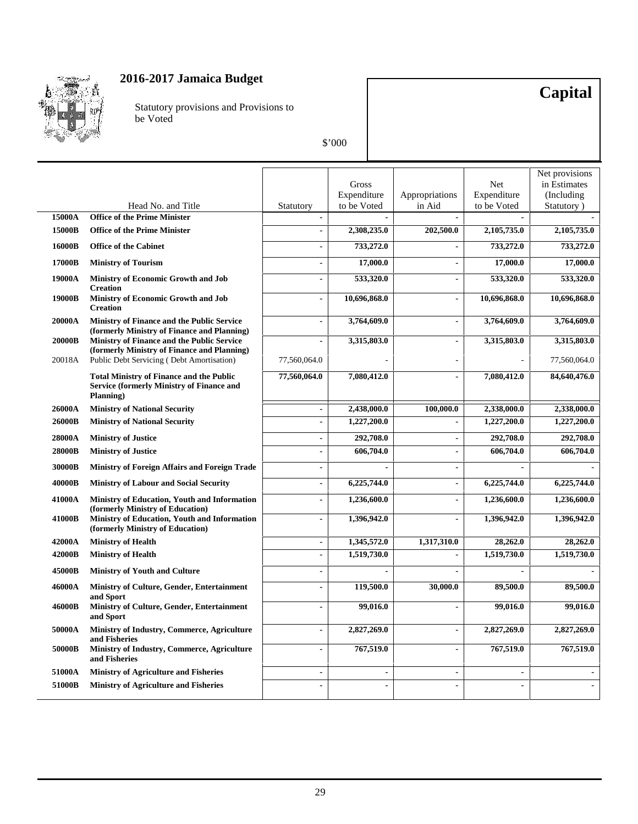

Statutory provisions and Provisions to be Voted

# **Capital**

|               |                                                                                                                  |                          | Gross<br>Expenditure     | Appropriations           | Net<br>Expenditure | Net provisions<br>in Estimates<br>(Including) |
|---------------|------------------------------------------------------------------------------------------------------------------|--------------------------|--------------------------|--------------------------|--------------------|-----------------------------------------------|
| 15000A        | Head No. and Title<br><b>Office of the Prime Minister</b>                                                        | Statutory                | to be Voted              | in Aid                   | to be Voted        | Statutory)                                    |
| 15000B        | <b>Office of the Prime Minister</b>                                                                              | $\overline{a}$           | 2,308,235.0              | 202,500.0                | 2,105,735.0        | 2,105,735.0                                   |
|               |                                                                                                                  |                          |                          |                          |                    |                                               |
| 16000B        | <b>Office of the Cabinet</b>                                                                                     | ÷,                       | 733,272.0                |                          | 733,272.0          | 733,272.0                                     |
| 17000B        | <b>Ministry of Tourism</b>                                                                                       |                          | 17,000.0                 | $\blacksquare$           | 17,000.0           | 17,000.0                                      |
| 19000A        | <b>Ministry of Economic Growth and Job</b><br><b>Creation</b>                                                    | ÷,                       | 533,320.0                | $\overline{a}$           | 533,320.0          | 533,320.0                                     |
| 19000B        | Ministry of Economic Growth and Job<br><b>Creation</b>                                                           | $\overline{a}$           | 10,696,868.0             | $\blacksquare$           | 10,696,868.0       | 10,696,868.0                                  |
| 20000A        | Ministry of Finance and the Public Service<br>(formerly Ministry of Finance and Planning)                        |                          | 3,764,609.0              | $\blacksquare$           | 3,764,609.0        | 3,764,609.0                                   |
| <b>20000B</b> | Ministry of Finance and the Public Service<br>(formerly Ministry of Finance and Planning)                        | ÷                        | 3,315,803.0              | $\blacksquare$           | 3,315,803.0        | 3,315,803.0                                   |
| 20018A        | Public Debt Servicing (Debt Amortisation)                                                                        | 77,560,064.0             |                          |                          |                    | 77,560,064.0                                  |
|               | <b>Total Ministry of Finance and the Public</b><br><b>Service (formerly Ministry of Finance and</b><br>Planning) | 77,560,064.0             | 7,080,412.0              | $\overline{a}$           | 7,080,412.0        | 84,640,476.0                                  |
| 26000A        | <b>Ministry of National Security</b>                                                                             | $\overline{\phantom{a}}$ | 2,438,000.0              | 100,000.0                | 2,338,000.0        | 2,338,000.0                                   |
| 26000B        | <b>Ministry of National Security</b>                                                                             | $\overline{\phantom{0}}$ | 1,227,200.0              | $\blacksquare$           | 1,227,200.0        | 1,227,200.0                                   |
| 28000A        | <b>Ministry of Justice</b>                                                                                       | $\blacksquare$           | 292,708.0                | $\overline{a}$           | 292,708.0          | 292,708.0                                     |
| 28000B        | <b>Ministry of Justice</b>                                                                                       | $\overline{a}$           | 606,704.0                | $\overline{a}$           | 606,704.0          | 606,704.0                                     |
| 30000B        | Ministry of Foreign Affairs and Foreign Trade                                                                    | $\overline{a}$           | $\overline{a}$           | $\overline{a}$           | ÷,                 |                                               |
| 40000B        | <b>Ministry of Labour and Social Security</b>                                                                    | $\overline{\phantom{a}}$ | 6,225,744.0              | $\blacksquare$           | 6,225,744.0        | 6,225,744.0                                   |
| 41000A        | Ministry of Education, Youth and Information<br>(formerly Ministry of Education)                                 | $\blacksquare$           | 1,236,600.0              | $\blacksquare$           | 1,236,600.0        | 1,236,600.0                                   |
| 41000B        | Ministry of Education, Youth and Information<br>(formerly Ministry of Education)                                 | $\overline{a}$           | 1,396,942.0              | $\overline{\phantom{0}}$ | 1,396,942.0        | 1,396,942.0                                   |
| 42000A        | <b>Ministry of Health</b>                                                                                        | $\overline{\phantom{a}}$ | 1,345,572.0              | 1,317,310.0              | 28,262.0           | 28,262.0                                      |
| 42000B        | <b>Ministry of Health</b>                                                                                        | $\blacksquare$           | 1,519,730.0              | $\blacksquare$           | 1,519,730.0        | 1,519,730.0                                   |
| 45000B        | <b>Ministry of Youth and Culture</b>                                                                             | $\blacksquare$           |                          |                          |                    |                                               |
| 46000A        | Ministry of Culture, Gender, Entertainment<br>and Sport                                                          | $\blacksquare$           | 119,500.0                | 30,000.0                 | 89,500.0           | 89,500.0                                      |
| 46000B        | Ministry of Culture, Gender, Entertainment<br>and Sport                                                          |                          | 99,016.0                 | $\blacksquare$           | 99,016.0           | 99,016.0                                      |
| 50000A        | Ministry of Industry, Commerce, Agriculture<br>and Fisheries                                                     | $\overline{a}$           | 2,827,269.0              | $\overline{a}$           | 2,827,269.0        | 2,827,269.0                                   |
| 50000B        | Ministry of Industry, Commerce, Agriculture<br>and Fisheries                                                     |                          | 767,519.0                | $\overline{\phantom{a}}$ | 767,519.0          | 767,519.0                                     |
| 51000A        | <b>Ministry of Agriculture and Fisheries</b>                                                                     | $\overline{a}$           | $\overline{\phantom{a}}$ | $\overline{\phantom{a}}$ |                    |                                               |
| 51000B        | <b>Ministry of Agriculture and Fisheries</b>                                                                     | $\blacksquare$           | $\blacksquare$           | $\blacksquare$           |                    |                                               |
|               |                                                                                                                  |                          |                          |                          |                    |                                               |